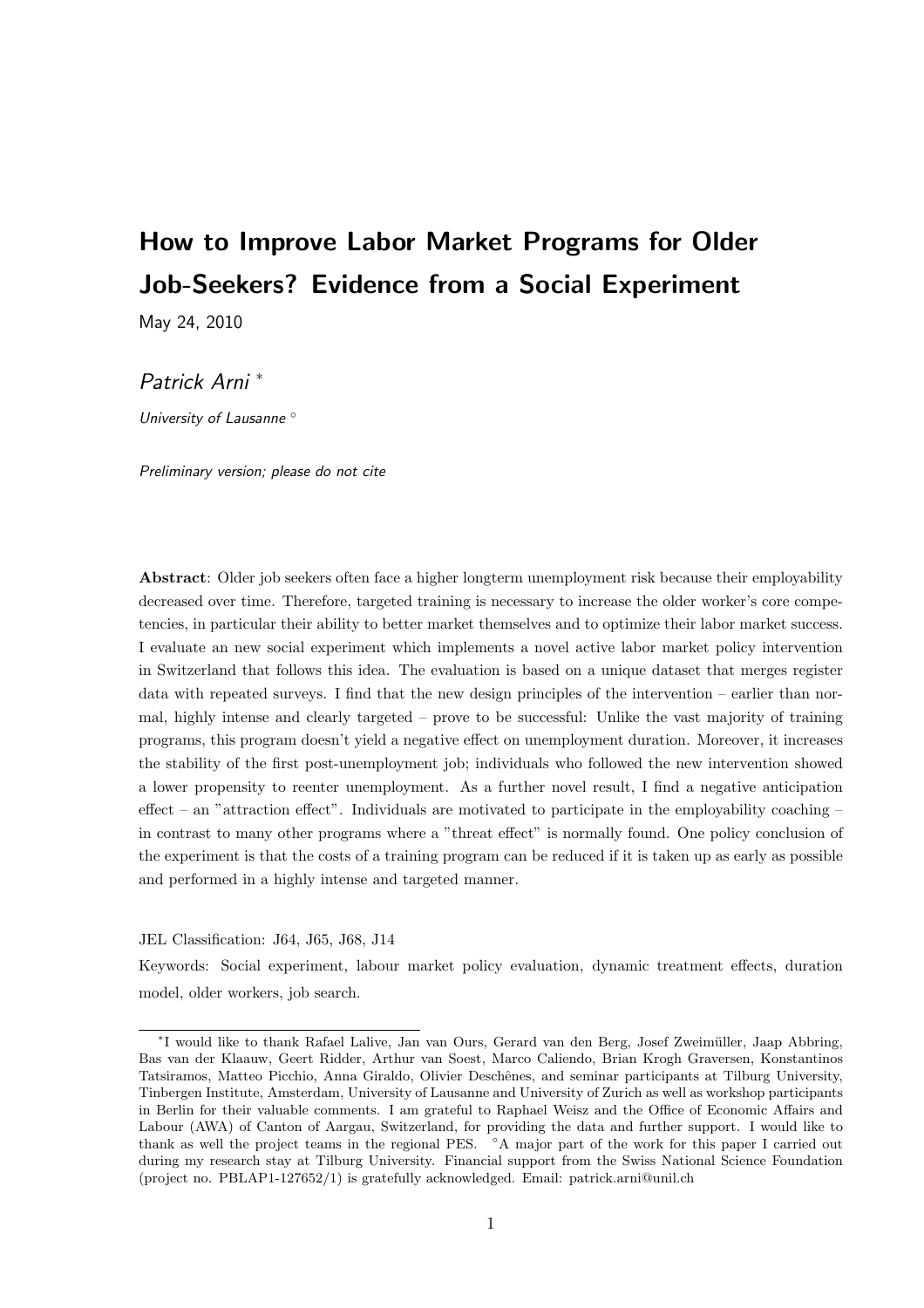# How to Improve Labor Market Programs for Older Job-Seekers? Evidence from a Social Experiment

May 24, 2010

## Patrick Arni <sup>∗</sup>

University of Lausanne ◦

Preliminary version; please do not cite

Abstract: Older job seekers often face a higher longterm unemployment risk because their employability decreased over time. Therefore, targeted training is necessary to increase the older worker's core competencies, in particular their ability to better market themselves and to optimize their labor market success. I evaluate an new social experiment which implements a novel active labor market policy intervention in Switzerland that follows this idea. The evaluation is based on a unique dataset that merges register data with repeated surveys. I find that the new design principles of the intervention – earlier than normal, highly intense and clearly targeted – prove to be successful: Unlike the vast majority of training programs, this program doesn't yield a negative effect on unemployment duration. Moreover, it increases the stability of the first post-unemployment job; individuals who followed the new intervention showed a lower propensity to reenter unemployment. As a further novel result, I find a negative anticipation effect – an "attraction effect". Individuals are motivated to participate in the employability coaching – in contrast to many other programs where a "threat effect" is normally found. One policy conclusion of the experiment is that the costs of a training program can be reduced if it is taken up as early as possible and performed in a highly intense and targeted manner.

JEL Classification: J64, J65, J68, J14

Keywords: Social experiment, labour market policy evaluation, dynamic treatment effects, duration model, older workers, job search.

<sup>∗</sup> I would like to thank Rafael Lalive, Jan van Ours, Gerard van den Berg, Josef Zweim¨uller, Jaap Abbring, Bas van der Klaauw, Geert Ridder, Arthur van Soest, Marco Caliendo, Brian Krogh Graversen, Konstantinos Tatsiramos, Matteo Picchio, Anna Giraldo, Olivier Deschênes, and seminar participants at Tilburg University, Tinbergen Institute, Amsterdam, University of Lausanne and University of Zurich as well as workshop participants in Berlin for their valuable comments. I am grateful to Raphael Weisz and the Office of Economic Affairs and Labour (AWA) of Canton of Aargau, Switzerland, for providing the data and further support. I would like to thank as well the project teams in the regional PES. ◦A major part of the work for this paper I carried out during my research stay at Tilburg University. Financial support from the Swiss National Science Foundation (project no. PBLAP1-127652/1) is gratefully acknowledged. Email: patrick.arni@unil.ch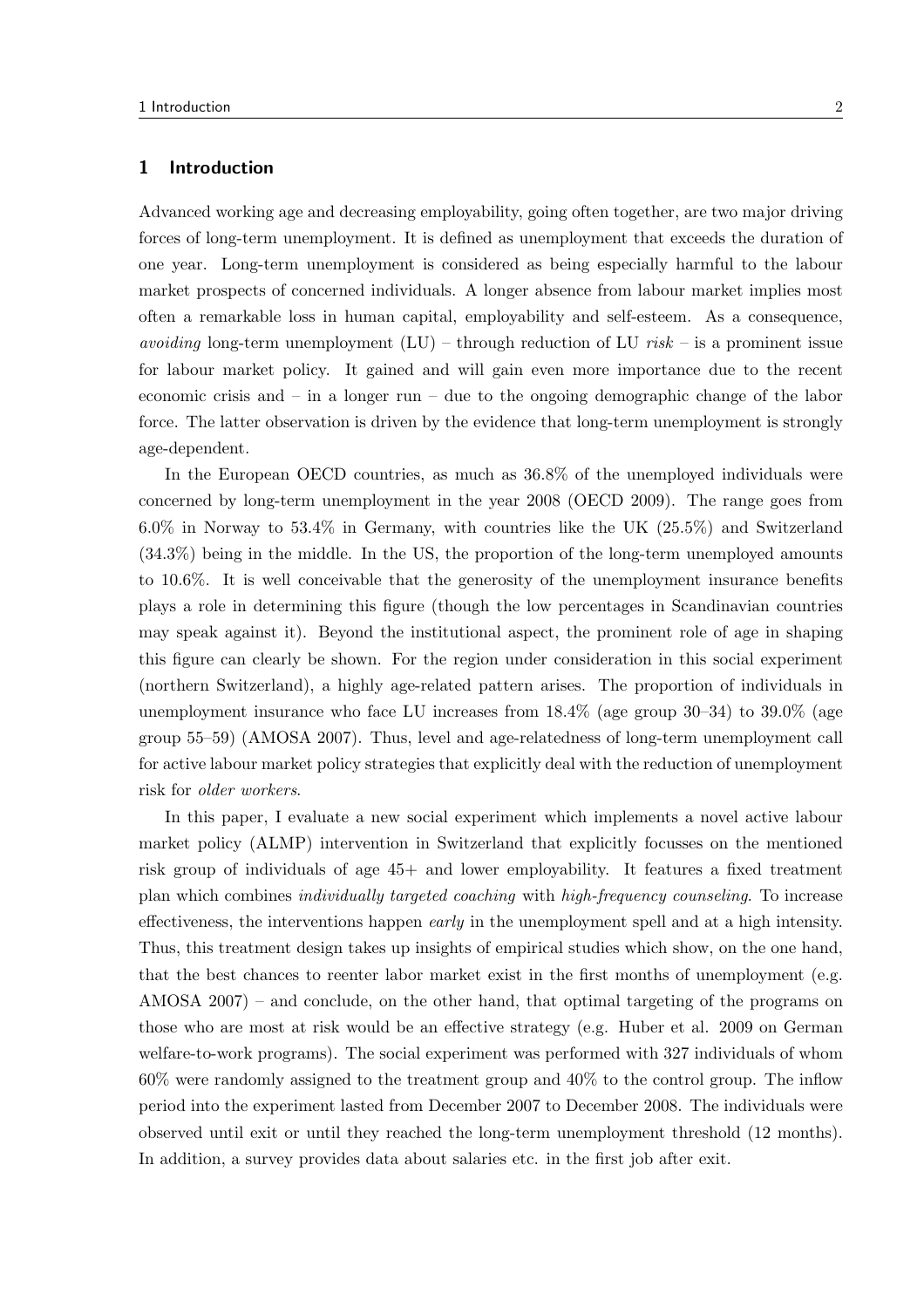## 1 Introduction

Advanced working age and decreasing employability, going often together, are two major driving forces of long-term unemployment. It is defined as unemployment that exceeds the duration of one year. Long-term unemployment is considered as being especially harmful to the labour market prospects of concerned individuals. A longer absence from labour market implies most often a remarkable loss in human capital, employability and self-esteem. As a consequence, *avoiding* long-term unemployment  $(LU)$  – through reduction of LU risk – is a prominent issue for labour market policy. It gained and will gain even more importance due to the recent economic crisis and – in a longer run – due to the ongoing demographic change of the labor force. The latter observation is driven by the evidence that long-term unemployment is strongly age-dependent.

In the European OECD countries, as much as 36.8% of the unemployed individuals were concerned by long-term unemployment in the year 2008 (OECD 2009). The range goes from 6.0% in Norway to 53.4% in Germany, with countries like the UK (25.5%) and Switzerland (34.3%) being in the middle. In the US, the proportion of the long-term unemployed amounts to 10.6%. It is well conceivable that the generosity of the unemployment insurance benefits plays a role in determining this figure (though the low percentages in Scandinavian countries may speak against it). Beyond the institutional aspect, the prominent role of age in shaping this figure can clearly be shown. For the region under consideration in this social experiment (northern Switzerland), a highly age-related pattern arises. The proportion of individuals in unemployment insurance who face LU increases from 18.4% (age group 30–34) to 39.0% (age group 55–59) (AMOSA 2007). Thus, level and age-relatedness of long-term unemployment call for active labour market policy strategies that explicitly deal with the reduction of unemployment risk for older workers.

In this paper, I evaluate a new social experiment which implements a novel active labour market policy (ALMP) intervention in Switzerland that explicitly focusses on the mentioned risk group of individuals of age 45+ and lower employability. It features a fixed treatment plan which combines individually targeted coaching with high-frequency counseling. To increase effectiveness, the interventions happen *early* in the unemployment spell and at a high intensity. Thus, this treatment design takes up insights of empirical studies which show, on the one hand, that the best chances to reenter labor market exist in the first months of unemployment (e.g. AMOSA 2007) – and conclude, on the other hand, that optimal targeting of the programs on those who are most at risk would be an effective strategy (e.g. Huber et al. 2009 on German welfare-to-work programs). The social experiment was performed with 327 individuals of whom 60% were randomly assigned to the treatment group and 40% to the control group. The inflow period into the experiment lasted from December 2007 to December 2008. The individuals were observed until exit or until they reached the long-term unemployment threshold (12 months). In addition, a survey provides data about salaries etc. in the first job after exit.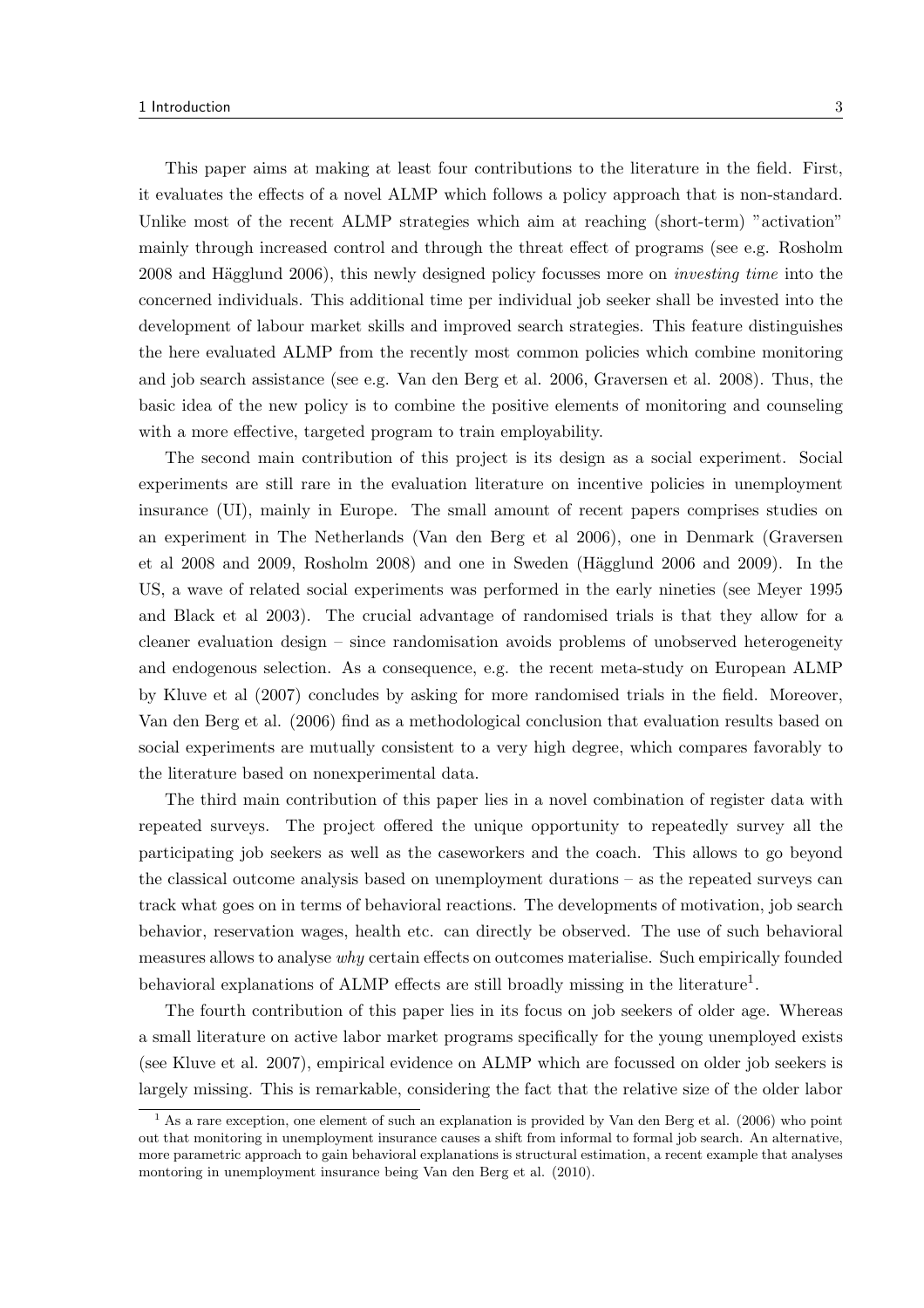This paper aims at making at least four contributions to the literature in the field. First, it evaluates the effects of a novel ALMP which follows a policy approach that is non-standard. Unlike most of the recent ALMP strategies which aim at reaching (short-term) "activation" mainly through increased control and through the threat effect of programs (see e.g. Rosholm 2008 and Hägglund 2006), this newly designed policy focusses more on *investing time* into the concerned individuals. This additional time per individual job seeker shall be invested into the development of labour market skills and improved search strategies. This feature distinguishes the here evaluated ALMP from the recently most common policies which combine monitoring and job search assistance (see e.g. Van den Berg et al. 2006, Graversen et al. 2008). Thus, the basic idea of the new policy is to combine the positive elements of monitoring and counseling with a more effective, targeted program to train employability.

The second main contribution of this project is its design as a social experiment. Social experiments are still rare in the evaluation literature on incentive policies in unemployment insurance (UI), mainly in Europe. The small amount of recent papers comprises studies on an experiment in The Netherlands (Van den Berg et al 2006), one in Denmark (Graversen et al  $2008$  and  $2009$ , Rosholm  $2008$ ) and one in Sweden (Hägglund  $2006$  and  $2009$ ). In the US, a wave of related social experiments was performed in the early nineties (see Meyer 1995 and Black et al 2003). The crucial advantage of randomised trials is that they allow for a cleaner evaluation design – since randomisation avoids problems of unobserved heterogeneity and endogenous selection. As a consequence, e.g. the recent meta-study on European ALMP by Kluve et al (2007) concludes by asking for more randomised trials in the field. Moreover, Van den Berg et al. (2006) find as a methodological conclusion that evaluation results based on social experiments are mutually consistent to a very high degree, which compares favorably to the literature based on nonexperimental data.

The third main contribution of this paper lies in a novel combination of register data with repeated surveys. The project offered the unique opportunity to repeatedly survey all the participating job seekers as well as the caseworkers and the coach. This allows to go beyond the classical outcome analysis based on unemployment durations – as the repeated surveys can track what goes on in terms of behavioral reactions. The developments of motivation, job search behavior, reservation wages, health etc. can directly be observed. The use of such behavioral measures allows to analyse why certain effects on outcomes materialise. Such empirically founded behavioral explanations of ALMP effects are still broadly missing in the literature<sup>1</sup>.

The fourth contribution of this paper lies in its focus on job seekers of older age. Whereas a small literature on active labor market programs specifically for the young unemployed exists (see Kluve et al. 2007), empirical evidence on ALMP which are focussed on older job seekers is largely missing. This is remarkable, considering the fact that the relative size of the older labor

<sup>1</sup> As a rare exception, one element of such an explanation is provided by Van den Berg et al. (2006) who point out that monitoring in unemployment insurance causes a shift from informal to formal job search. An alternative, more parametric approach to gain behavioral explanations is structural estimation, a recent example that analyses montoring in unemployment insurance being Van den Berg et al. (2010).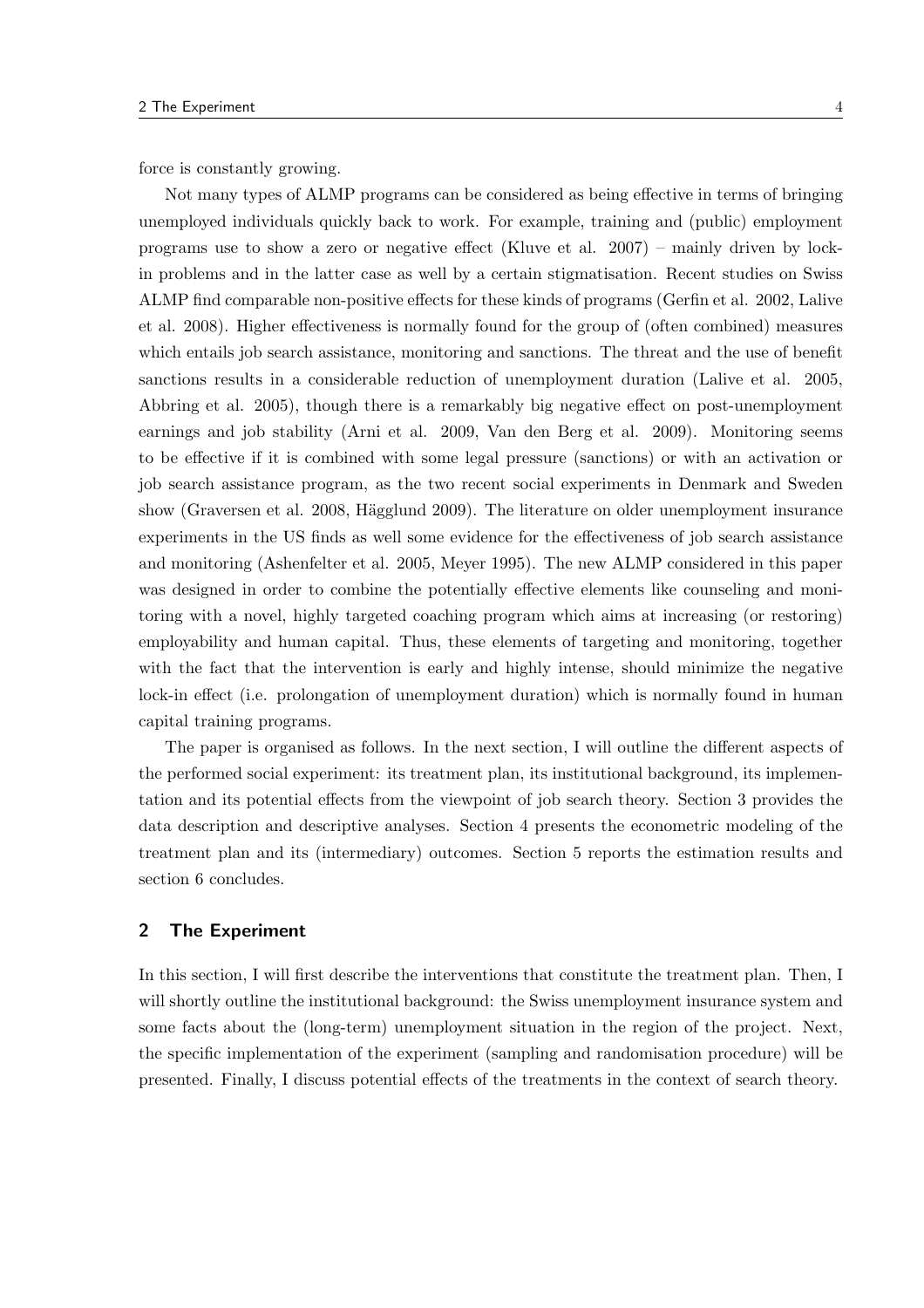force is constantly growing.

Not many types of ALMP programs can be considered as being effective in terms of bringing unemployed individuals quickly back to work. For example, training and (public) employment programs use to show a zero or negative effect (Kluve et al. 2007) – mainly driven by lockin problems and in the latter case as well by a certain stigmatisation. Recent studies on Swiss ALMP find comparable non-positive effects for these kinds of programs (Gerfin et al. 2002, Lalive et al. 2008). Higher effectiveness is normally found for the group of (often combined) measures which entails job search assistance, monitoring and sanctions. The threat and the use of benefit sanctions results in a considerable reduction of unemployment duration (Lalive et al. 2005, Abbring et al. 2005), though there is a remarkably big negative effect on post-unemployment earnings and job stability (Arni et al. 2009, Van den Berg et al. 2009). Monitoring seems to be effective if it is combined with some legal pressure (sanctions) or with an activation or job search assistance program, as the two recent social experiments in Denmark and Sweden show (Graversen et al. 2008, Hägglund 2009). The literature on older unemployment insurance experiments in the US finds as well some evidence for the effectiveness of job search assistance and monitoring (Ashenfelter et al. 2005, Meyer 1995). The new ALMP considered in this paper was designed in order to combine the potentially effective elements like counseling and monitoring with a novel, highly targeted coaching program which aims at increasing (or restoring) employability and human capital. Thus, these elements of targeting and monitoring, together with the fact that the intervention is early and highly intense, should minimize the negative lock-in effect (i.e. prolongation of unemployment duration) which is normally found in human capital training programs.

The paper is organised as follows. In the next section, I will outline the different aspects of the performed social experiment: its treatment plan, its institutional background, its implementation and its potential effects from the viewpoint of job search theory. Section 3 provides the data description and descriptive analyses. Section 4 presents the econometric modeling of the treatment plan and its (intermediary) outcomes. Section 5 reports the estimation results and section 6 concludes.

## 2 The Experiment

In this section, I will first describe the interventions that constitute the treatment plan. Then, I will shortly outline the institutional background: the Swiss unemployment insurance system and some facts about the (long-term) unemployment situation in the region of the project. Next, the specific implementation of the experiment (sampling and randomisation procedure) will be presented. Finally, I discuss potential effects of the treatments in the context of search theory.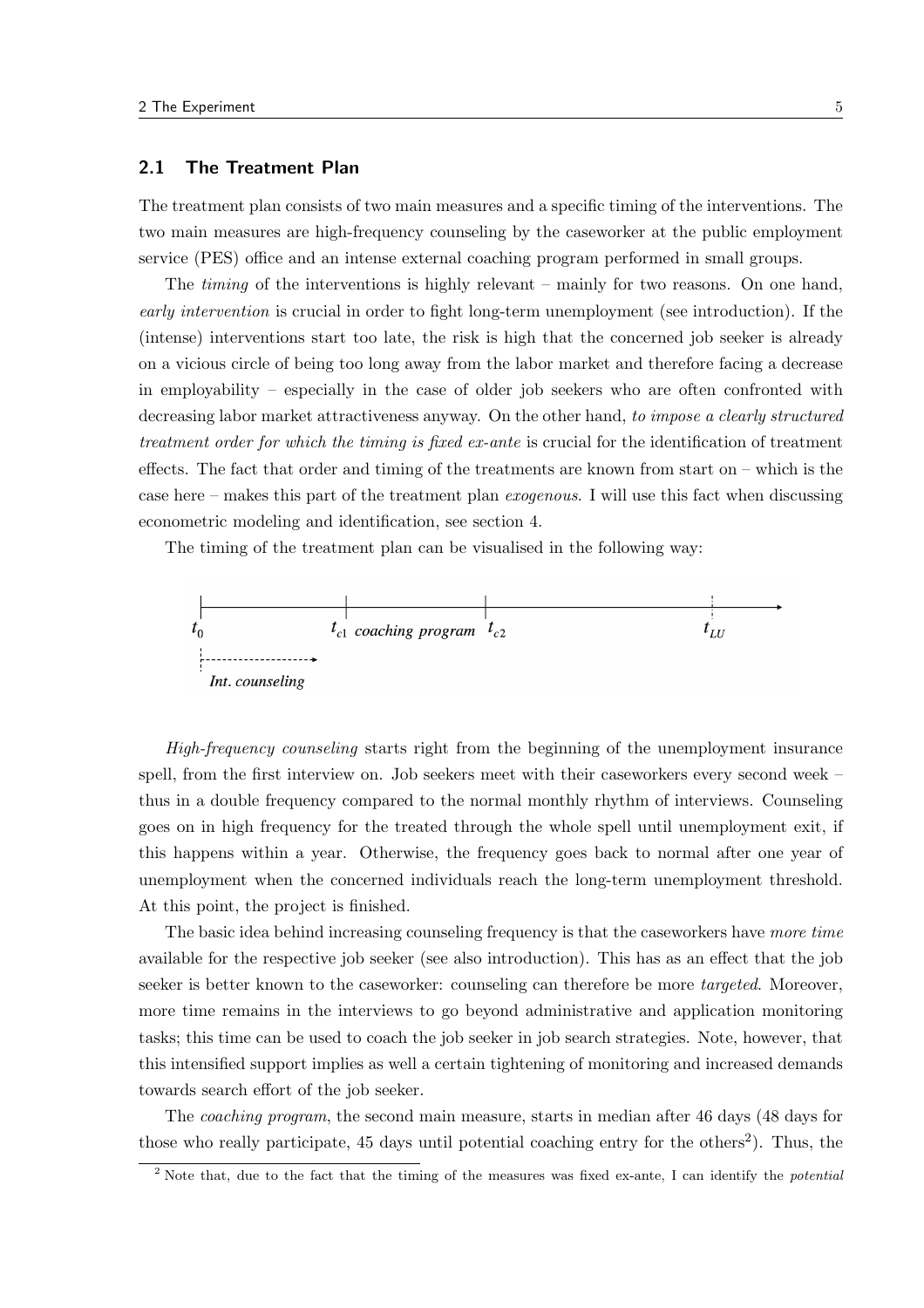## 2.1 The Treatment Plan

The treatment plan consists of two main measures and a specific timing of the interventions. The two main measures are high-frequency counseling by the caseworker at the public employment service (PES) office and an intense external coaching program performed in small groups.

The timing of the interventions is highly relevant – mainly for two reasons. On one hand, early intervention is crucial in order to fight long-term unemployment (see introduction). If the (intense) interventions start too late, the risk is high that the concerned job seeker is already on a vicious circle of being too long away from the labor market and therefore facing a decrease in employability – especially in the case of older job seekers who are often confronted with decreasing labor market attractiveness anyway. On the other hand, to impose a clearly structured treatment order for which the timing is fixed ex-ante is crucial for the identification of treatment effects. The fact that order and timing of the treatments are known from start on – which is the case here – makes this part of the treatment plan exogenous. I will use this fact when discussing econometric modeling and identification, see section 4.

The timing of the treatment plan can be visualised in the following way:



High-frequency counseling starts right from the beginning of the unemployment insurance spell, from the first interview on. Job seekers meet with their caseworkers every second week – thus in a double frequency compared to the normal monthly rhythm of interviews. Counseling goes on in high frequency for the treated through the whole spell until unemployment exit, if this happens within a year. Otherwise, the frequency goes back to normal after one year of unemployment when the concerned individuals reach the long-term unemployment threshold. At this point, the project is finished.

The basic idea behind increasing counseling frequency is that the caseworkers have more time available for the respective job seeker (see also introduction). This has as an effect that the job seeker is better known to the caseworker: counseling can therefore be more *targeted*. Moreover, more time remains in the interviews to go beyond administrative and application monitoring tasks; this time can be used to coach the job seeker in job search strategies. Note, however, that this intensified support implies as well a certain tightening of monitoring and increased demands towards search effort of the job seeker.

The coaching program, the second main measure, starts in median after 46 days (48 days for those who really participate,  $45$  days until potential coaching entry for the others<sup>2</sup>). Thus, the

<sup>&</sup>lt;sup>2</sup> Note that, due to the fact that the timing of the measures was fixed ex-ante, I can identify the *potential*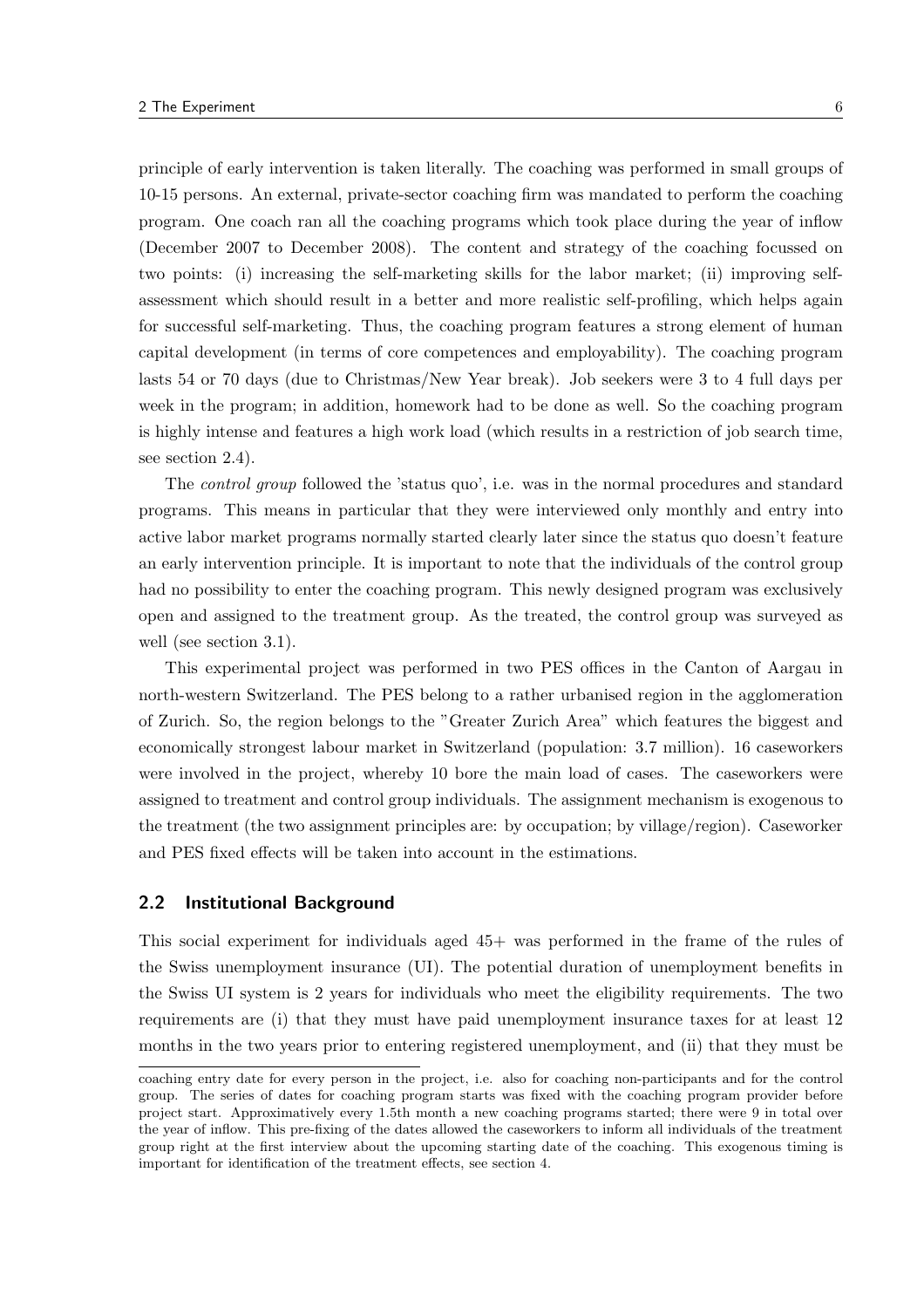principle of early intervention is taken literally. The coaching was performed in small groups of 10-15 persons. An external, private-sector coaching firm was mandated to perform the coaching program. One coach ran all the coaching programs which took place during the year of inflow (December 2007 to December 2008). The content and strategy of the coaching focussed on two points: (i) increasing the self-marketing skills for the labor market; (ii) improving selfassessment which should result in a better and more realistic self-profiling, which helps again for successful self-marketing. Thus, the coaching program features a strong element of human capital development (in terms of core competences and employability). The coaching program lasts 54 or 70 days (due to Christmas/New Year break). Job seekers were 3 to 4 full days per week in the program; in addition, homework had to be done as well. So the coaching program is highly intense and features a high work load (which results in a restriction of job search time, see section 2.4).

The control group followed the 'status quo', i.e. was in the normal procedures and standard programs. This means in particular that they were interviewed only monthly and entry into active labor market programs normally started clearly later since the status quo doesn't feature an early intervention principle. It is important to note that the individuals of the control group had no possibility to enter the coaching program. This newly designed program was exclusively open and assigned to the treatment group. As the treated, the control group was surveyed as well (see section 3.1).

This experimental project was performed in two PES offices in the Canton of Aargau in north-western Switzerland. The PES belong to a rather urbanised region in the agglomeration of Zurich. So, the region belongs to the "Greater Zurich Area" which features the biggest and economically strongest labour market in Switzerland (population: 3.7 million). 16 caseworkers were involved in the project, whereby 10 bore the main load of cases. The caseworkers were assigned to treatment and control group individuals. The assignment mechanism is exogenous to the treatment (the two assignment principles are: by occupation; by village/region). Caseworker and PES fixed effects will be taken into account in the estimations.

### 2.2 Institutional Background

This social experiment for individuals aged 45+ was performed in the frame of the rules of the Swiss unemployment insurance (UI). The potential duration of unemployment benefits in the Swiss UI system is 2 years for individuals who meet the eligibility requirements. The two requirements are (i) that they must have paid unemployment insurance taxes for at least 12 months in the two years prior to entering registered unemployment, and (ii) that they must be

coaching entry date for every person in the project, i.e. also for coaching non-participants and for the control group. The series of dates for coaching program starts was fixed with the coaching program provider before project start. Approximatively every 1.5th month a new coaching programs started; there were 9 in total over the year of inflow. This pre-fixing of the dates allowed the caseworkers to inform all individuals of the treatment group right at the first interview about the upcoming starting date of the coaching. This exogenous timing is important for identification of the treatment effects, see section 4.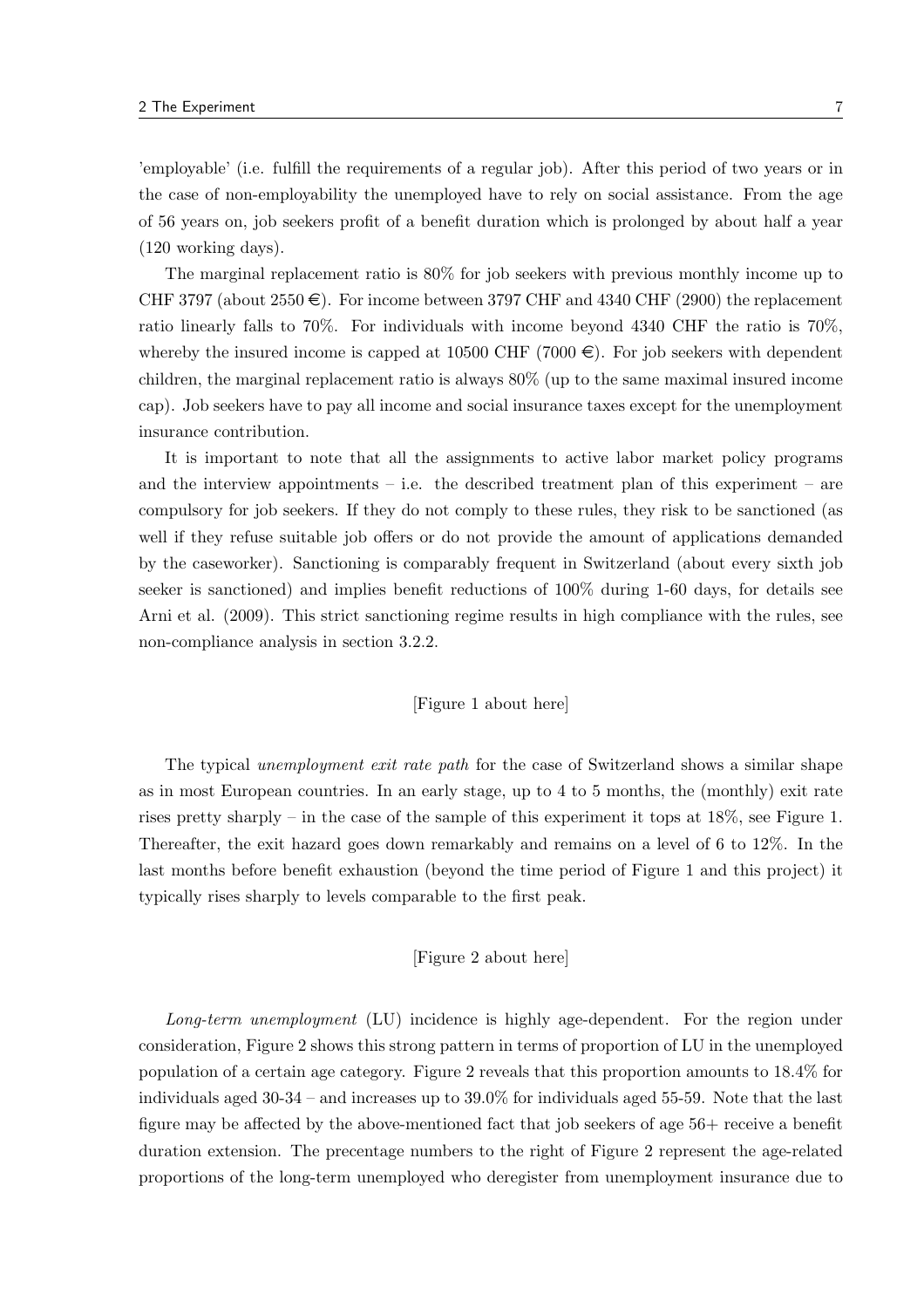'employable' (i.e. fulfill the requirements of a regular job). After this period of two years or in the case of non-employability the unemployed have to rely on social assistance. From the age of 56 years on, job seekers profit of a benefit duration which is prolonged by about half a year (120 working days).

The marginal replacement ratio is 80% for job seekers with previous monthly income up to CHF 3797 (about  $2550 \in$ ). For income between 3797 CHF and 4340 CHF (2900) the replacement ratio linearly falls to 70%. For individuals with income beyond 4340 CHF the ratio is 70%, whereby the insured income is capped at 10500 CHF (7000  $\in$ ). For job seekers with dependent children, the marginal replacement ratio is always 80% (up to the same maximal insured income cap). Job seekers have to pay all income and social insurance taxes except for the unemployment insurance contribution.

It is important to note that all the assignments to active labor market policy programs and the interview appointments – i.e. the described treatment plan of this experiment – are compulsory for job seekers. If they do not comply to these rules, they risk to be sanctioned (as well if they refuse suitable job offers or do not provide the amount of applications demanded by the caseworker). Sanctioning is comparably frequent in Switzerland (about every sixth job seeker is sanctioned) and implies benefit reductions of 100% during 1-60 days, for details see Arni et al. (2009). This strict sanctioning regime results in high compliance with the rules, see non-compliance analysis in section 3.2.2.

#### [Figure 1 about here]

The typical unemployment exit rate path for the case of Switzerland shows a similar shape as in most European countries. In an early stage, up to 4 to 5 months, the (monthly) exit rate rises pretty sharply – in the case of the sample of this experiment it tops at 18%, see Figure 1. Thereafter, the exit hazard goes down remarkably and remains on a level of 6 to 12%. In the last months before benefit exhaustion (beyond the time period of Figure 1 and this project) it typically rises sharply to levels comparable to the first peak.

#### [Figure 2 about here]

Long-term unemployment (LU) incidence is highly age-dependent. For the region under consideration, Figure 2 shows this strong pattern in terms of proportion of LU in the unemployed population of a certain age category. Figure 2 reveals that this proportion amounts to 18.4% for individuals aged 30-34 – and increases up to 39.0% for individuals aged 55-59. Note that the last figure may be affected by the above-mentioned fact that job seekers of age 56+ receive a benefit duration extension. The precentage numbers to the right of Figure 2 represent the age-related proportions of the long-term unemployed who deregister from unemployment insurance due to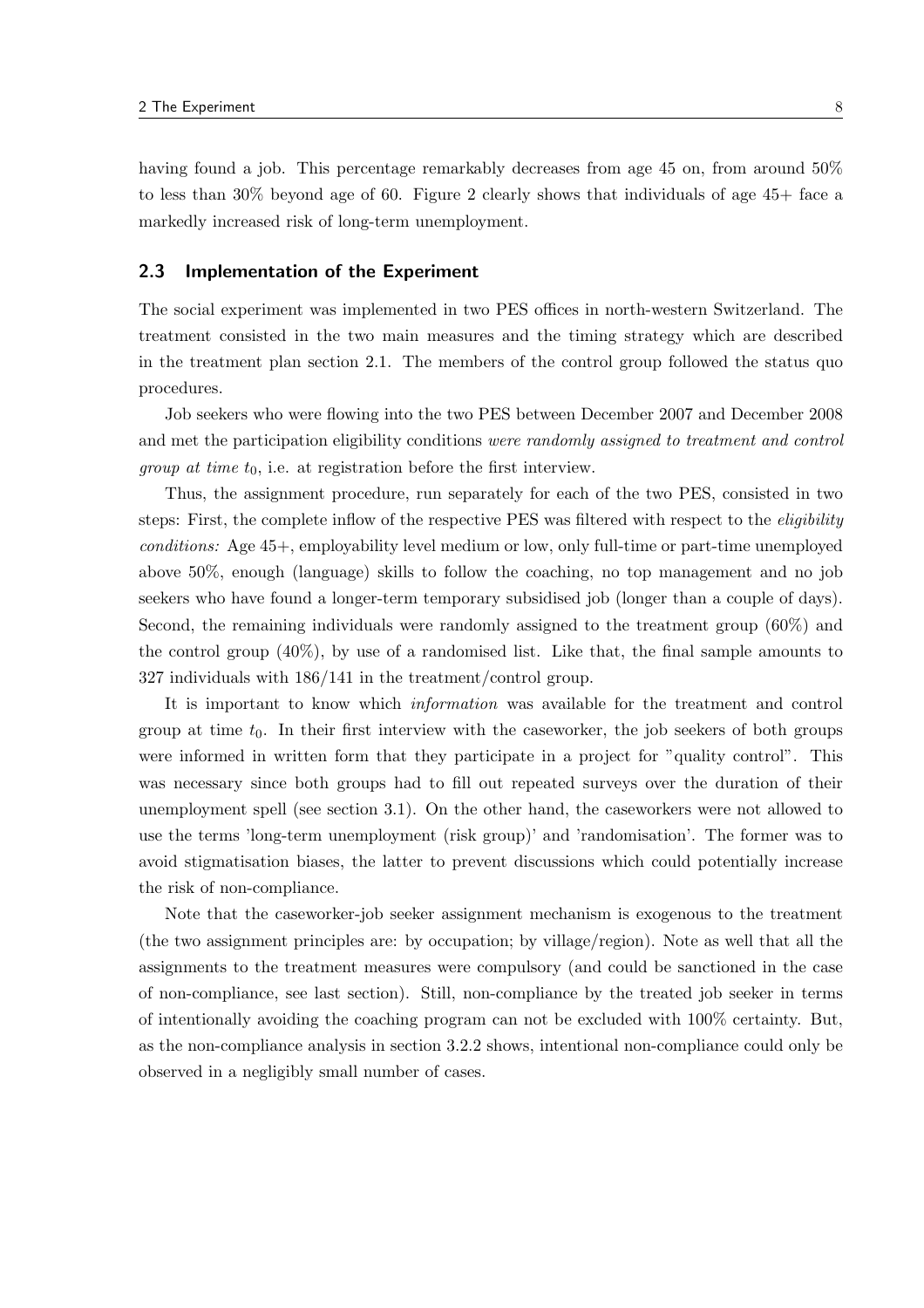having found a job. This percentage remarkably decreases from age 45 on, from around 50% to less than 30% beyond age of 60. Figure 2 clearly shows that individuals of age 45+ face a markedly increased risk of long-term unemployment.

## 2.3 Implementation of the Experiment

The social experiment was implemented in two PES offices in north-western Switzerland. The treatment consisted in the two main measures and the timing strategy which are described in the treatment plan section 2.1. The members of the control group followed the status quo procedures.

Job seekers who were flowing into the two PES between December 2007 and December 2008 and met the participation eligibility conditions were randomly assigned to treatment and control *group at time t*<sub>0</sub>, i.e. at registration before the first interview.

Thus, the assignment procedure, run separately for each of the two PES, consisted in two steps: First, the complete inflow of the respective PES was filtered with respect to the eligibility conditions: Age 45+, employability level medium or low, only full-time or part-time unemployed above 50%, enough (language) skills to follow the coaching, no top management and no job seekers who have found a longer-term temporary subsidised job (longer than a couple of days). Second, the remaining individuals were randomly assigned to the treatment group (60%) and the control group (40%), by use of a randomised list. Like that, the final sample amounts to 327 individuals with 186/141 in the treatment/control group.

It is important to know which information was available for the treatment and control group at time  $t_0$ . In their first interview with the caseworker, the job seekers of both groups were informed in written form that they participate in a project for "quality control". This was necessary since both groups had to fill out repeated surveys over the duration of their unemployment spell (see section 3.1). On the other hand, the caseworkers were not allowed to use the terms 'long-term unemployment (risk group)' and 'randomisation'. The former was to avoid stigmatisation biases, the latter to prevent discussions which could potentially increase the risk of non-compliance.

Note that the caseworker-job seeker assignment mechanism is exogenous to the treatment (the two assignment principles are: by occupation; by village/region). Note as well that all the assignments to the treatment measures were compulsory (and could be sanctioned in the case of non-compliance, see last section). Still, non-compliance by the treated job seeker in terms of intentionally avoiding the coaching program can not be excluded with 100% certainty. But, as the non-compliance analysis in section 3.2.2 shows, intentional non-compliance could only be observed in a negligibly small number of cases.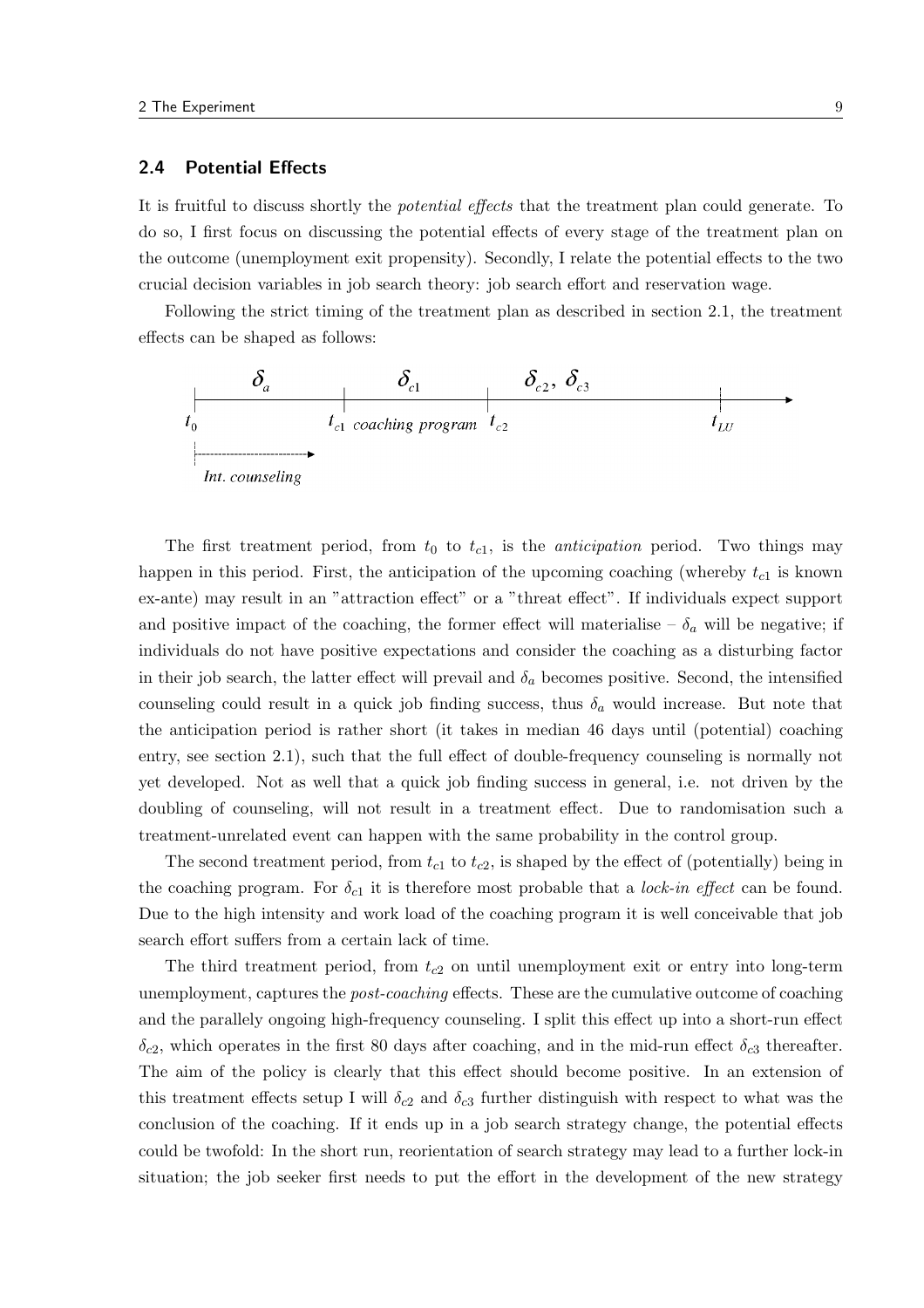## 2.4 Potential Effects

It is fruitful to discuss shortly the *potential effects* that the treatment plan could generate. To do so, I first focus on discussing the potential effects of every stage of the treatment plan on the outcome (unemployment exit propensity). Secondly, I relate the potential effects to the two crucial decision variables in job search theory: job search effort and reservation wage.

Following the strict timing of the treatment plan as described in section 2.1, the treatment effects can be shaped as follows:



The first treatment period, from  $t_0$  to  $t_{c1}$ , is the *anticipation* period. Two things may happen in this period. First, the anticipation of the upcoming coaching (whereby  $t_{c1}$  is known ex-ante) may result in an "attraction effect" or a "threat effect". If individuals expect support and positive impact of the coaching, the former effect will materialise –  $\delta_a$  will be negative; if individuals do not have positive expectations and consider the coaching as a disturbing factor in their job search, the latter effect will prevail and  $\delta_a$  becomes positive. Second, the intensified counseling could result in a quick job finding success, thus  $\delta_a$  would increase. But note that the anticipation period is rather short (it takes in median 46 days until (potential) coaching entry, see section 2.1), such that the full effect of double-frequency counseling is normally not yet developed. Not as well that a quick job finding success in general, i.e. not driven by the doubling of counseling, will not result in a treatment effect. Due to randomisation such a treatment-unrelated event can happen with the same probability in the control group.

The second treatment period, from  $t_{c1}$  to  $t_{c2}$ , is shaped by the effect of (potentially) being in the coaching program. For  $\delta_{c1}$  it is therefore most probable that a *lock-in effect* can be found. Due to the high intensity and work load of the coaching program it is well conceivable that job search effort suffers from a certain lack of time.

The third treatment period, from  $t_{c2}$  on until unemployment exit or entry into long-term unemployment, captures the *post-coaching* effects. These are the cumulative outcome of coaching and the parallely ongoing high-frequency counseling. I split this effect up into a short-run effect  $\delta_{c2}$ , which operates in the first 80 days after coaching, and in the mid-run effect  $\delta_{c3}$  thereafter. The aim of the policy is clearly that this effect should become positive. In an extension of this treatment effects setup I will  $\delta_{c2}$  and  $\delta_{c3}$  further distinguish with respect to what was the conclusion of the coaching. If it ends up in a job search strategy change, the potential effects could be twofold: In the short run, reorientation of search strategy may lead to a further lock-in situation; the job seeker first needs to put the effort in the development of the new strategy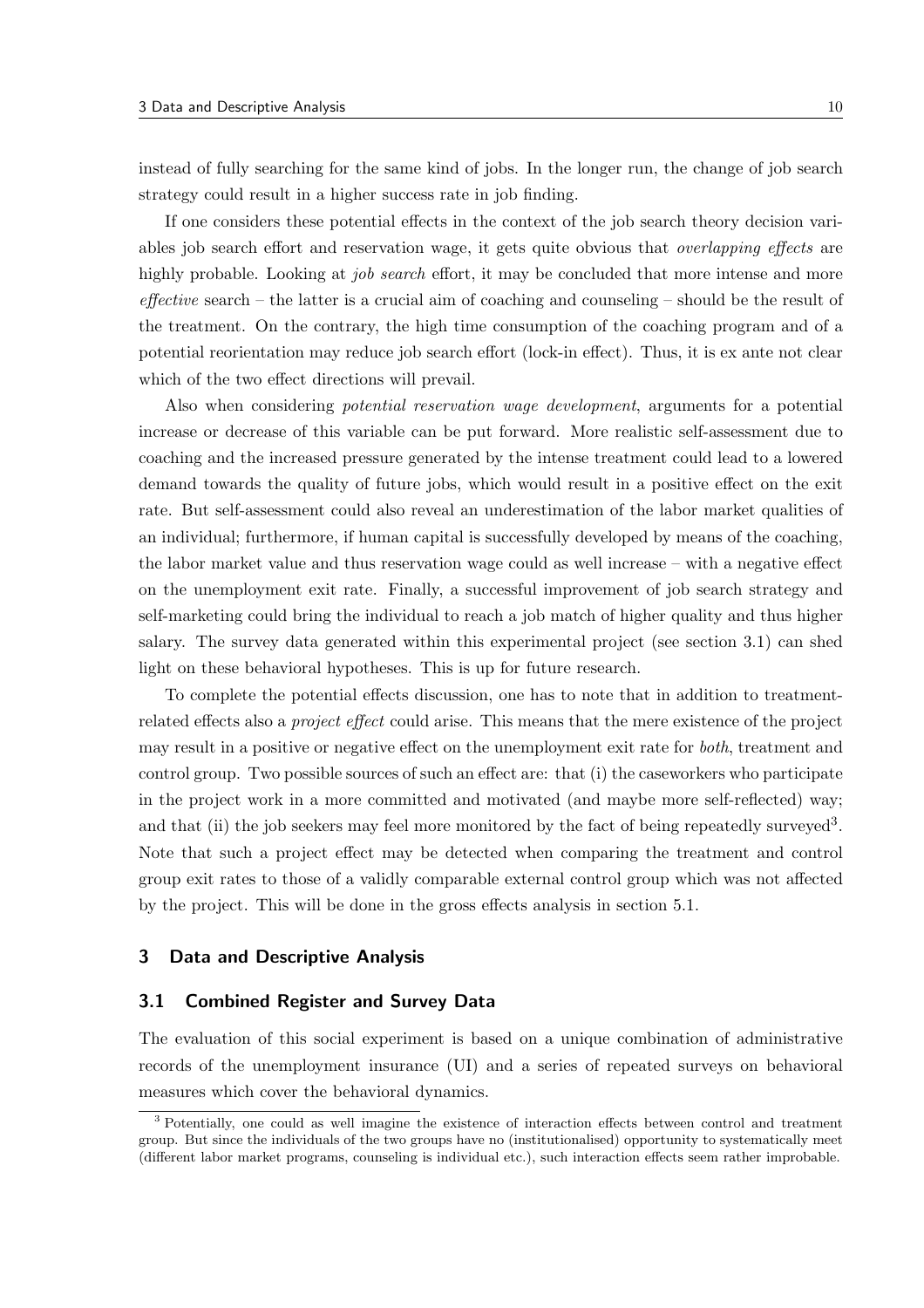instead of fully searching for the same kind of jobs. In the longer run, the change of job search strategy could result in a higher success rate in job finding.

If one considers these potential effects in the context of the job search theory decision variables job search effort and reservation wage, it gets quite obvious that *overlapping effects* are highly probable. Looking at *job search* effort, it may be concluded that more intense and more  $effective$  search – the latter is a crucial aim of coaching and counseling – should be the result of the treatment. On the contrary, the high time consumption of the coaching program and of a potential reorientation may reduce job search effort (lock-in effect). Thus, it is ex ante not clear which of the two effect directions will prevail.

Also when considering potential reservation wage development, arguments for a potential increase or decrease of this variable can be put forward. More realistic self-assessment due to coaching and the increased pressure generated by the intense treatment could lead to a lowered demand towards the quality of future jobs, which would result in a positive effect on the exit rate. But self-assessment could also reveal an underestimation of the labor market qualities of an individual; furthermore, if human capital is successfully developed by means of the coaching, the labor market value and thus reservation wage could as well increase – with a negative effect on the unemployment exit rate. Finally, a successful improvement of job search strategy and self-marketing could bring the individual to reach a job match of higher quality and thus higher salary. The survey data generated within this experimental project (see section 3.1) can shed light on these behavioral hypotheses. This is up for future research.

To complete the potential effects discussion, one has to note that in addition to treatmentrelated effects also a project effect could arise. This means that the mere existence of the project may result in a positive or negative effect on the unemployment exit rate for both, treatment and control group. Two possible sources of such an effect are: that (i) the caseworkers who participate in the project work in a more committed and motivated (and maybe more self-reflected) way; and that (ii) the job seekers may feel more monitored by the fact of being repeatedly surveyed<sup>3</sup>. Note that such a project effect may be detected when comparing the treatment and control group exit rates to those of a validly comparable external control group which was not affected by the project. This will be done in the gross effects analysis in section 5.1.

#### 3 Data and Descriptive Analysis

#### 3.1 Combined Register and Survey Data

The evaluation of this social experiment is based on a unique combination of administrative records of the unemployment insurance (UI) and a series of repeated surveys on behavioral measures which cover the behavioral dynamics.

<sup>3</sup> Potentially, one could as well imagine the existence of interaction effects between control and treatment group. But since the individuals of the two groups have no (institutionalised) opportunity to systematically meet (different labor market programs, counseling is individual etc.), such interaction effects seem rather improbable.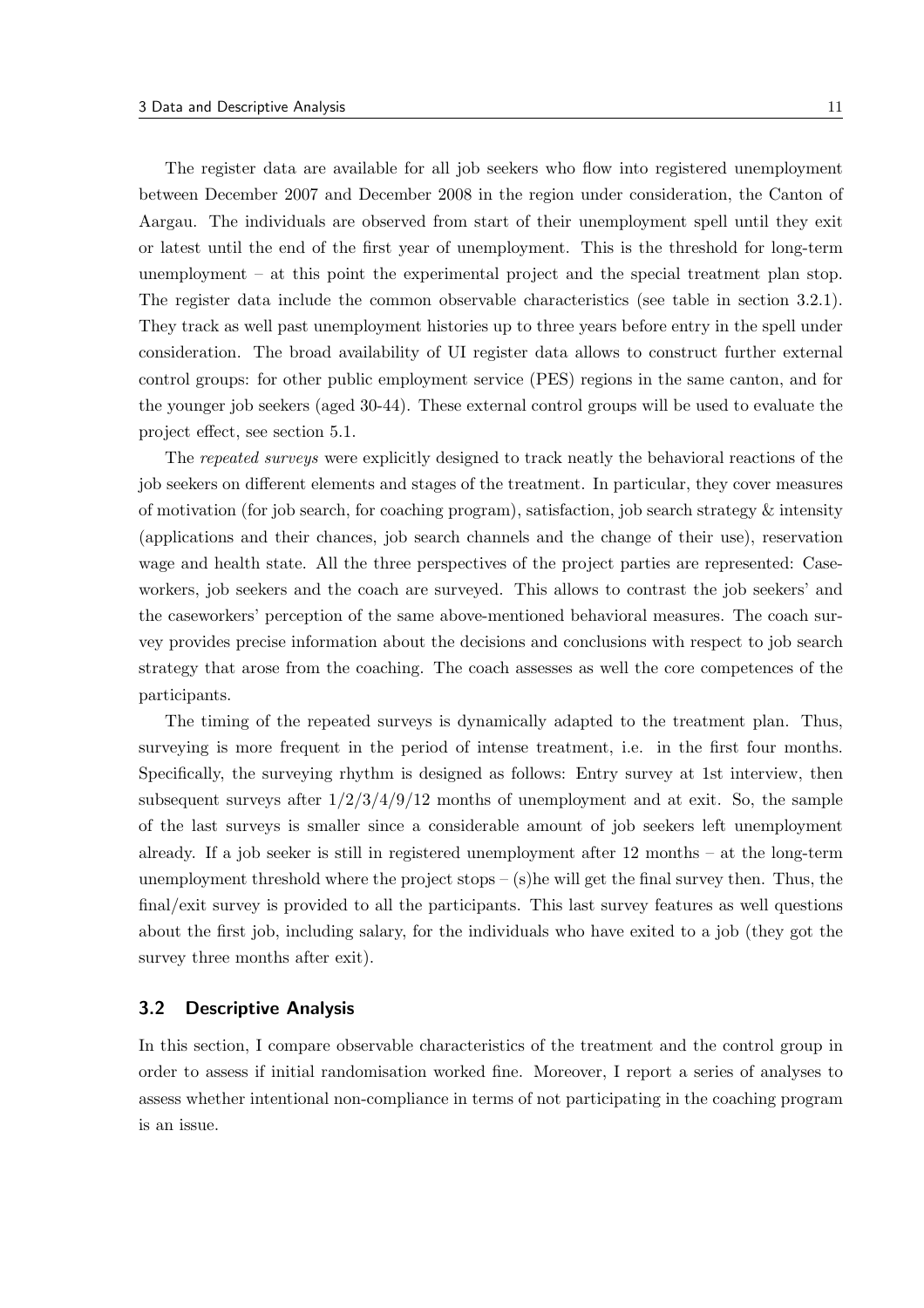The register data are available for all job seekers who flow into registered unemployment between December 2007 and December 2008 in the region under consideration, the Canton of Aargau. The individuals are observed from start of their unemployment spell until they exit or latest until the end of the first year of unemployment. This is the threshold for long-term unemployment – at this point the experimental project and the special treatment plan stop. The register data include the common observable characteristics (see table in section 3.2.1). They track as well past unemployment histories up to three years before entry in the spell under consideration. The broad availability of UI register data allows to construct further external control groups: for other public employment service (PES) regions in the same canton, and for the younger job seekers (aged 30-44). These external control groups will be used to evaluate the project effect, see section 5.1.

The repeated surveys were explicitly designed to track neatly the behavioral reactions of the job seekers on different elements and stages of the treatment. In particular, they cover measures of motivation (for job search, for coaching program), satisfaction, job search strategy  $\&$  intensity (applications and their chances, job search channels and the change of their use), reservation wage and health state. All the three perspectives of the project parties are represented: Caseworkers, job seekers and the coach are surveyed. This allows to contrast the job seekers' and the caseworkers' perception of the same above-mentioned behavioral measures. The coach survey provides precise information about the decisions and conclusions with respect to job search strategy that arose from the coaching. The coach assesses as well the core competences of the participants.

The timing of the repeated surveys is dynamically adapted to the treatment plan. Thus, surveying is more frequent in the period of intense treatment, i.e. in the first four months. Specifically, the surveying rhythm is designed as follows: Entry survey at 1st interview, then subsequent surveys after  $1/2/3/4/9/12$  months of unemployment and at exit. So, the sample of the last surveys is smaller since a considerable amount of job seekers left unemployment already. If a job seeker is still in registered unemployment after 12 months – at the long-term unemployment threshold where the project stops – (s)he will get the final survey then. Thus, the final/exit survey is provided to all the participants. This last survey features as well questions about the first job, including salary, for the individuals who have exited to a job (they got the survey three months after exit).

### 3.2 Descriptive Analysis

In this section, I compare observable characteristics of the treatment and the control group in order to assess if initial randomisation worked fine. Moreover, I report a series of analyses to assess whether intentional non-compliance in terms of not participating in the coaching program is an issue.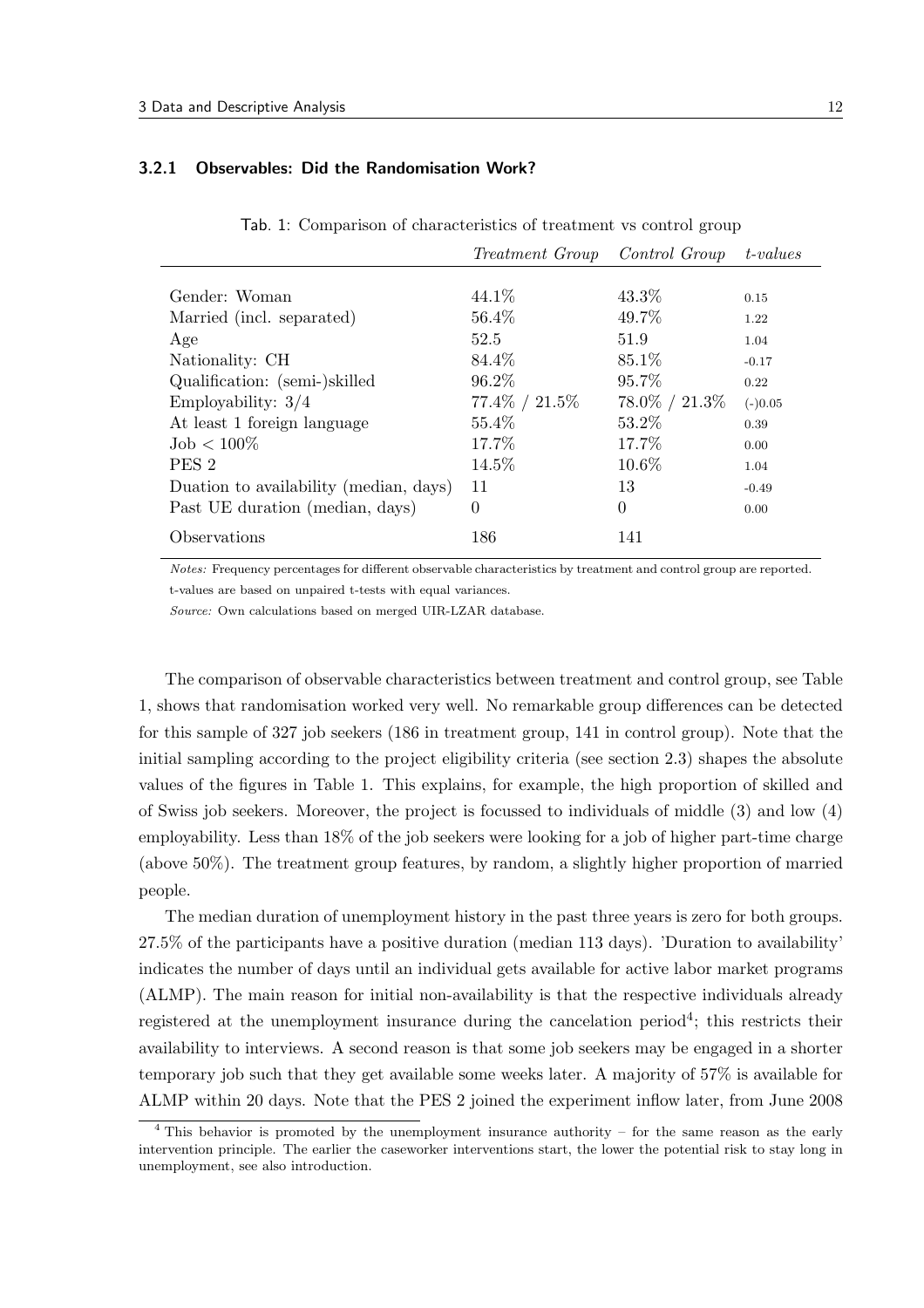#### 3.2.1 Observables: Did the Randomisation Work?

|  |  | Tab. 1: Comparison of characteristics of treatment vs control group |  |  |  |
|--|--|---------------------------------------------------------------------|--|--|--|
|--|--|---------------------------------------------------------------------|--|--|--|

|                                        | <i>Treatment Group</i> | Control Group     | t-values  |
|----------------------------------------|------------------------|-------------------|-----------|
|                                        |                        |                   |           |
| Gender: Woman                          | 44.1\%                 | 43.3%             | 0.15      |
| Married (incl. separated)              | 56.4\%                 | 49.7%             | 1.22      |
| Age                                    | 52.5                   | 51.9              | 1.04      |
| Nationality: CH                        | 84.4\%                 | 85.1\%            | $-0.17$   |
| Qualification: (semi-)skilled          | 96.2\%                 | 95.7%             | 0.22      |
| Employability: $3/4$                   | $77.4\% / 21.5\%$      | $78.0\% / 21.3\%$ | $(-)0.05$ |
| At least 1 foreign language            | 55.4\%                 | 53.2\%            | 0.39      |
| $Job < 100\%$                          | 17.7%                  | 17.7\%            | 0.00      |
| PES <sub>2</sub>                       | 14.5%                  | 10.6%             | 1.04      |
| Duation to availability (median, days) | 11                     | 13                | $-0.49$   |
| Past UE duration (median, days)        | $\Omega$               | $\overline{0}$    | 0.00      |
| Observations                           | 186                    | 141               |           |

Notes: Frequency percentages for different observable characteristics by treatment and control group are reported. t-values are based on unpaired t-tests with equal variances.

Source: Own calculations based on merged UIR-LZAR database.

The comparison of observable characteristics between treatment and control group, see Table 1, shows that randomisation worked very well. No remarkable group differences can be detected for this sample of 327 job seekers (186 in treatment group, 141 in control group). Note that the initial sampling according to the project eligibility criteria (see section 2.3) shapes the absolute values of the figures in Table 1. This explains, for example, the high proportion of skilled and of Swiss job seekers. Moreover, the project is focussed to individuals of middle (3) and low (4) employability. Less than 18% of the job seekers were looking for a job of higher part-time charge (above 50%). The treatment group features, by random, a slightly higher proportion of married people.

The median duration of unemployment history in the past three years is zero for both groups. 27.5% of the participants have a positive duration (median 113 days). 'Duration to availability' indicates the number of days until an individual gets available for active labor market programs (ALMP). The main reason for initial non-availability is that the respective individuals already registered at the unemployment insurance during the cancelation period<sup>4</sup>; this restricts their availability to interviews. A second reason is that some job seekers may be engaged in a shorter temporary job such that they get available some weeks later. A majority of 57% is available for ALMP within 20 days. Note that the PES 2 joined the experiment inflow later, from June 2008

<sup>4</sup> This behavior is promoted by the unemployment insurance authority – for the same reason as the early intervention principle. The earlier the caseworker interventions start, the lower the potential risk to stay long in unemployment, see also introduction.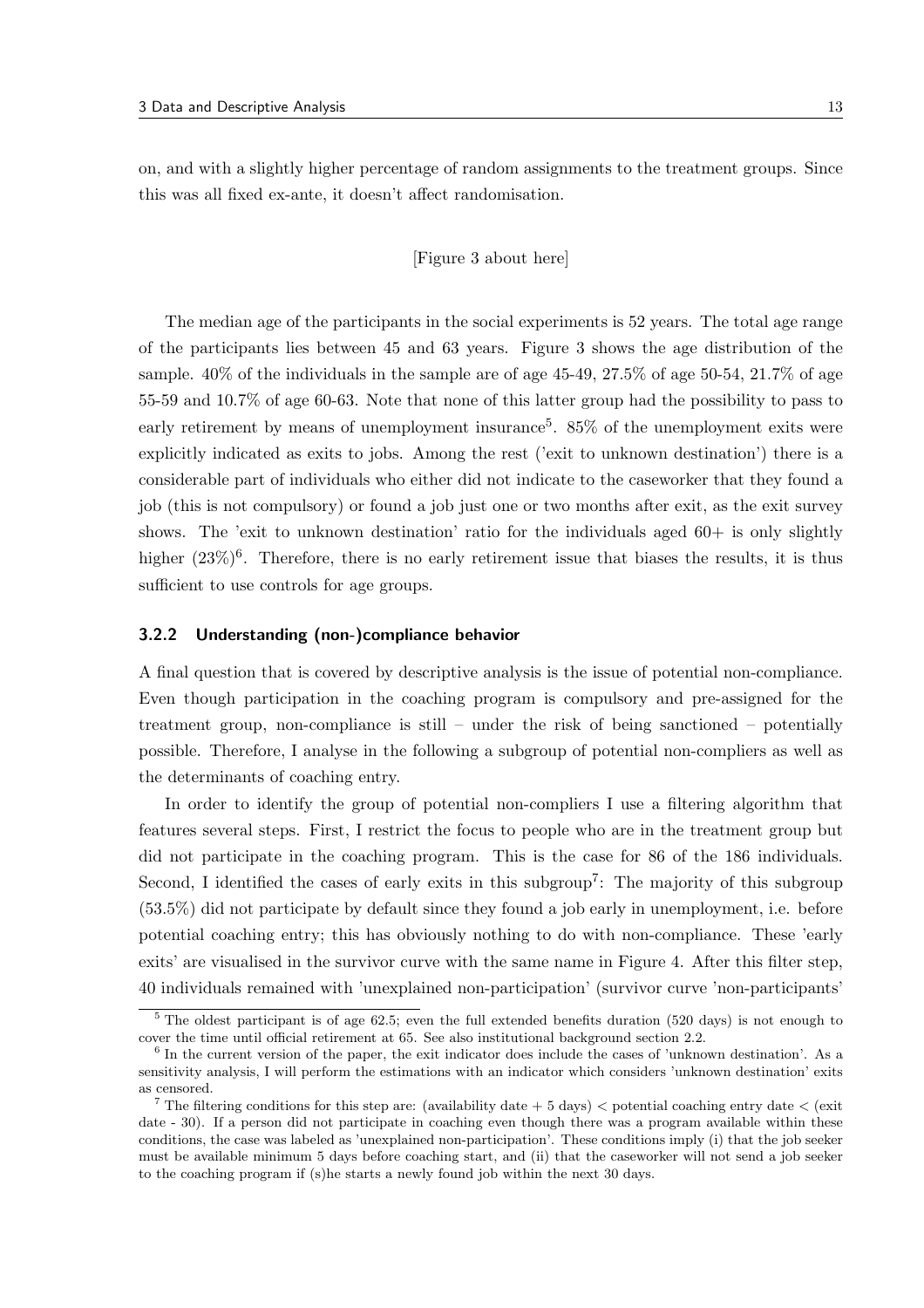on, and with a slightly higher percentage of random assignments to the treatment groups. Since this was all fixed ex-ante, it doesn't affect randomisation.

#### [Figure 3 about here]

The median age of the participants in the social experiments is 52 years. The total age range of the participants lies between 45 and 63 years. Figure 3 shows the age distribution of the sample. 40% of the individuals in the sample are of age 45-49, 27.5% of age 50-54, 21.7% of age 55-59 and 10.7% of age 60-63. Note that none of this latter group had the possibility to pass to early retirement by means of unemployment insurance<sup>5</sup>. 85% of the unemployment exits were explicitly indicated as exits to jobs. Among the rest ('exit to unknown destination') there is a considerable part of individuals who either did not indicate to the caseworker that they found a job (this is not compulsory) or found a job just one or two months after exit, as the exit survey shows. The 'exit to unknown destination' ratio for the individuals aged  $60+$  is only slightly higher  $(23\%)^6$ . Therefore, there is no early retirement issue that biases the results, it is thus sufficient to use controls for age groups.

#### 3.2.2 Understanding (non-)compliance behavior

A final question that is covered by descriptive analysis is the issue of potential non-compliance. Even though participation in the coaching program is compulsory and pre-assigned for the treatment group, non-compliance is still – under the risk of being sanctioned – potentially possible. Therefore, I analyse in the following a subgroup of potential non-compliers as well as the determinants of coaching entry.

In order to identify the group of potential non-compliers I use a filtering algorithm that features several steps. First, I restrict the focus to people who are in the treatment group but did not participate in the coaching program. This is the case for 86 of the 186 individuals. Second, I identified the cases of early exits in this subgroup<sup>7</sup>: The majority of this subgroup (53.5%) did not participate by default since they found a job early in unemployment, i.e. before potential coaching entry; this has obviously nothing to do with non-compliance. These 'early exits' are visualised in the survivor curve with the same name in Figure 4. After this filter step, 40 individuals remained with 'unexplained non-participation' (survivor curve 'non-participants'

<sup>&</sup>lt;sup>5</sup> The oldest participant is of age 62.5; even the full extended benefits duration (520 days) is not enough to cover the time until official retirement at 65. See also institutional background section 2.2.

<sup>&</sup>lt;sup>6</sup> In the current version of the paper, the exit indicator does include the cases of 'unknown destination'. As a sensitivity analysis, I will perform the estimations with an indicator which considers 'unknown destination' exits as censored.

<sup>&</sup>lt;sup>7</sup> The filtering conditions for this step are: (availability date  $+5$  days)  $<$  potential coaching entry date  $<$  (exit date - 30). If a person did not participate in coaching even though there was a program available within these conditions, the case was labeled as 'unexplained non-participation'. These conditions imply (i) that the job seeker must be available minimum 5 days before coaching start, and (ii) that the caseworker will not send a job seeker to the coaching program if (s)he starts a newly found job within the next 30 days.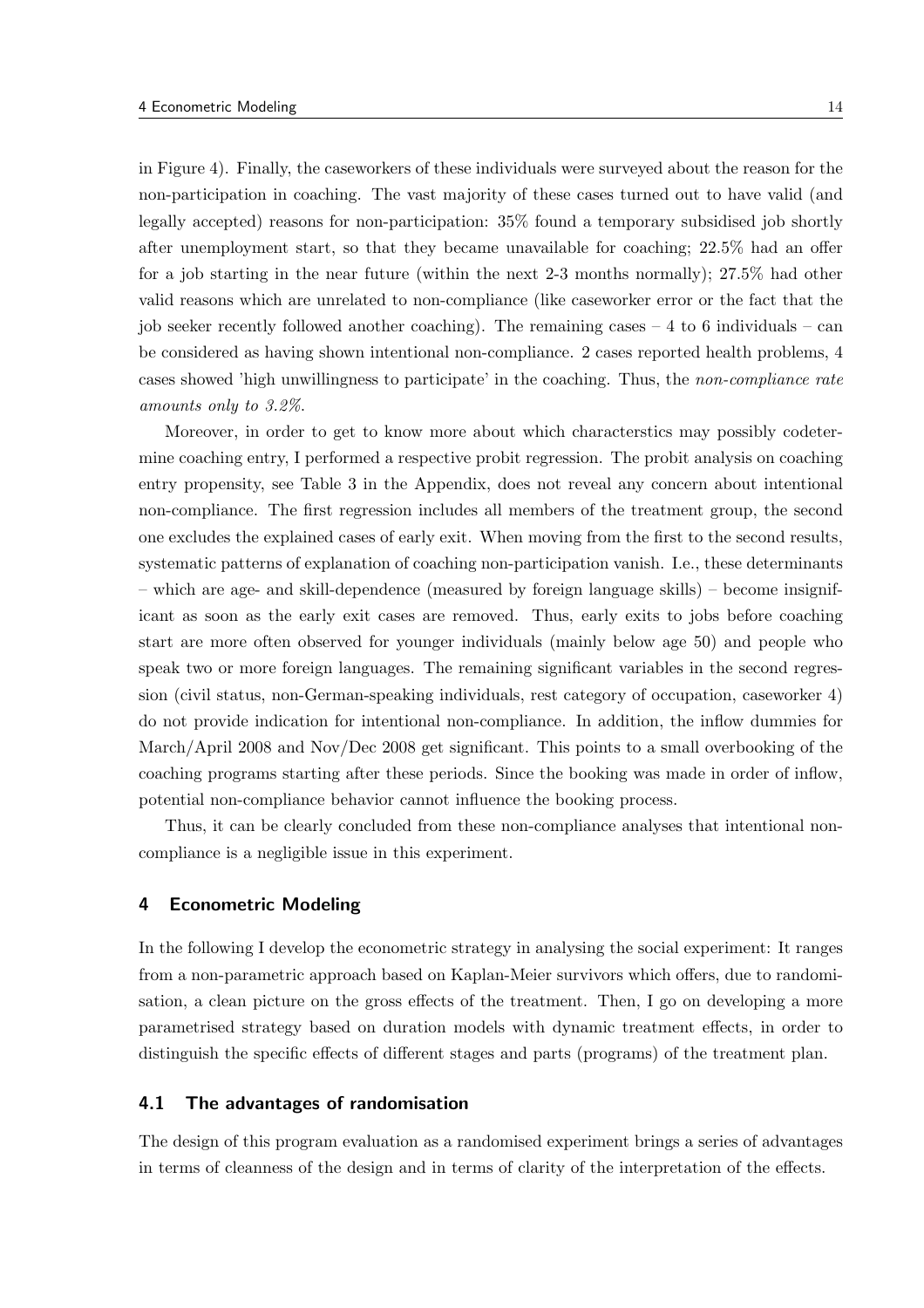in Figure 4). Finally, the caseworkers of these individuals were surveyed about the reason for the non-participation in coaching. The vast majority of these cases turned out to have valid (and legally accepted) reasons for non-participation: 35% found a temporary subsidised job shortly after unemployment start, so that they became unavailable for coaching; 22.5% had an offer for a job starting in the near future (within the next 2-3 months normally); 27.5% had other valid reasons which are unrelated to non-compliance (like caseworker error or the fact that the job seeker recently followed another coaching). The remaining cases  $-4$  to 6 individuals – can be considered as having shown intentional non-compliance. 2 cases reported health problems, 4 cases showed 'high unwillingness to participate' in the coaching. Thus, the non-compliance rate amounts only to 3.2%.

Moreover, in order to get to know more about which characterstics may possibly codetermine coaching entry, I performed a respective probit regression. The probit analysis on coaching entry propensity, see Table 3 in the Appendix, does not reveal any concern about intentional non-compliance. The first regression includes all members of the treatment group, the second one excludes the explained cases of early exit. When moving from the first to the second results, systematic patterns of explanation of coaching non-participation vanish. I.e., these determinants – which are age- and skill-dependence (measured by foreign language skills) – become insignificant as soon as the early exit cases are removed. Thus, early exits to jobs before coaching start are more often observed for younger individuals (mainly below age 50) and people who speak two or more foreign languages. The remaining significant variables in the second regression (civil status, non-German-speaking individuals, rest category of occupation, caseworker 4) do not provide indication for intentional non-compliance. In addition, the inflow dummies for March/April 2008 and Nov/Dec 2008 get significant. This points to a small overbooking of the coaching programs starting after these periods. Since the booking was made in order of inflow, potential non-compliance behavior cannot influence the booking process.

Thus, it can be clearly concluded from these non-compliance analyses that intentional noncompliance is a negligible issue in this experiment.

## 4 Econometric Modeling

In the following I develop the econometric strategy in analysing the social experiment: It ranges from a non-parametric approach based on Kaplan-Meier survivors which offers, due to randomisation, a clean picture on the gross effects of the treatment. Then, I go on developing a more parametrised strategy based on duration models with dynamic treatment effects, in order to distinguish the specific effects of different stages and parts (programs) of the treatment plan.

## 4.1 The advantages of randomisation

The design of this program evaluation as a randomised experiment brings a series of advantages in terms of cleanness of the design and in terms of clarity of the interpretation of the effects.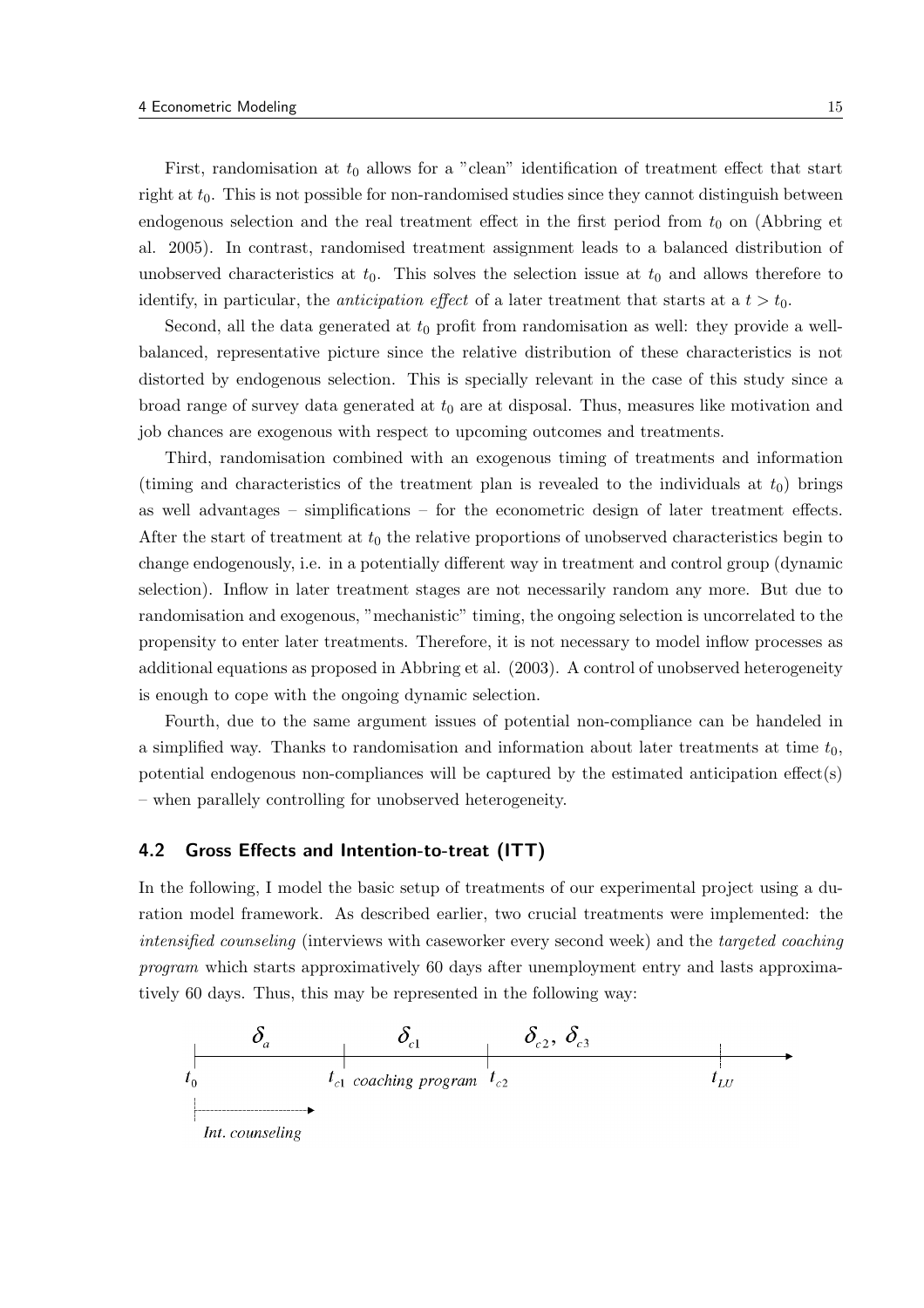First, randomisation at  $t_0$  allows for a "clean" identification of treatment effect that start right at  $t_0$ . This is not possible for non-randomised studies since they cannot distinguish between endogenous selection and the real treatment effect in the first period from  $t_0$  on (Abbring et al. 2005). In contrast, randomised treatment assignment leads to a balanced distribution of unobserved characteristics at  $t_0$ . This solves the selection issue at  $t_0$  and allows therefore to identify, in particular, the *anticipation effect* of a later treatment that starts at a  $t > t_0$ .

Second, all the data generated at  $t_0$  profit from randomisation as well: they provide a wellbalanced, representative picture since the relative distribution of these characteristics is not distorted by endogenous selection. This is specially relevant in the case of this study since a broad range of survey data generated at  $t_0$  are at disposal. Thus, measures like motivation and job chances are exogenous with respect to upcoming outcomes and treatments.

Third, randomisation combined with an exogenous timing of treatments and information (timing and characteristics of the treatment plan is revealed to the individuals at  $t_0$ ) brings as well advantages – simplifications – for the econometric design of later treatment effects. After the start of treatment at  $t_0$  the relative proportions of unobserved characteristics begin to change endogenously, i.e. in a potentially different way in treatment and control group (dynamic selection). Inflow in later treatment stages are not necessarily random any more. But due to randomisation and exogenous, "mechanistic" timing, the ongoing selection is uncorrelated to the propensity to enter later treatments. Therefore, it is not necessary to model inflow processes as additional equations as proposed in Abbring et al. (2003). A control of unobserved heterogeneity is enough to cope with the ongoing dynamic selection.

Fourth, due to the same argument issues of potential non-compliance can be handeled in a simplified way. Thanks to randomisation and information about later treatments at time  $t_0$ , potential endogenous non-compliances will be captured by the estimated anticipation effect(s) – when parallely controlling for unobserved heterogeneity.

## 4.2 Gross Effects and Intention-to-treat (ITT)

In the following, I model the basic setup of treatments of our experimental project using a duration model framework. As described earlier, two crucial treatments were implemented: the intensified counseling (interviews with caseworker every second week) and the targeted coaching program which starts approximatively 60 days after unemployment entry and lasts approximatively 60 days. Thus, this may be represented in the following way:

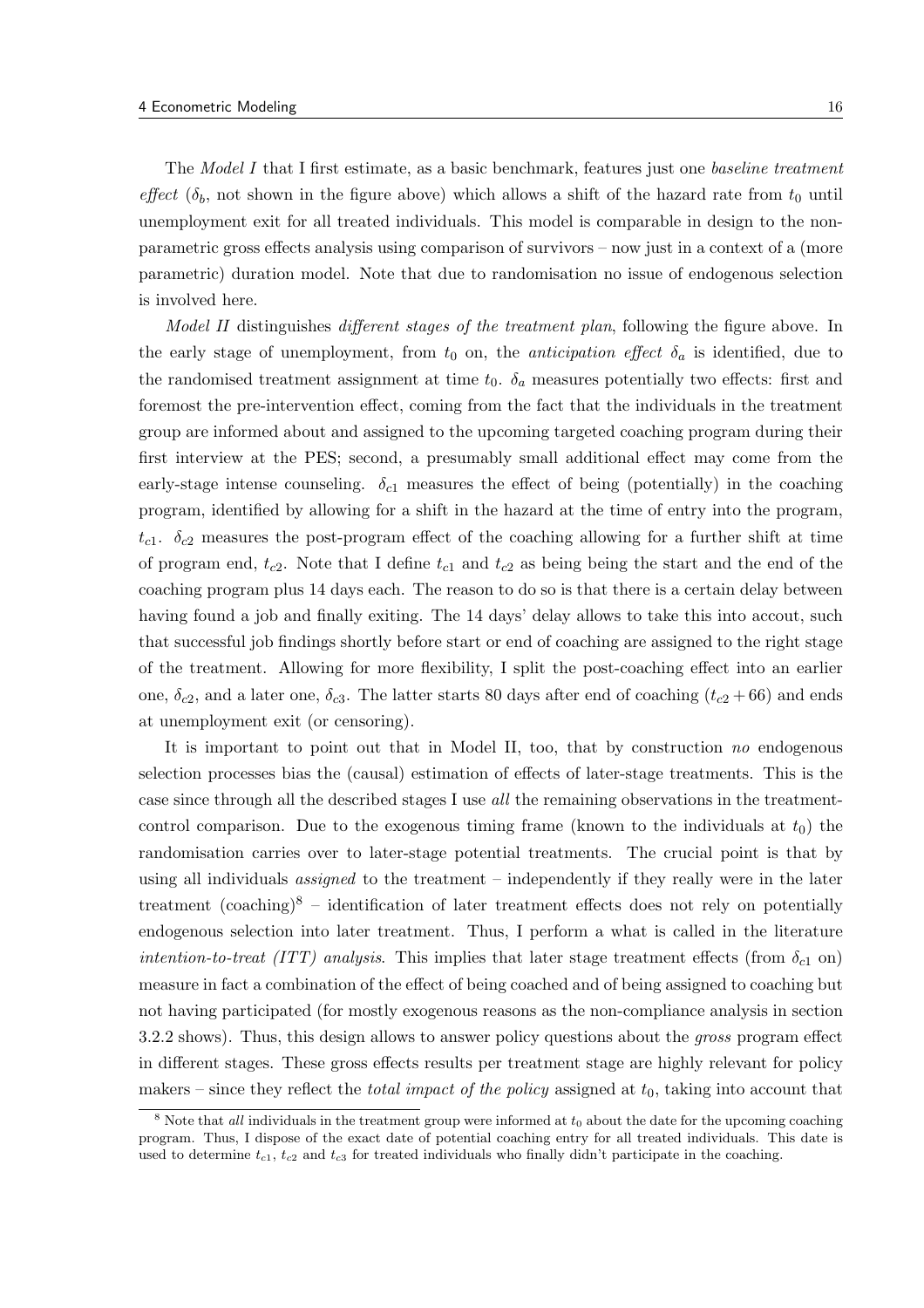The Model I that I first estimate, as a basic benchmark, features just one baseline treatment effect  $(\delta_b, \text{ not shown in the figure above})$  which allows a shift of the hazard rate from  $t_0$  until unemployment exit for all treated individuals. This model is comparable in design to the nonparametric gross effects analysis using comparison of survivors – now just in a context of a (more parametric) duration model. Note that due to randomisation no issue of endogenous selection is involved here.

Model II distinguishes different stages of the treatment plan, following the figure above. In the early stage of unemployment, from  $t_0$  on, the *anticipation effect*  $\delta_a$  is identified, due to the randomised treatment assignment at time  $t_0$ .  $\delta_a$  measures potentially two effects: first and foremost the pre-intervention effect, coming from the fact that the individuals in the treatment group are informed about and assigned to the upcoming targeted coaching program during their first interview at the PES; second, a presumably small additional effect may come from the early-stage intense counseling.  $\delta_{c1}$  measures the effect of being (potentially) in the coaching program, identified by allowing for a shift in the hazard at the time of entry into the program,  $t_{c1}$ .  $\delta_{c2}$  measures the post-program effect of the coaching allowing for a further shift at time of program end,  $t_{c2}$ . Note that I define  $t_{c1}$  and  $t_{c2}$  as being being the start and the end of the coaching program plus 14 days each. The reason to do so is that there is a certain delay between having found a job and finally exiting. The 14 days' delay allows to take this into accout, such that successful job findings shortly before start or end of coaching are assigned to the right stage of the treatment. Allowing for more flexibility, I split the post-coaching effect into an earlier one,  $\delta_{c2}$ , and a later one,  $\delta_{c3}$ . The latter starts 80 days after end of coaching  $(t_{c2} + 66)$  and ends at unemployment exit (or censoring).

It is important to point out that in Model II, too, that by construction no endogenous selection processes bias the (causal) estimation of effects of later-stage treatments. This is the case since through all the described stages I use all the remaining observations in the treatmentcontrol comparison. Due to the exogenous timing frame (known to the individuals at  $t_0$ ) the randomisation carries over to later-stage potential treatments. The crucial point is that by using all individuals *assigned* to the treatment – independently if they really were in the later treatment (coaching)<sup>8</sup> – identification of later treatment effects does not rely on potentially endogenous selection into later treatment. Thus, I perform a what is called in the literature *intention-to-treat (ITT) analysis.* This implies that later stage treatment effects (from  $\delta_{c1}$  on) measure in fact a combination of the effect of being coached and of being assigned to coaching but not having participated (for mostly exogenous reasons as the non-compliance analysis in section 3.2.2 shows). Thus, this design allows to answer policy questions about the *gross* program effect in different stages. These gross effects results per treatment stage are highly relevant for policy makers – since they reflect the *total impact of the policy* assigned at  $t_0$ , taking into account that

<sup>&</sup>lt;sup>8</sup> Note that *all* individuals in the treatment group were informed at  $t_0$  about the date for the upcoming coaching program. Thus, I dispose of the exact date of potential coaching entry for all treated individuals. This date is used to determine  $t_{c1}$ ,  $t_{c2}$  and  $t_{c3}$  for treated individuals who finally didn't participate in the coaching.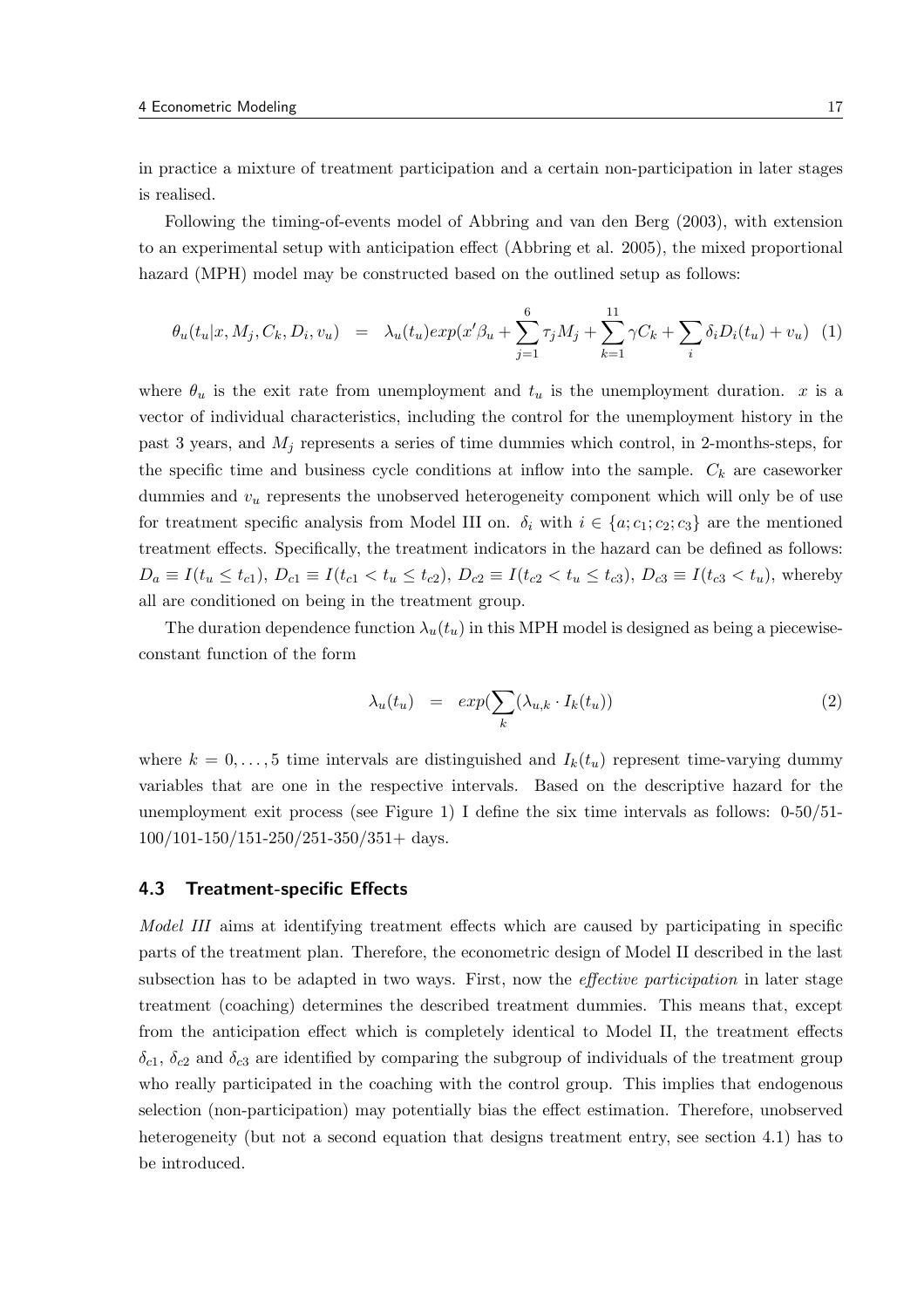in practice a mixture of treatment participation and a certain non-participation in later stages is realised.

Following the timing-of-events model of Abbring and van den Berg (2003), with extension to an experimental setup with anticipation effect (Abbring et al. 2005), the mixed proportional hazard (MPH) model may be constructed based on the outlined setup as follows:

$$
\theta_u(t_u|x, M_j, C_k, D_i, v_u) = \lambda_u(t_u) exp(x'\beta_u + \sum_{j=1}^6 \tau_j M_j + \sum_{k=1}^{11} \gamma C_k + \sum_i \delta_i D_i(t_u) + v_u) \tag{1}
$$

where  $\theta_u$  is the exit rate from unemployment and  $t_u$  is the unemployment duration. x is a vector of individual characteristics, including the control for the unemployment history in the past 3 years, and  $M_i$  represents a series of time dummies which control, in 2-months-steps, for the specific time and business cycle conditions at inflow into the sample.  $C_k$  are caseworker dummies and  $v_u$  represents the unobserved heterogeneity component which will only be of use for treatment specific analysis from Model III on.  $\delta_i$  with  $i \in \{a; c_1; c_2; c_3\}$  are the mentioned treatment effects. Specifically, the treatment indicators in the hazard can be defined as follows:  $D_a \equiv I(t_u \leq t_{c1}), D_{c1} \equiv I(t_{c1} < t_u \leq t_{c2}), D_{c2} \equiv I(t_{c2} < t_u \leq t_{c3}), D_{c3} \equiv I(t_{c3} < t_u),$  whereby all are conditioned on being in the treatment group.

The duration dependence function  $\lambda_u(t_u)$  in this MPH model is designed as being a piecewiseconstant function of the form

$$
\lambda_u(t_u) = exp(\sum_k (\lambda_{u,k} \cdot I_k(t_u))
$$
\n(2)

where  $k = 0, \ldots, 5$  time intervals are distinguished and  $I_k(t_u)$  represent time-varying dummy variables that are one in the respective intervals. Based on the descriptive hazard for the unemployment exit process (see Figure 1) I define the six time intervals as follows:  $0-50/51-$ 100/101-150/151-250/251-350/351+ days.

#### 4.3 Treatment-specific Effects

Model III aims at identifying treatment effects which are caused by participating in specific parts of the treatment plan. Therefore, the econometric design of Model II described in the last subsection has to be adapted in two ways. First, now the *effective participation* in later stage treatment (coaching) determines the described treatment dummies. This means that, except from the anticipation effect which is completely identical to Model II, the treatment effects  $\delta_{c1}$ ,  $\delta_{c2}$  and  $\delta_{c3}$  are identified by comparing the subgroup of individuals of the treatment group who really participated in the coaching with the control group. This implies that endogenous selection (non-participation) may potentially bias the effect estimation. Therefore, unobserved heterogeneity (but not a second equation that designs treatment entry, see section 4.1) has to be introduced.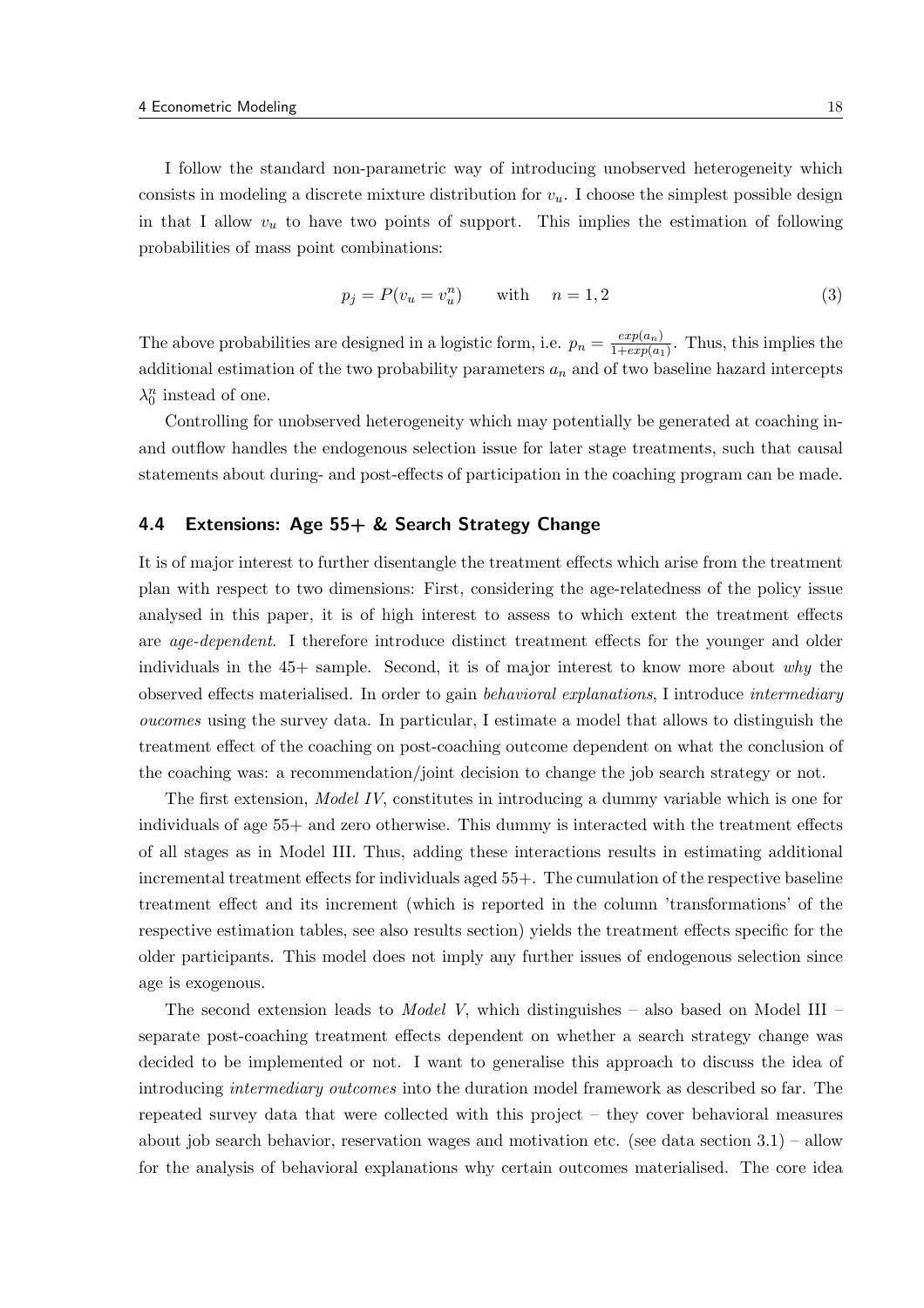I follow the standard non-parametric way of introducing unobserved heterogeneity which consists in modeling a discrete mixture distribution for  $v<sub>u</sub>$ . I choose the simplest possible design in that I allow  $v_u$  to have two points of support. This implies the estimation of following probabilities of mass point combinations:

$$
p_j = P(v_u = v_u^n) \qquad \text{with} \qquad n = 1, 2 \tag{3}
$$

The above probabilities are designed in a logistic form, i.e.  $p_n = \frac{exp(a_n)}{1 + exp(a_n)}$  $\frac{exp(a_n)}{1+exp(a_1)}$ . Thus, this implies the additional estimation of the two probability parameters  $a_n$  and of two baseline hazard intercepts  $\lambda_0^n$  instead of one.

Controlling for unobserved heterogeneity which may potentially be generated at coaching inand outflow handles the endogenous selection issue for later stage treatments, such that causal statements about during- and post-effects of participation in the coaching program can be made.

## 4.4 Extensions: Age 55+ & Search Strategy Change

It is of major interest to further disentangle the treatment effects which arise from the treatment plan with respect to two dimensions: First, considering the age-relatedness of the policy issue analysed in this paper, it is of high interest to assess to which extent the treatment effects are age-dependent. I therefore introduce distinct treatment effects for the younger and older individuals in the  $45+$  sample. Second, it is of major interest to know more about why the observed effects materialised. In order to gain behavioral explanations, I introduce intermediary oucomes using the survey data. In particular, I estimate a model that allows to distinguish the treatment effect of the coaching on post-coaching outcome dependent on what the conclusion of the coaching was: a recommendation/joint decision to change the job search strategy or not.

The first extension, Model IV, constitutes in introducing a dummy variable which is one for individuals of age 55+ and zero otherwise. This dummy is interacted with the treatment effects of all stages as in Model III. Thus, adding these interactions results in estimating additional incremental treatment effects for individuals aged 55+. The cumulation of the respective baseline treatment effect and its increment (which is reported in the column 'transformations' of the respective estimation tables, see also results section) yields the treatment effects specific for the older participants. This model does not imply any further issues of endogenous selection since age is exogenous.

The second extension leads to *Model V*, which distinguishes – also based on Model III – separate post-coaching treatment effects dependent on whether a search strategy change was decided to be implemented or not. I want to generalise this approach to discuss the idea of introducing intermediary outcomes into the duration model framework as described so far. The repeated survey data that were collected with this project – they cover behavioral measures about job search behavior, reservation wages and motivation etc. (see data section 3.1) – allow for the analysis of behavioral explanations why certain outcomes materialised. The core idea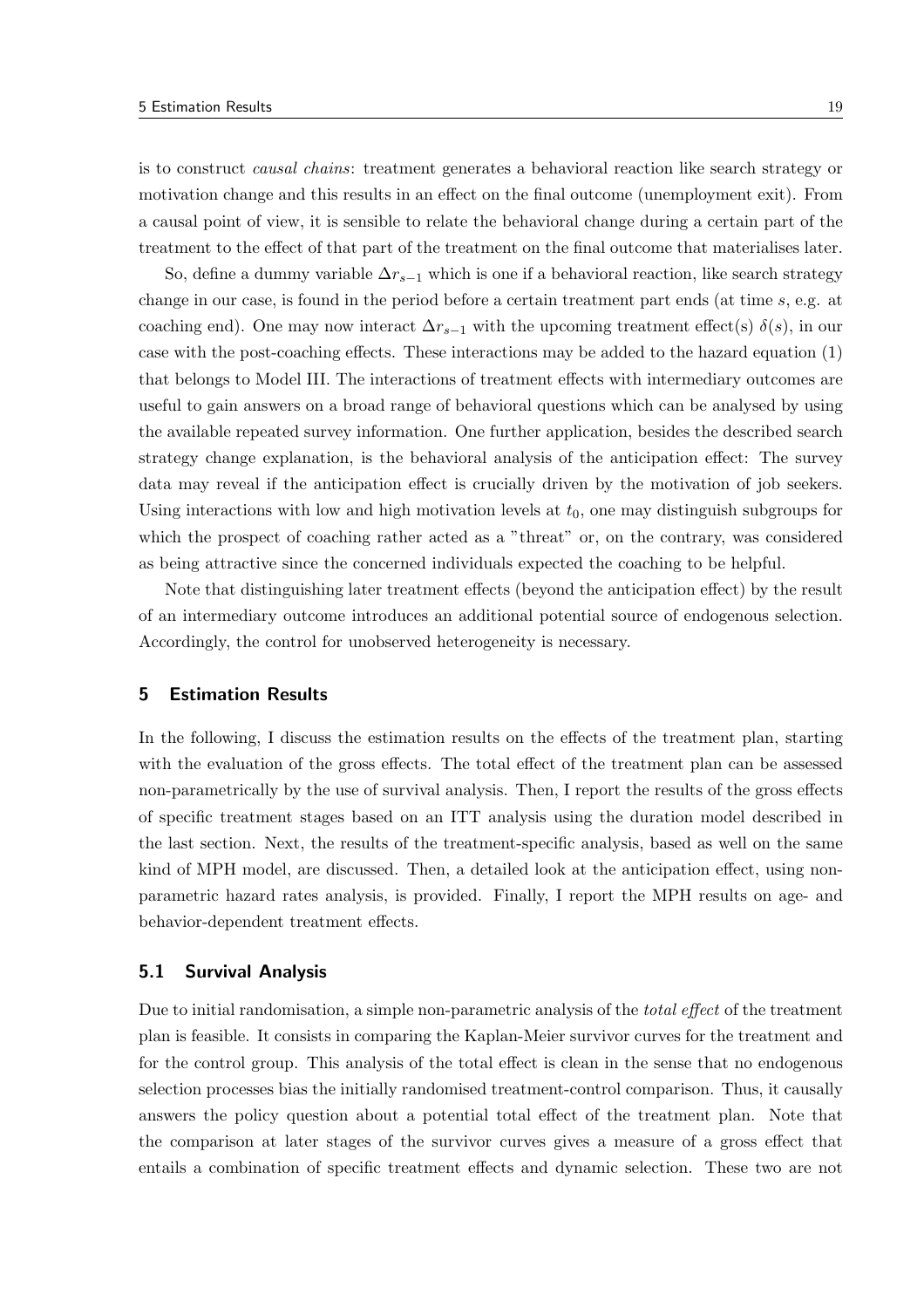is to construct causal chains: treatment generates a behavioral reaction like search strategy or motivation change and this results in an effect on the final outcome (unemployment exit). From a causal point of view, it is sensible to relate the behavioral change during a certain part of the treatment to the effect of that part of the treatment on the final outcome that materialises later.

So, define a dummy variable  $\Delta r_{s-1}$  which is one if a behavioral reaction, like search strategy change in our case, is found in the period before a certain treatment part ends (at time s, e.g. at coaching end). One may now interact  $\Delta r_{s-1}$  with the upcoming treatment effect(s)  $\delta(s)$ , in our case with the post-coaching effects. These interactions may be added to the hazard equation (1) that belongs to Model III. The interactions of treatment effects with intermediary outcomes are useful to gain answers on a broad range of behavioral questions which can be analysed by using the available repeated survey information. One further application, besides the described search strategy change explanation, is the behavioral analysis of the anticipation effect: The survey data may reveal if the anticipation effect is crucially driven by the motivation of job seekers. Using interactions with low and high motivation levels at  $t_0$ , one may distinguish subgroups for which the prospect of coaching rather acted as a "threat" or, on the contrary, was considered as being attractive since the concerned individuals expected the coaching to be helpful.

Note that distinguishing later treatment effects (beyond the anticipation effect) by the result of an intermediary outcome introduces an additional potential source of endogenous selection. Accordingly, the control for unobserved heterogeneity is necessary.

#### 5 Estimation Results

In the following, I discuss the estimation results on the effects of the treatment plan, starting with the evaluation of the gross effects. The total effect of the treatment plan can be assessed non-parametrically by the use of survival analysis. Then, I report the results of the gross effects of specific treatment stages based on an ITT analysis using the duration model described in the last section. Next, the results of the treatment-specific analysis, based as well on the same kind of MPH model, are discussed. Then, a detailed look at the anticipation effect, using nonparametric hazard rates analysis, is provided. Finally, I report the MPH results on age- and behavior-dependent treatment effects.

#### 5.1 Survival Analysis

Due to initial randomisation, a simple non-parametric analysis of the *total effect* of the treatment plan is feasible. It consists in comparing the Kaplan-Meier survivor curves for the treatment and for the control group. This analysis of the total effect is clean in the sense that no endogenous selection processes bias the initially randomised treatment-control comparison. Thus, it causally answers the policy question about a potential total effect of the treatment plan. Note that the comparison at later stages of the survivor curves gives a measure of a gross effect that entails a combination of specific treatment effects and dynamic selection. These two are not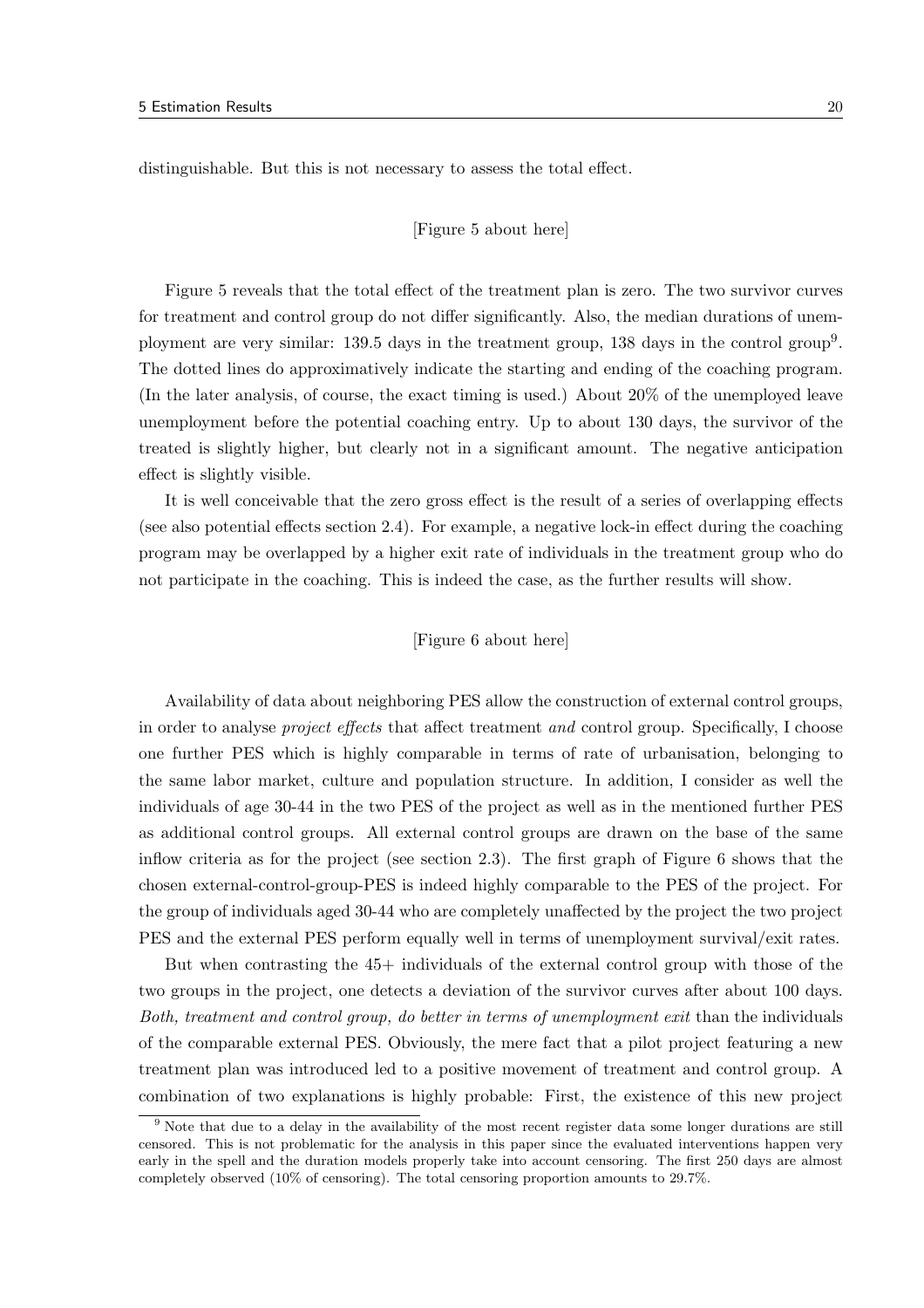distinguishable. But this is not necessary to assess the total effect.

#### [Figure 5 about here]

Figure 5 reveals that the total effect of the treatment plan is zero. The two survivor curves for treatment and control group do not differ significantly. Also, the median durations of unemployment are very similar: 139.5 days in the treatment group, 138 days in the control group<sup>9</sup>. The dotted lines do approximatively indicate the starting and ending of the coaching program. (In the later analysis, of course, the exact timing is used.) About 20% of the unemployed leave unemployment before the potential coaching entry. Up to about 130 days, the survivor of the treated is slightly higher, but clearly not in a significant amount. The negative anticipation effect is slightly visible.

It is well conceivable that the zero gross effect is the result of a series of overlapping effects (see also potential effects section 2.4). For example, a negative lock-in effect during the coaching program may be overlapped by a higher exit rate of individuals in the treatment group who do not participate in the coaching. This is indeed the case, as the further results will show.

#### [Figure 6 about here]

Availability of data about neighboring PES allow the construction of external control groups, in order to analyse *project effects* that affect treatment *and* control group. Specifically, I choose one further PES which is highly comparable in terms of rate of urbanisation, belonging to the same labor market, culture and population structure. In addition, I consider as well the individuals of age 30-44 in the two PES of the project as well as in the mentioned further PES as additional control groups. All external control groups are drawn on the base of the same inflow criteria as for the project (see section 2.3). The first graph of Figure 6 shows that the chosen external-control-group-PES is indeed highly comparable to the PES of the project. For the group of individuals aged 30-44 who are completely unaffected by the project the two project PES and the external PES perform equally well in terms of unemployment survival/exit rates.

But when contrasting the 45+ individuals of the external control group with those of the two groups in the project, one detects a deviation of the survivor curves after about 100 days. Both, treatment and control group, do better in terms of unemployment exit than the individuals of the comparable external PES. Obviously, the mere fact that a pilot project featuring a new treatment plan was introduced led to a positive movement of treatment and control group. A combination of two explanations is highly probable: First, the existence of this new project

<sup>&</sup>lt;sup>9</sup> Note that due to a delay in the availability of the most recent register data some longer durations are still censored. This is not problematic for the analysis in this paper since the evaluated interventions happen very early in the spell and the duration models properly take into account censoring. The first 250 days are almost completely observed (10% of censoring). The total censoring proportion amounts to 29.7%.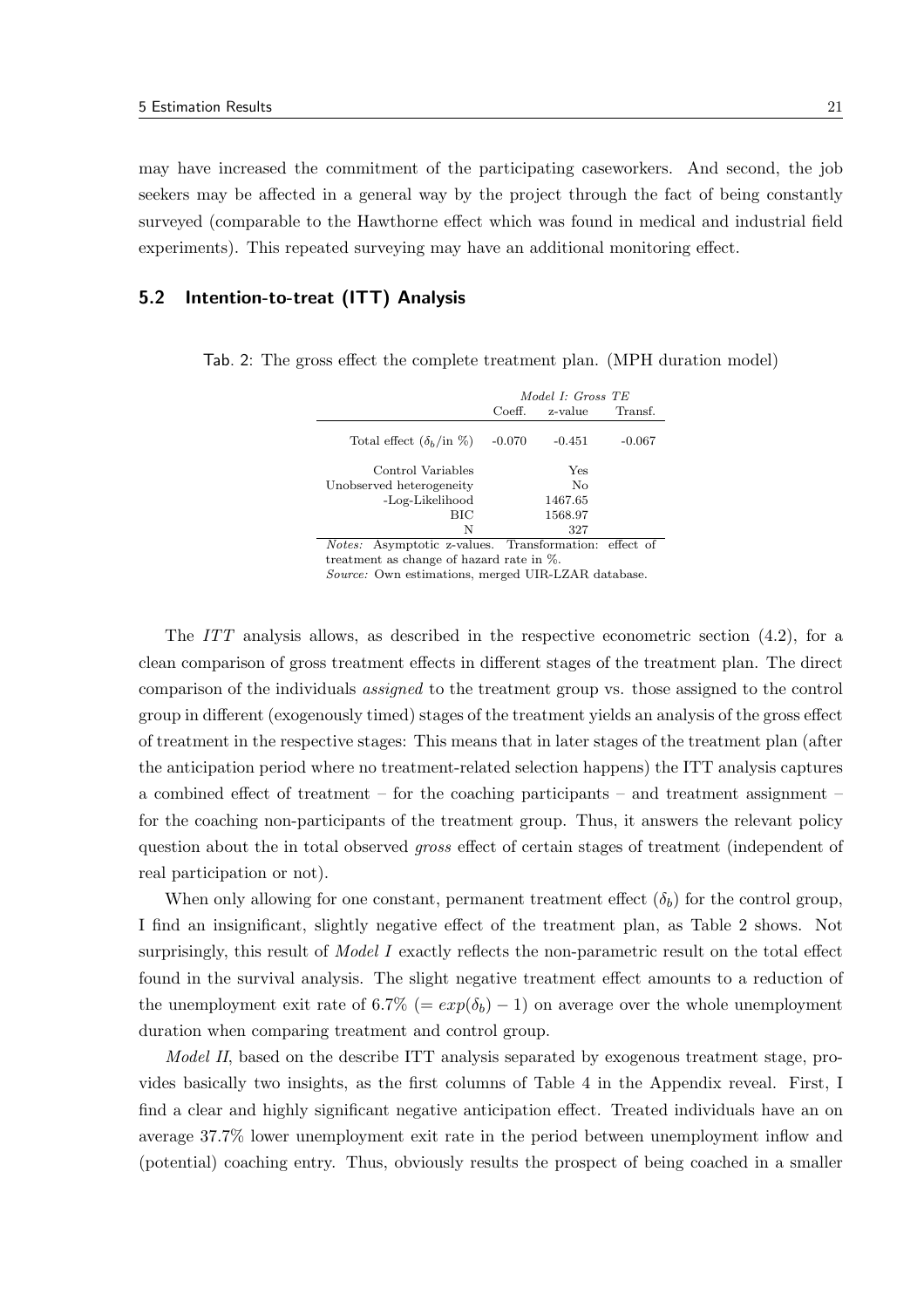may have increased the commitment of the participating caseworkers. And second, the job seekers may be affected in a general way by the project through the fact of being constantly surveyed (comparable to the Hawthorne effect which was found in medical and industrial field experiments). This repeated surveying may have an additional monitoring effect.

## 5.2 Intention-to-treat (ITT) Analysis

|                                                                 | Model I: Gross TE |          |          |  |
|-----------------------------------------------------------------|-------------------|----------|----------|--|
|                                                                 | Coeff.            | Transf.  |          |  |
| Total effect $(\delta_h / \text{in } \%)$                       | $-0.070$          | $-0.451$ | $-0.067$ |  |
| Control Variables                                               |                   | Yes      |          |  |
| Unobserved heterogeneity                                        |                   | No       |          |  |
| -Log-Likelihood                                                 |                   | 1467.65  |          |  |
| BIC                                                             |                   | 1568.97  |          |  |
| N                                                               |                   | 327      |          |  |
| Asymptotic z-values. Transformation: effect of<br><i>Notes:</i> |                   |          |          |  |

Tab. 2: The gross effect the complete treatment plan. (MPH duration model)

treatment as change of hazard rate in %.

Source: Own estimations, merged UIR-LZAR database.

The ITT analysis allows, as described in the respective econometric section (4.2), for a clean comparison of gross treatment effects in different stages of the treatment plan. The direct comparison of the individuals assigned to the treatment group vs. those assigned to the control group in different (exogenously timed) stages of the treatment yields an analysis of the gross effect of treatment in the respective stages: This means that in later stages of the treatment plan (after the anticipation period where no treatment-related selection happens) the ITT analysis captures a combined effect of treatment – for the coaching participants – and treatment assignment – for the coaching non-participants of the treatment group. Thus, it answers the relevant policy question about the in total observed gross effect of certain stages of treatment (independent of real participation or not).

When only allowing for one constant, permanent treatment effect  $(\delta_b)$  for the control group, I find an insignificant, slightly negative effect of the treatment plan, as Table 2 shows. Not surprisingly, this result of *Model I* exactly reflects the non-parametric result on the total effect found in the survival analysis. The slight negative treatment effect amounts to a reduction of the unemployment exit rate of 6.7% (=  $exp(\delta_b) - 1$ ) on average over the whole unemployment duration when comparing treatment and control group.

Model II, based on the describe ITT analysis separated by exogenous treatment stage, provides basically two insights, as the first columns of Table 4 in the Appendix reveal. First, I find a clear and highly significant negative anticipation effect. Treated individuals have an on average 37.7% lower unemployment exit rate in the period between unemployment inflow and (potential) coaching entry. Thus, obviously results the prospect of being coached in a smaller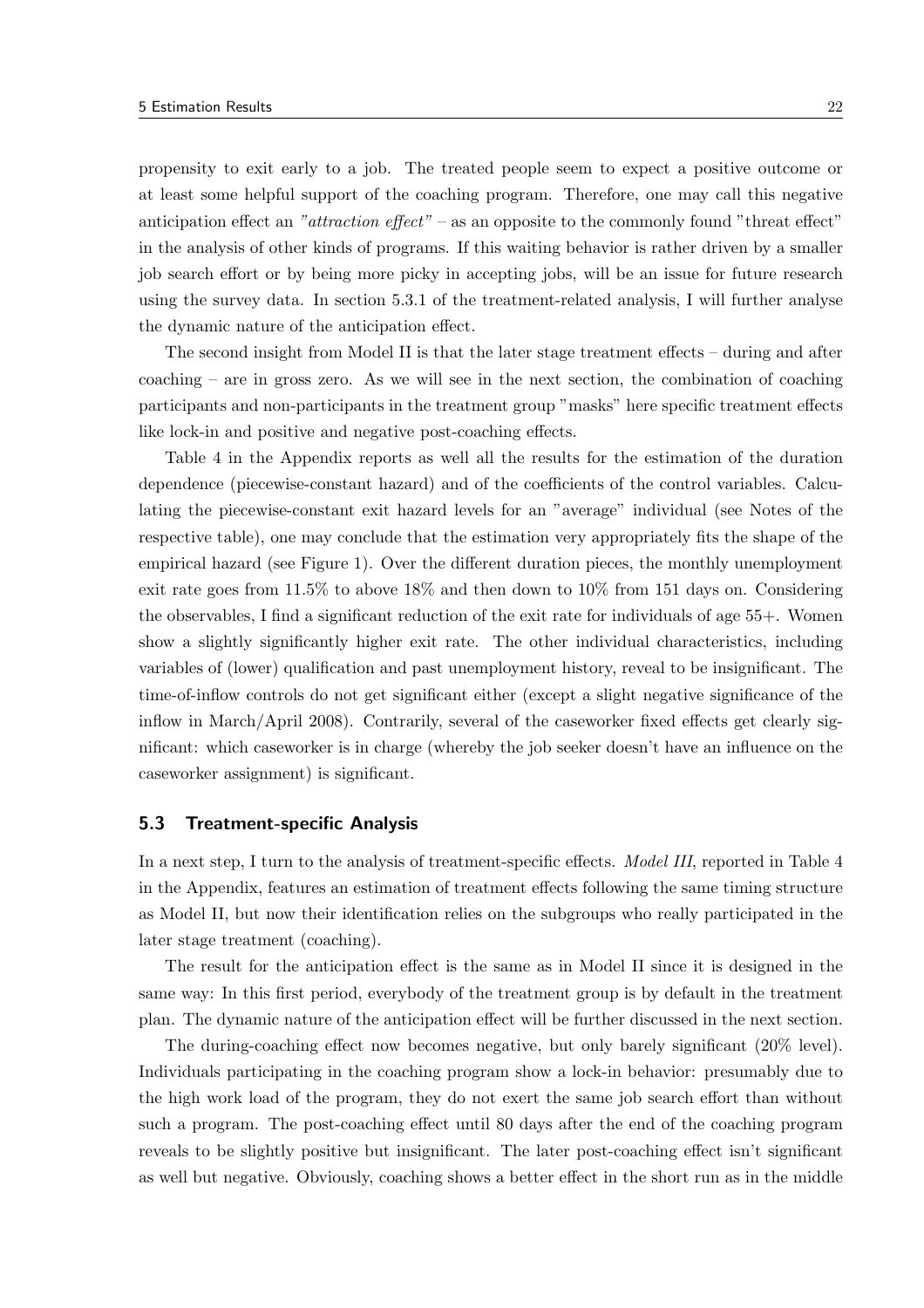propensity to exit early to a job. The treated people seem to expect a positive outcome or at least some helpful support of the coaching program. Therefore, one may call this negative anticipation effect an "attraction effect" – as an opposite to the commonly found "threat effect" in the analysis of other kinds of programs. If this waiting behavior is rather driven by a smaller job search effort or by being more picky in accepting jobs, will be an issue for future research using the survey data. In section 5.3.1 of the treatment-related analysis, I will further analyse the dynamic nature of the anticipation effect.

The second insight from Model II is that the later stage treatment effects – during and after coaching – are in gross zero. As we will see in the next section, the combination of coaching participants and non-participants in the treatment group "masks" here specific treatment effects like lock-in and positive and negative post-coaching effects.

Table 4 in the Appendix reports as well all the results for the estimation of the duration dependence (piecewise-constant hazard) and of the coefficients of the control variables. Calculating the piecewise-constant exit hazard levels for an "average" individual (see Notes of the respective table), one may conclude that the estimation very appropriately fits the shape of the empirical hazard (see Figure 1). Over the different duration pieces, the monthly unemployment exit rate goes from 11.5% to above 18% and then down to 10% from 151 days on. Considering the observables, I find a significant reduction of the exit rate for individuals of age 55+. Women show a slightly significantly higher exit rate. The other individual characteristics, including variables of (lower) qualification and past unemployment history, reveal to be insignificant. The time-of-inflow controls do not get significant either (except a slight negative significance of the inflow in March/April 2008). Contrarily, several of the caseworker fixed effects get clearly significant: which caseworker is in charge (whereby the job seeker doesn't have an influence on the caseworker assignment) is significant.

### 5.3 Treatment-specific Analysis

In a next step, I turn to the analysis of treatment-specific effects. *Model III*, reported in Table 4 in the Appendix, features an estimation of treatment effects following the same timing structure as Model II, but now their identification relies on the subgroups who really participated in the later stage treatment (coaching).

The result for the anticipation effect is the same as in Model II since it is designed in the same way: In this first period, everybody of the treatment group is by default in the treatment plan. The dynamic nature of the anticipation effect will be further discussed in the next section.

The during-coaching effect now becomes negative, but only barely significant (20% level). Individuals participating in the coaching program show a lock-in behavior: presumably due to the high work load of the program, they do not exert the same job search effort than without such a program. The post-coaching effect until 80 days after the end of the coaching program reveals to be slightly positive but insignificant. The later post-coaching effect isn't significant as well but negative. Obviously, coaching shows a better effect in the short run as in the middle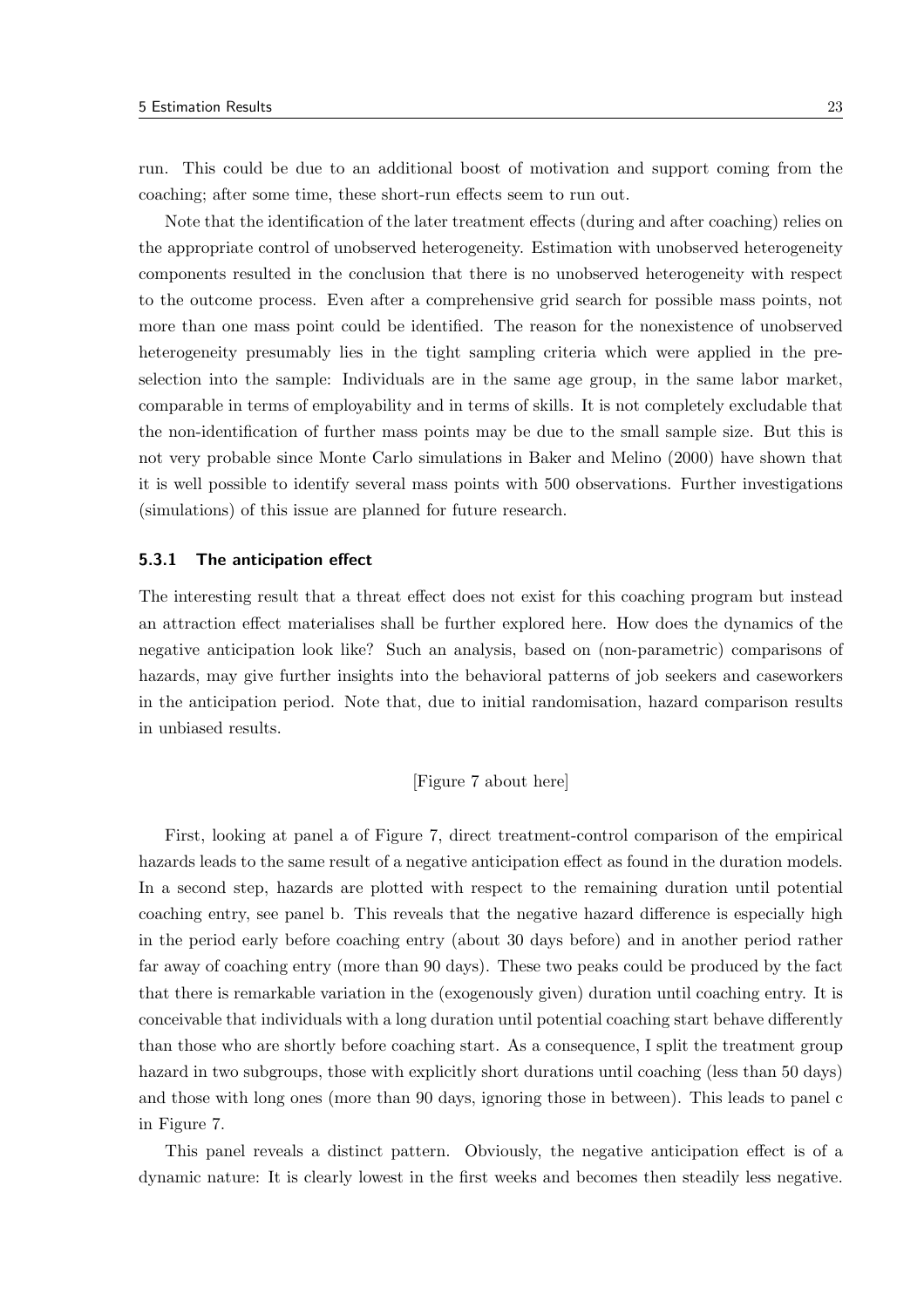run. This could be due to an additional boost of motivation and support coming from the coaching; after some time, these short-run effects seem to run out.

Note that the identification of the later treatment effects (during and after coaching) relies on the appropriate control of unobserved heterogeneity. Estimation with unobserved heterogeneity components resulted in the conclusion that there is no unobserved heterogeneity with respect to the outcome process. Even after a comprehensive grid search for possible mass points, not more than one mass point could be identified. The reason for the nonexistence of unobserved heterogeneity presumably lies in the tight sampling criteria which were applied in the preselection into the sample: Individuals are in the same age group, in the same labor market, comparable in terms of employability and in terms of skills. It is not completely excludable that the non-identification of further mass points may be due to the small sample size. But this is not very probable since Monte Carlo simulations in Baker and Melino (2000) have shown that it is well possible to identify several mass points with 500 observations. Further investigations (simulations) of this issue are planned for future research.

#### 5.3.1 The anticipation effect

The interesting result that a threat effect does not exist for this coaching program but instead an attraction effect materialises shall be further explored here. How does the dynamics of the negative anticipation look like? Such an analysis, based on (non-parametric) comparisons of hazards, may give further insights into the behavioral patterns of job seekers and caseworkers in the anticipation period. Note that, due to initial randomisation, hazard comparison results in unbiased results.

[Figure 7 about here]

First, looking at panel a of Figure 7, direct treatment-control comparison of the empirical hazards leads to the same result of a negative anticipation effect as found in the duration models. In a second step, hazards are plotted with respect to the remaining duration until potential coaching entry, see panel b. This reveals that the negative hazard difference is especially high in the period early before coaching entry (about 30 days before) and in another period rather far away of coaching entry (more than 90 days). These two peaks could be produced by the fact that there is remarkable variation in the (exogenously given) duration until coaching entry. It is conceivable that individuals with a long duration until potential coaching start behave differently than those who are shortly before coaching start. As a consequence, I split the treatment group hazard in two subgroups, those with explicitly short durations until coaching (less than 50 days) and those with long ones (more than 90 days, ignoring those in between). This leads to panel c in Figure 7.

This panel reveals a distinct pattern. Obviously, the negative anticipation effect is of a dynamic nature: It is clearly lowest in the first weeks and becomes then steadily less negative.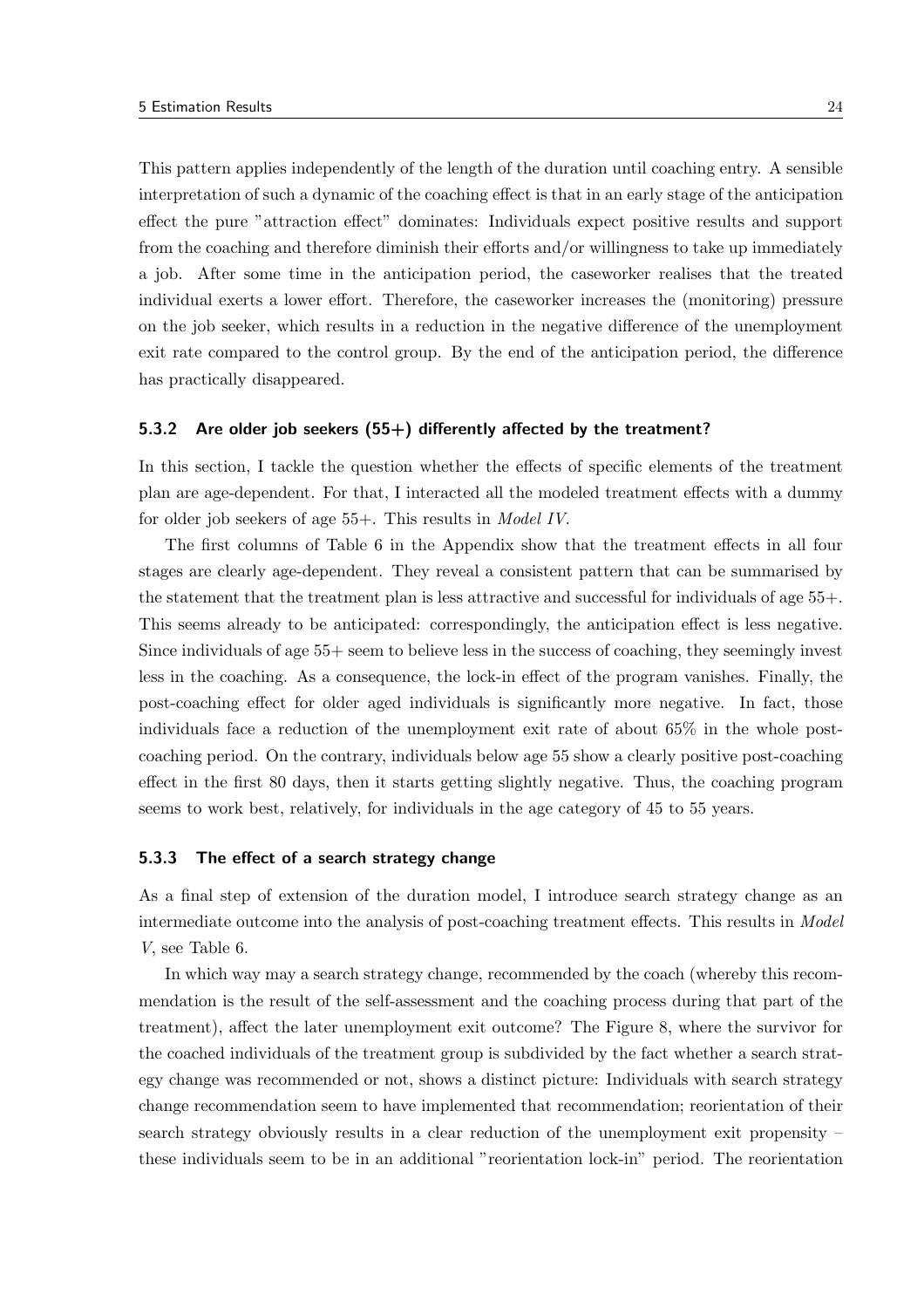This pattern applies independently of the length of the duration until coaching entry. A sensible interpretation of such a dynamic of the coaching effect is that in an early stage of the anticipation effect the pure "attraction effect" dominates: Individuals expect positive results and support from the coaching and therefore diminish their efforts and/or willingness to take up immediately a job. After some time in the anticipation period, the caseworker realises that the treated individual exerts a lower effort. Therefore, the caseworker increases the (monitoring) pressure on the job seeker, which results in a reduction in the negative difference of the unemployment exit rate compared to the control group. By the end of the anticipation period, the difference has practically disappeared.

#### 5.3.2 Are older job seekers (55+) differently affected by the treatment?

In this section, I tackle the question whether the effects of specific elements of the treatment plan are age-dependent. For that, I interacted all the modeled treatment effects with a dummy for older job seekers of age 55+. This results in *Model IV*.

The first columns of Table 6 in the Appendix show that the treatment effects in all four stages are clearly age-dependent. They reveal a consistent pattern that can be summarised by the statement that the treatment plan is less attractive and successful for individuals of age 55+. This seems already to be anticipated: correspondingly, the anticipation effect is less negative. Since individuals of age 55+ seem to believe less in the success of coaching, they seemingly invest less in the coaching. As a consequence, the lock-in effect of the program vanishes. Finally, the post-coaching effect for older aged individuals is significantly more negative. In fact, those individuals face a reduction of the unemployment exit rate of about 65% in the whole postcoaching period. On the contrary, individuals below age 55 show a clearly positive post-coaching effect in the first 80 days, then it starts getting slightly negative. Thus, the coaching program seems to work best, relatively, for individuals in the age category of 45 to 55 years.

#### 5.3.3 The effect of a search strategy change

As a final step of extension of the duration model, I introduce search strategy change as an intermediate outcome into the analysis of post-coaching treatment effects. This results in Model V, see Table 6.

In which way may a search strategy change, recommended by the coach (whereby this recommendation is the result of the self-assessment and the coaching process during that part of the treatment), affect the later unemployment exit outcome? The Figure 8, where the survivor for the coached individuals of the treatment group is subdivided by the fact whether a search strategy change was recommended or not, shows a distinct picture: Individuals with search strategy change recommendation seem to have implemented that recommendation; reorientation of their search strategy obviously results in a clear reduction of the unemployment exit propensity – these individuals seem to be in an additional "reorientation lock-in" period. The reorientation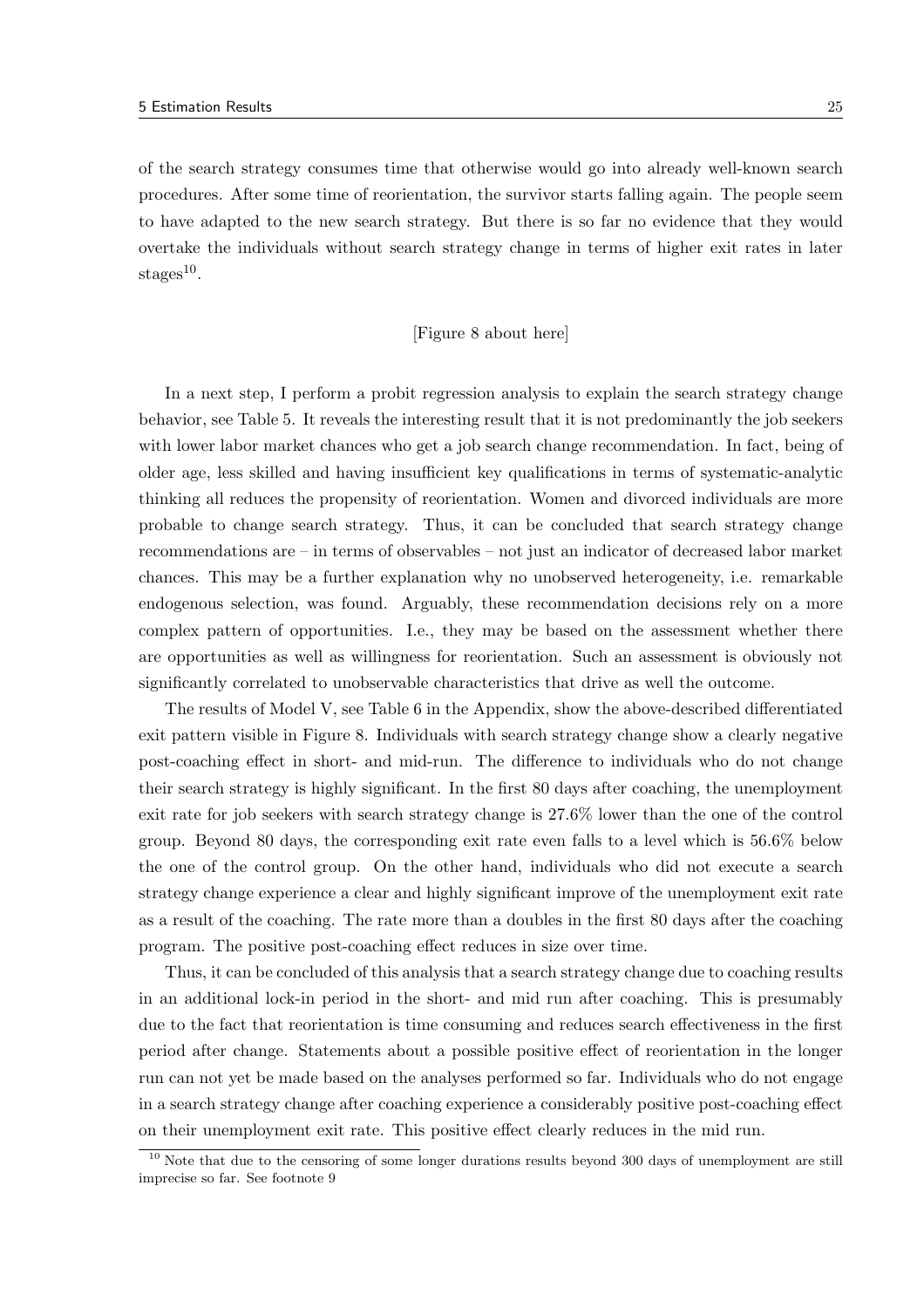of the search strategy consumes time that otherwise would go into already well-known search procedures. After some time of reorientation, the survivor starts falling again. The people seem to have adapted to the new search strategy. But there is so far no evidence that they would overtake the individuals without search strategy change in terms of higher exit rates in later  $\mathrm{stages}^{10}$ .

## [Figure 8 about here]

In a next step, I perform a probit regression analysis to explain the search strategy change behavior, see Table 5. It reveals the interesting result that it is not predominantly the job seekers with lower labor market chances who get a job search change recommendation. In fact, being of older age, less skilled and having insufficient key qualifications in terms of systematic-analytic thinking all reduces the propensity of reorientation. Women and divorced individuals are more probable to change search strategy. Thus, it can be concluded that search strategy change recommendations are – in terms of observables – not just an indicator of decreased labor market chances. This may be a further explanation why no unobserved heterogeneity, i.e. remarkable endogenous selection, was found. Arguably, these recommendation decisions rely on a more complex pattern of opportunities. I.e., they may be based on the assessment whether there are opportunities as well as willingness for reorientation. Such an assessment is obviously not significantly correlated to unobservable characteristics that drive as well the outcome.

The results of Model V, see Table 6 in the Appendix, show the above-described differentiated exit pattern visible in Figure 8. Individuals with search strategy change show a clearly negative post-coaching effect in short- and mid-run. The difference to individuals who do not change their search strategy is highly significant. In the first 80 days after coaching, the unemployment exit rate for job seekers with search strategy change is 27.6% lower than the one of the control group. Beyond 80 days, the corresponding exit rate even falls to a level which is 56.6% below the one of the control group. On the other hand, individuals who did not execute a search strategy change experience a clear and highly significant improve of the unemployment exit rate as a result of the coaching. The rate more than a doubles in the first 80 days after the coaching program. The positive post-coaching effect reduces in size over time.

Thus, it can be concluded of this analysis that a search strategy change due to coaching results in an additional lock-in period in the short- and mid run after coaching. This is presumably due to the fact that reorientation is time consuming and reduces search effectiveness in the first period after change. Statements about a possible positive effect of reorientation in the longer run can not yet be made based on the analyses performed so far. Individuals who do not engage in a search strategy change after coaching experience a considerably positive post-coaching effect on their unemployment exit rate. This positive effect clearly reduces in the mid run.

 $10$  Note that due to the censoring of some longer durations results beyond 300 days of unemployment are still imprecise so far. See footnote 9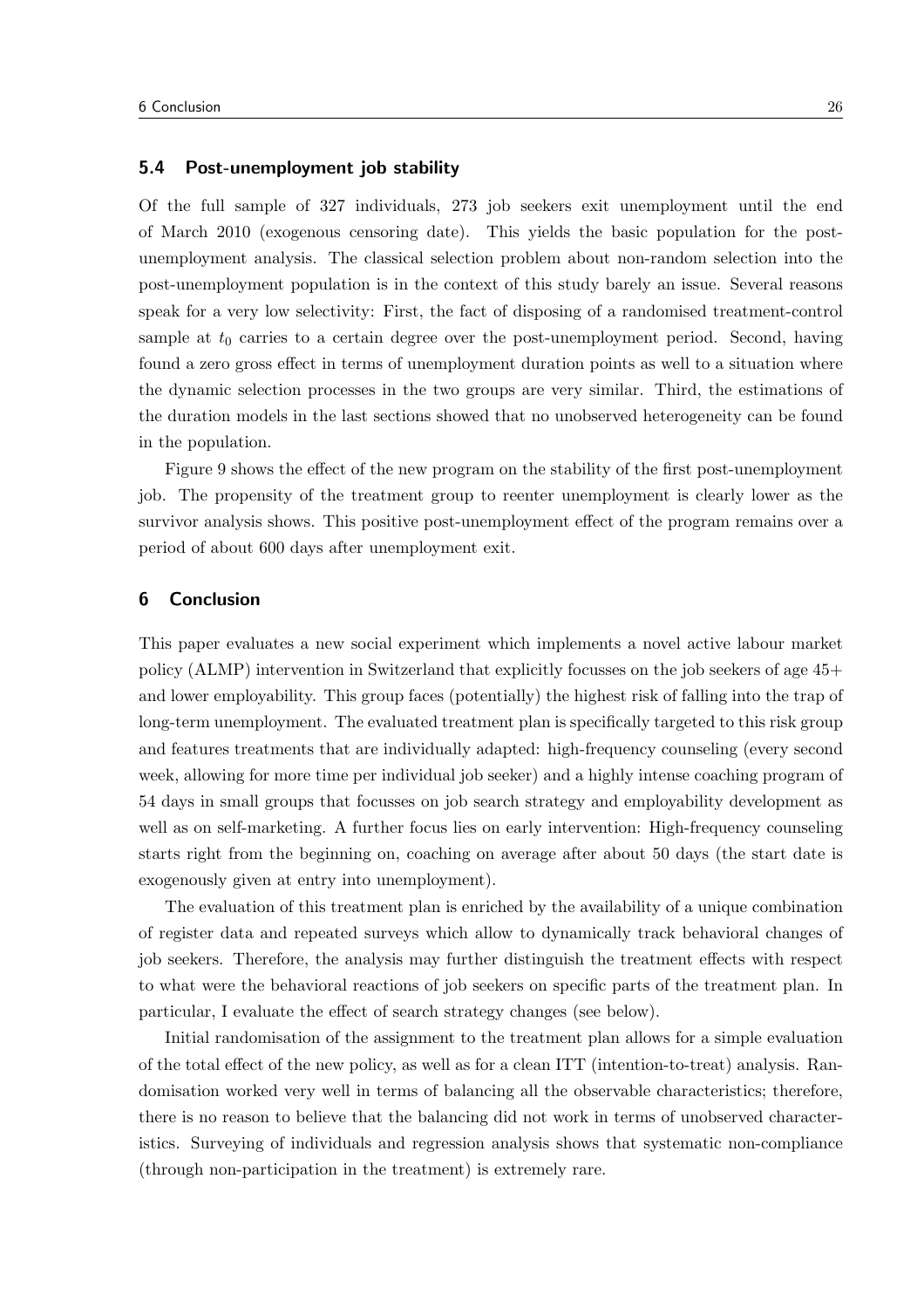## 5.4 Post-unemployment job stability

Of the full sample of 327 individuals, 273 job seekers exit unemployment until the end of March 2010 (exogenous censoring date). This yields the basic population for the postunemployment analysis. The classical selection problem about non-random selection into the post-unemployment population is in the context of this study barely an issue. Several reasons speak for a very low selectivity: First, the fact of disposing of a randomised treatment-control sample at  $t_0$  carries to a certain degree over the post-unemployment period. Second, having found a zero gross effect in terms of unemployment duration points as well to a situation where the dynamic selection processes in the two groups are very similar. Third, the estimations of the duration models in the last sections showed that no unobserved heterogeneity can be found in the population.

Figure 9 shows the effect of the new program on the stability of the first post-unemployment job. The propensity of the treatment group to reenter unemployment is clearly lower as the survivor analysis shows. This positive post-unemployment effect of the program remains over a period of about 600 days after unemployment exit.

## 6 Conclusion

This paper evaluates a new social experiment which implements a novel active labour market policy (ALMP) intervention in Switzerland that explicitly focusses on the job seekers of age 45+ and lower employability. This group faces (potentially) the highest risk of falling into the trap of long-term unemployment. The evaluated treatment plan is specifically targeted to this risk group and features treatments that are individually adapted: high-frequency counseling (every second week, allowing for more time per individual job seeker) and a highly intense coaching program of 54 days in small groups that focusses on job search strategy and employability development as well as on self-marketing. A further focus lies on early intervention: High-frequency counseling starts right from the beginning on, coaching on average after about 50 days (the start date is exogenously given at entry into unemployment).

The evaluation of this treatment plan is enriched by the availability of a unique combination of register data and repeated surveys which allow to dynamically track behavioral changes of job seekers. Therefore, the analysis may further distinguish the treatment effects with respect to what were the behavioral reactions of job seekers on specific parts of the treatment plan. In particular, I evaluate the effect of search strategy changes (see below).

Initial randomisation of the assignment to the treatment plan allows for a simple evaluation of the total effect of the new policy, as well as for a clean ITT (intention-to-treat) analysis. Randomisation worked very well in terms of balancing all the observable characteristics; therefore, there is no reason to believe that the balancing did not work in terms of unobserved characteristics. Surveying of individuals and regression analysis shows that systematic non-compliance (through non-participation in the treatment) is extremely rare.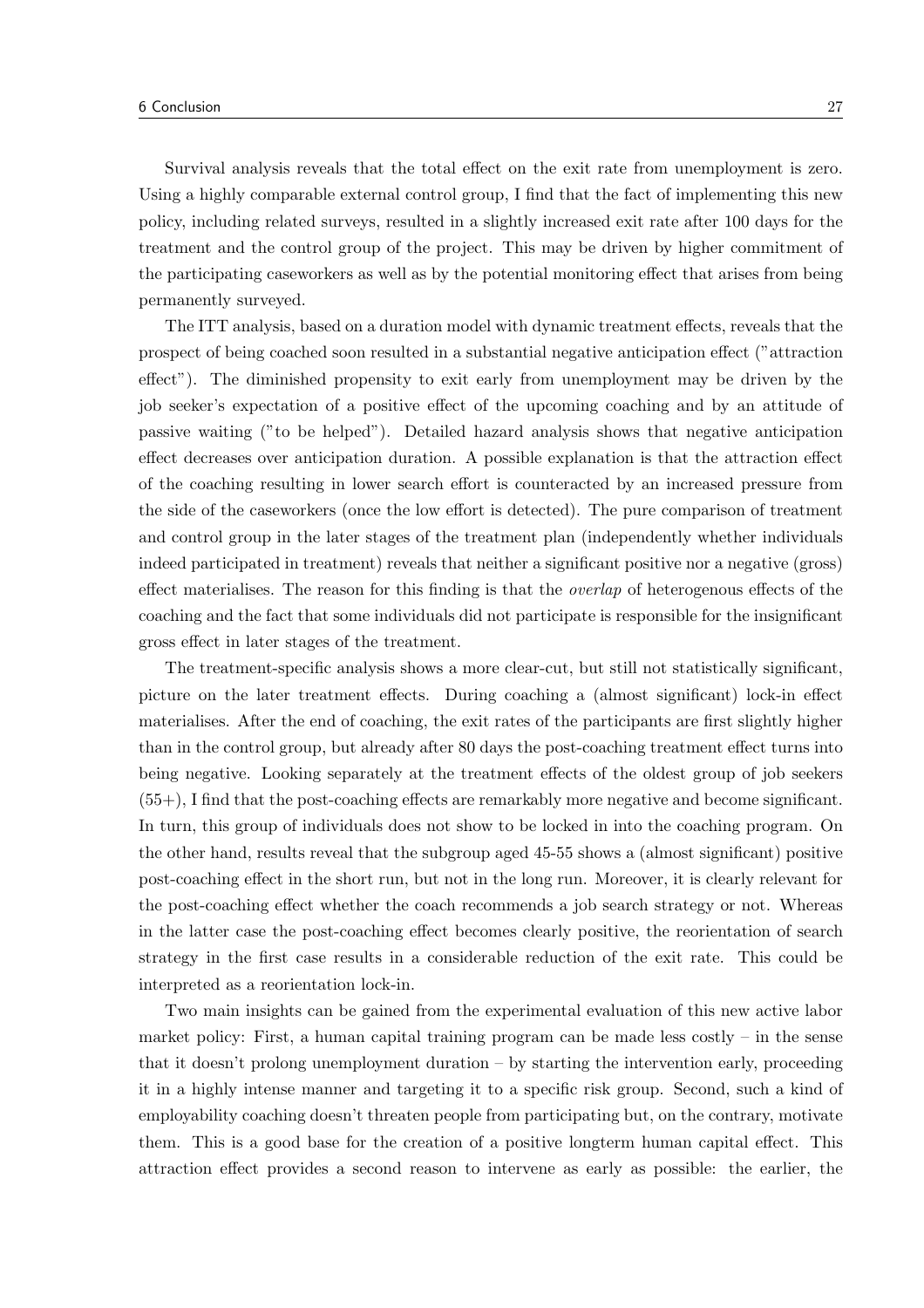Survival analysis reveals that the total effect on the exit rate from unemployment is zero. Using a highly comparable external control group, I find that the fact of implementing this new policy, including related surveys, resulted in a slightly increased exit rate after 100 days for the treatment and the control group of the project. This may be driven by higher commitment of the participating caseworkers as well as by the potential monitoring effect that arises from being permanently surveyed.

The ITT analysis, based on a duration model with dynamic treatment effects, reveals that the prospect of being coached soon resulted in a substantial negative anticipation effect ("attraction effect"). The diminished propensity to exit early from unemployment may be driven by the job seeker's expectation of a positive effect of the upcoming coaching and by an attitude of passive waiting ("to be helped"). Detailed hazard analysis shows that negative anticipation effect decreases over anticipation duration. A possible explanation is that the attraction effect of the coaching resulting in lower search effort is counteracted by an increased pressure from the side of the caseworkers (once the low effort is detected). The pure comparison of treatment and control group in the later stages of the treatment plan (independently whether individuals indeed participated in treatment) reveals that neither a significant positive nor a negative (gross) effect materialises. The reason for this finding is that the *overlap* of heterogenous effects of the coaching and the fact that some individuals did not participate is responsible for the insignificant gross effect in later stages of the treatment.

The treatment-specific analysis shows a more clear-cut, but still not statistically significant, picture on the later treatment effects. During coaching a (almost significant) lock-in effect materialises. After the end of coaching, the exit rates of the participants are first slightly higher than in the control group, but already after 80 days the post-coaching treatment effect turns into being negative. Looking separately at the treatment effects of the oldest group of job seekers (55+), I find that the post-coaching effects are remarkably more negative and become significant. In turn, this group of individuals does not show to be locked in into the coaching program. On the other hand, results reveal that the subgroup aged 45-55 shows a (almost significant) positive post-coaching effect in the short run, but not in the long run. Moreover, it is clearly relevant for the post-coaching effect whether the coach recommends a job search strategy or not. Whereas in the latter case the post-coaching effect becomes clearly positive, the reorientation of search strategy in the first case results in a considerable reduction of the exit rate. This could be interpreted as a reorientation lock-in.

Two main insights can be gained from the experimental evaluation of this new active labor market policy: First, a human capital training program can be made less costly  $-$  in the sense that it doesn't prolong unemployment duration – by starting the intervention early, proceeding it in a highly intense manner and targeting it to a specific risk group. Second, such a kind of employability coaching doesn't threaten people from participating but, on the contrary, motivate them. This is a good base for the creation of a positive longterm human capital effect. This attraction effect provides a second reason to intervene as early as possible: the earlier, the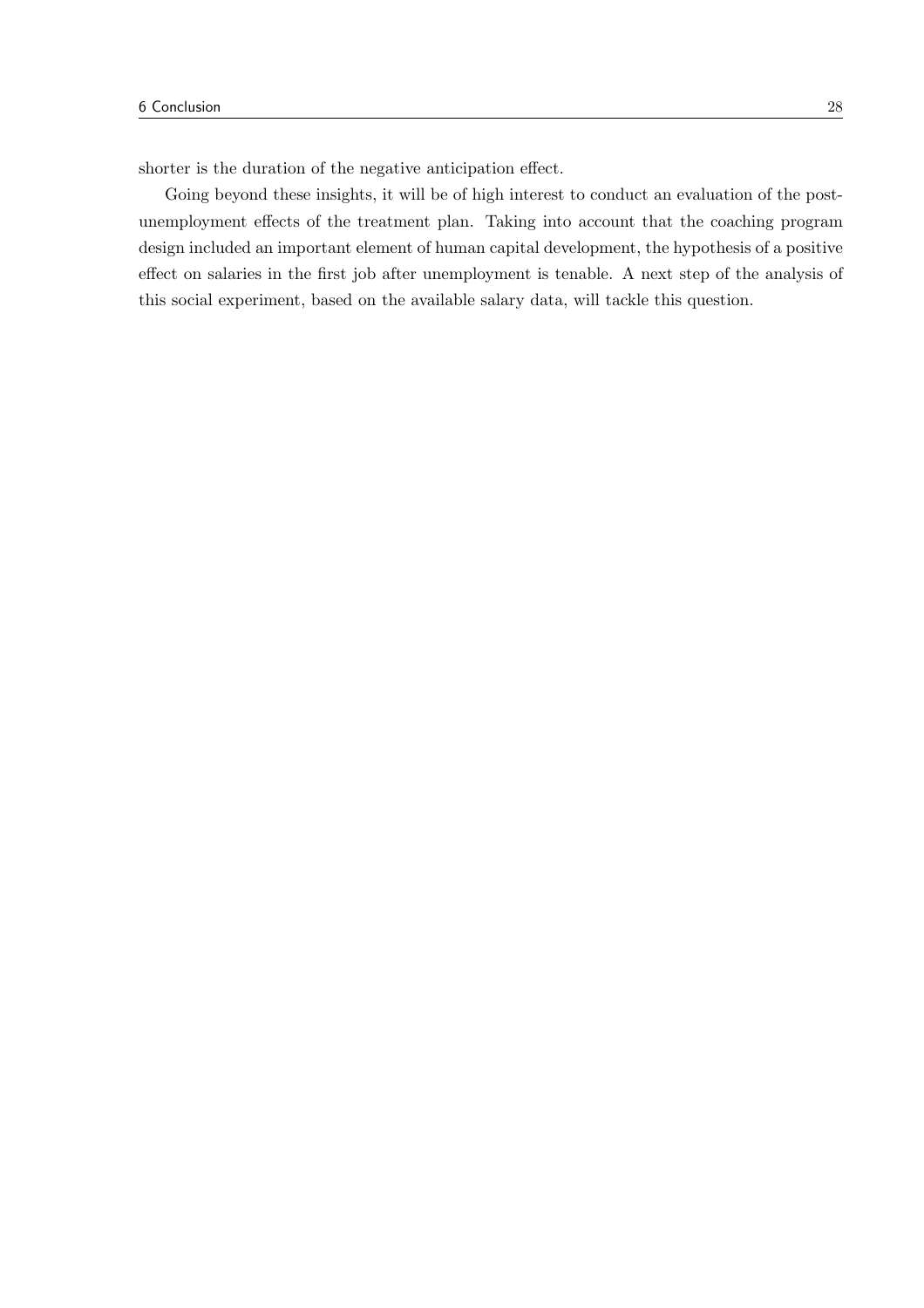shorter is the duration of the negative anticipation effect.

Going beyond these insights, it will be of high interest to conduct an evaluation of the postunemployment effects of the treatment plan. Taking into account that the coaching program design included an important element of human capital development, the hypothesis of a positive effect on salaries in the first job after unemployment is tenable. A next step of the analysis of this social experiment, based on the available salary data, will tackle this question.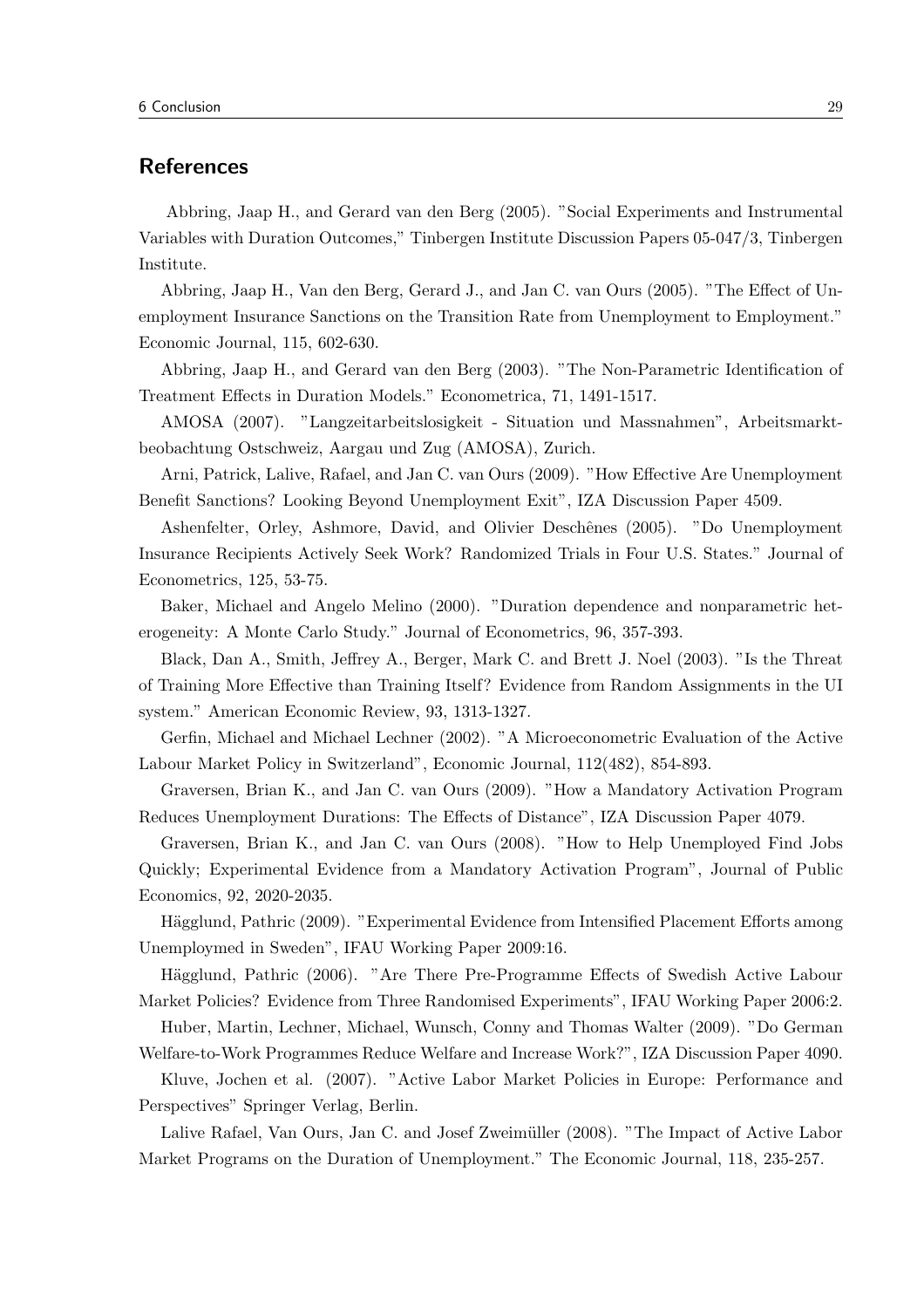## References

Abbring, Jaap H., and Gerard van den Berg (2005). "Social Experiments and Instrumental Variables with Duration Outcomes," Tinbergen Institute Discussion Papers 05-047/3, Tinbergen Institute.

Abbring, Jaap H., Van den Berg, Gerard J., and Jan C. van Ours (2005). "The Effect of Unemployment Insurance Sanctions on the Transition Rate from Unemployment to Employment." Economic Journal, 115, 602-630.

Abbring, Jaap H., and Gerard van den Berg (2003). "The Non-Parametric Identification of Treatment Effects in Duration Models." Econometrica, 71, 1491-1517.

AMOSA (2007). "Langzeitarbeitslosigkeit - Situation und Massnahmen", Arbeitsmarktbeobachtung Ostschweiz, Aargau und Zug (AMOSA), Zurich.

Arni, Patrick, Lalive, Rafael, and Jan C. van Ours (2009). "How Effective Are Unemployment Benefit Sanctions? Looking Beyond Unemployment Exit", IZA Discussion Paper 4509.

Ashenfelter, Orley, Ashmore, David, and Olivier Deschênes (2005). "Do Unemployment Insurance Recipients Actively Seek Work? Randomized Trials in Four U.S. States." Journal of Econometrics, 125, 53-75.

Baker, Michael and Angelo Melino (2000). "Duration dependence and nonparametric heterogeneity: A Monte Carlo Study." Journal of Econometrics, 96, 357-393.

Black, Dan A., Smith, Jeffrey A., Berger, Mark C. and Brett J. Noel (2003). "Is the Threat of Training More Effective than Training Itself? Evidence from Random Assignments in the UI system." American Economic Review, 93, 1313-1327.

Gerfin, Michael and Michael Lechner (2002). "A Microeconometric Evaluation of the Active Labour Market Policy in Switzerland", Economic Journal, 112(482), 854-893.

Graversen, Brian K., and Jan C. van Ours (2009). "How a Mandatory Activation Program Reduces Unemployment Durations: The Effects of Distance", IZA Discussion Paper 4079.

Graversen, Brian K., and Jan C. van Ours (2008). "How to Help Unemployed Find Jobs Quickly; Experimental Evidence from a Mandatory Activation Program", Journal of Public Economics, 92, 2020-2035.

Hägglund, Pathric (2009). "Experimental Evidence from Intensified Placement Efforts among Unemploymed in Sweden", IFAU Working Paper 2009:16.

Hägglund, Pathric (2006). "Are There Pre-Programme Effects of Swedish Active Labour Market Policies? Evidence from Three Randomised Experiments", IFAU Working Paper 2006:2.

Huber, Martin, Lechner, Michael, Wunsch, Conny and Thomas Walter (2009). "Do German Welfare-to-Work Programmes Reduce Welfare and Increase Work?", IZA Discussion Paper 4090.

Kluve, Jochen et al. (2007). "Active Labor Market Policies in Europe: Performance and Perspectives" Springer Verlag, Berlin.

Lalive Rafael, Van Ours, Jan C. and Josef Zweimüller (2008). "The Impact of Active Labor Market Programs on the Duration of Unemployment." The Economic Journal, 118, 235-257.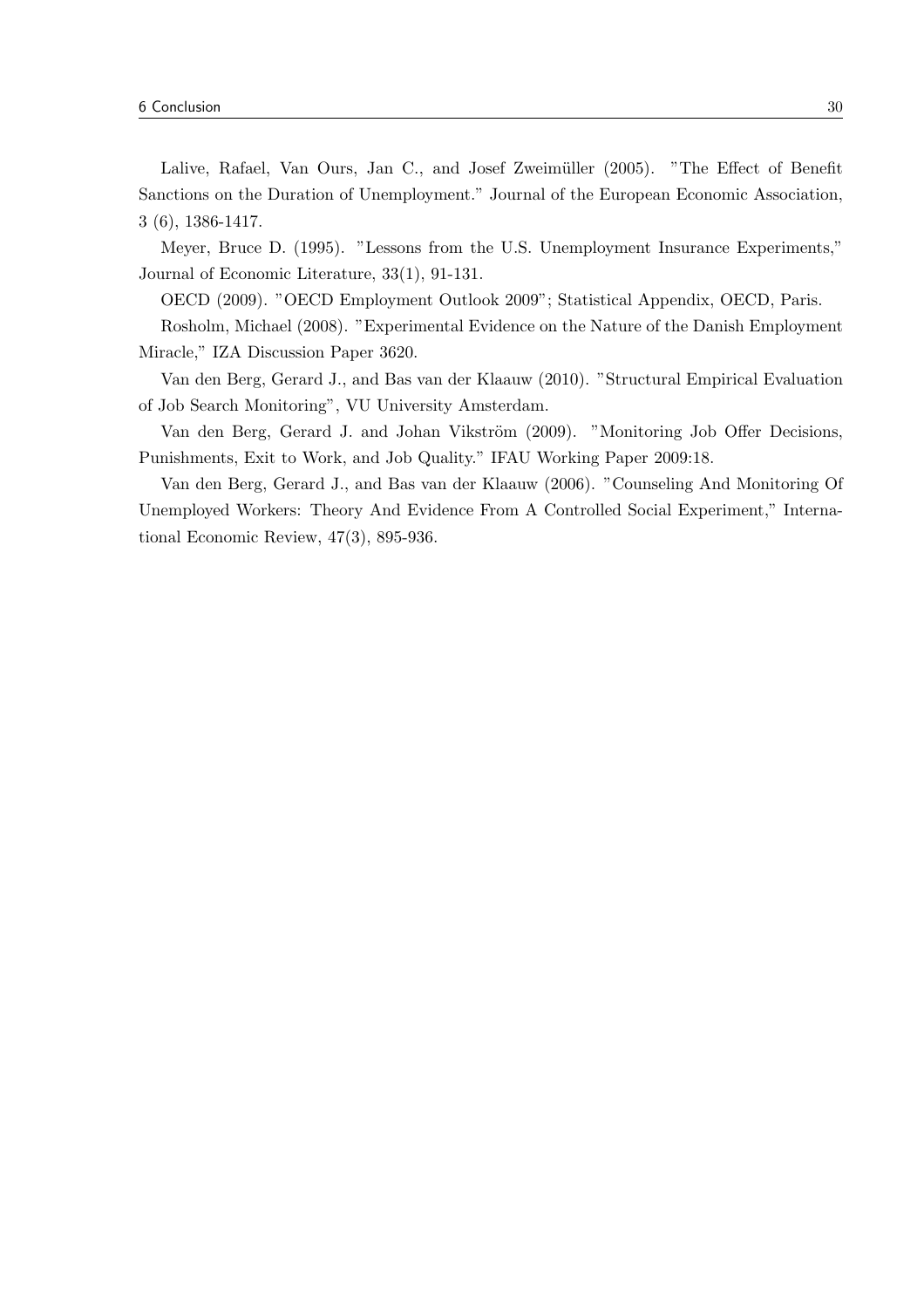Lalive, Rafael, Van Ours, Jan C., and Josef Zweimüller (2005). "The Effect of Benefit Sanctions on the Duration of Unemployment." Journal of the European Economic Association, 3 (6), 1386-1417.

Meyer, Bruce D. (1995). "Lessons from the U.S. Unemployment Insurance Experiments," Journal of Economic Literature, 33(1), 91-131.

OECD (2009). "OECD Employment Outlook 2009"; Statistical Appendix, OECD, Paris.

Rosholm, Michael (2008). "Experimental Evidence on the Nature of the Danish Employment Miracle," IZA Discussion Paper 3620.

Van den Berg, Gerard J., and Bas van der Klaauw (2010). "Structural Empirical Evaluation of Job Search Monitoring", VU University Amsterdam.

Van den Berg, Gerard J. and Johan Vikström (2009). "Monitoring Job Offer Decisions, Punishments, Exit to Work, and Job Quality." IFAU Working Paper 2009:18.

Van den Berg, Gerard J., and Bas van der Klaauw (2006). "Counseling And Monitoring Of Unemployed Workers: Theory And Evidence From A Controlled Social Experiment," International Economic Review, 47(3), 895-936.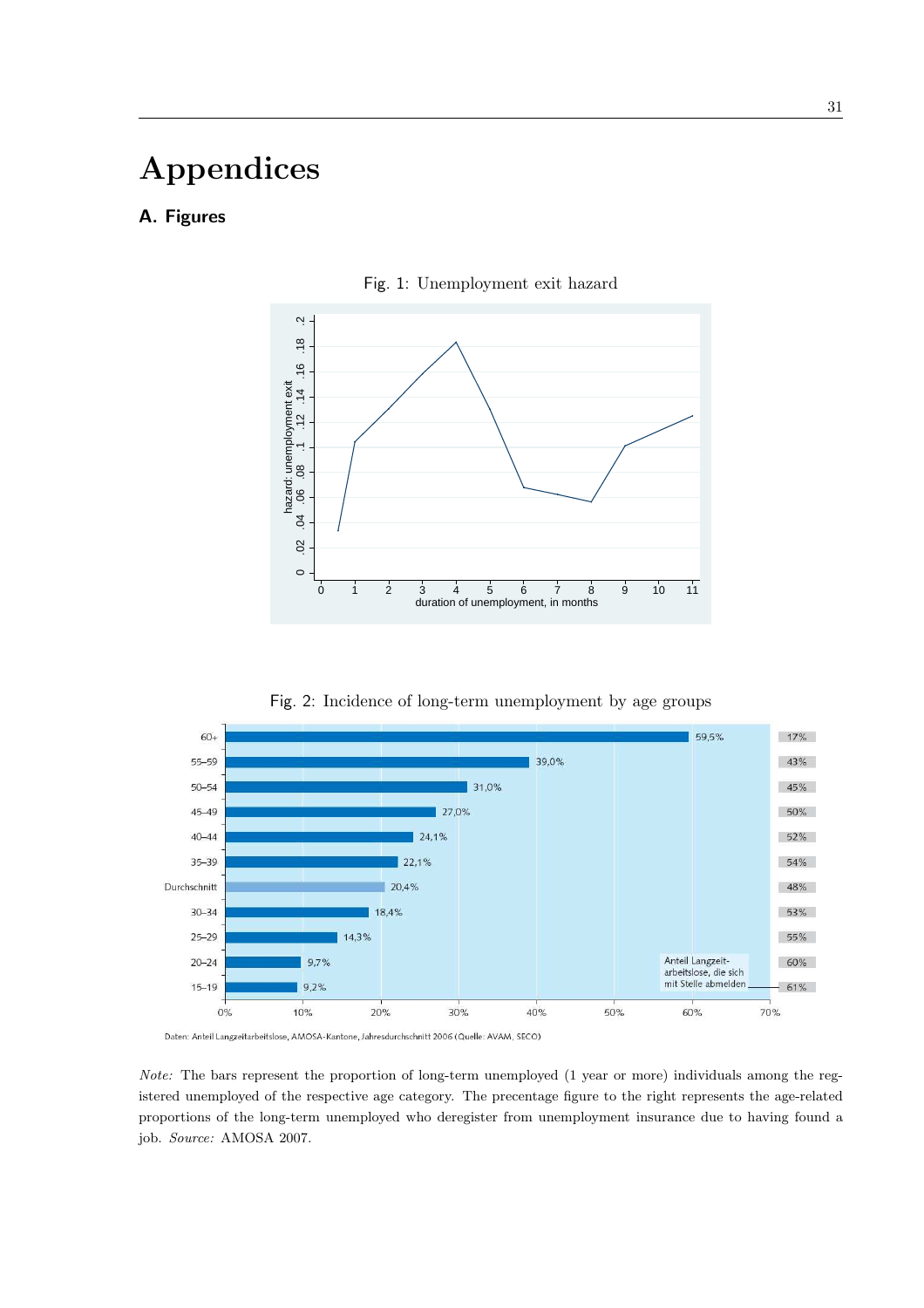# Appendices

# A. Figures



Fig. 1: Unemployment exit hazard





Daten: Anteil Langzeitarbeitslose, AMOSA-Kantone, Jahresdurchschnitt 2006 (Quelle: AVAM, SECO)

Note: The bars represent the proportion of long-term unemployed (1 year or more) individuals among the registered unemployed of the respective age category. The precentage figure to the right represents the age-related proportions of the long-term unemployed who deregister from unemployment insurance due to having found a job. Source: AMOSA 2007.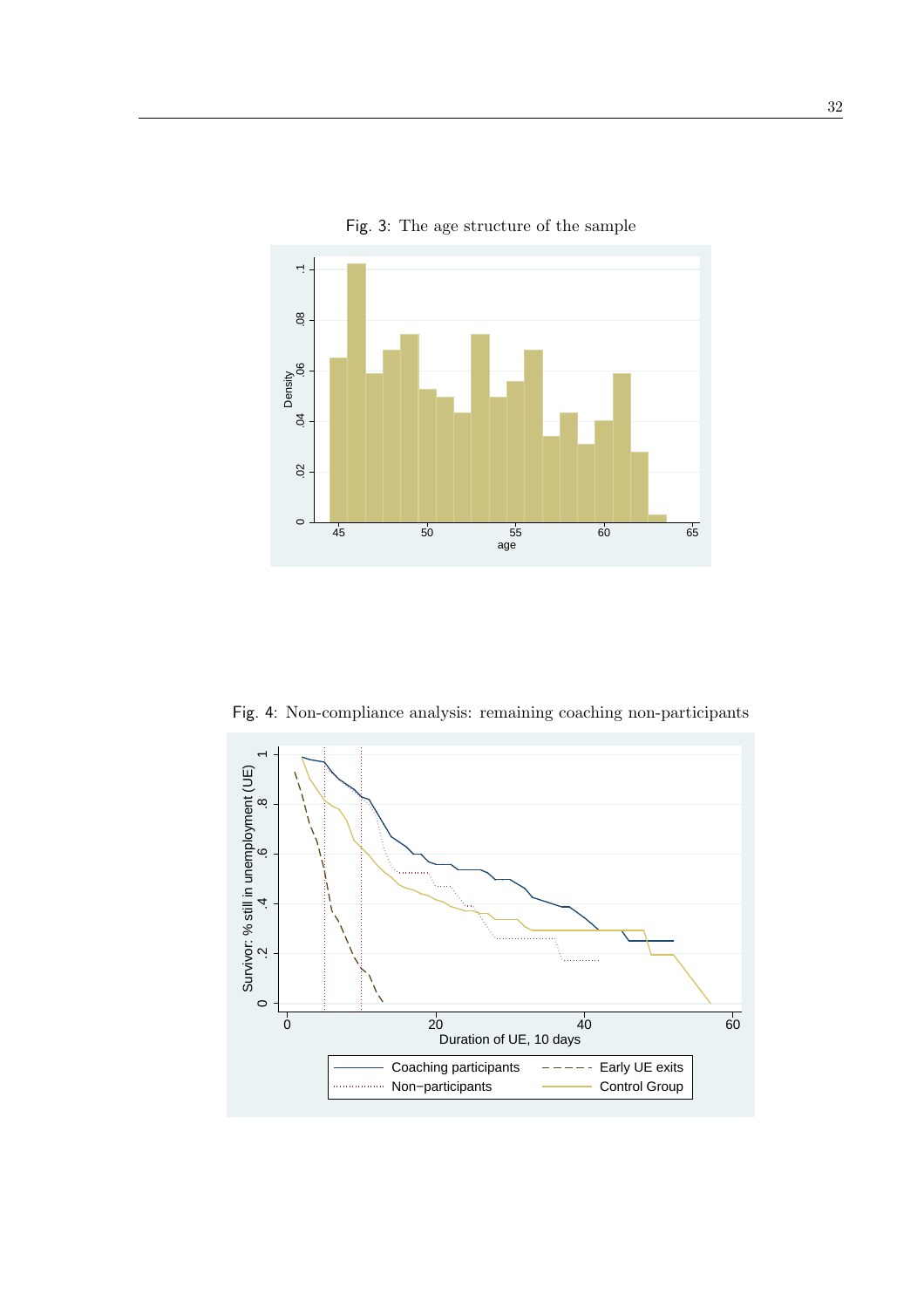

Fig. 3: The age structure of the sample

Fig. 4: Non-compliance analysis: remaining coaching non-participants

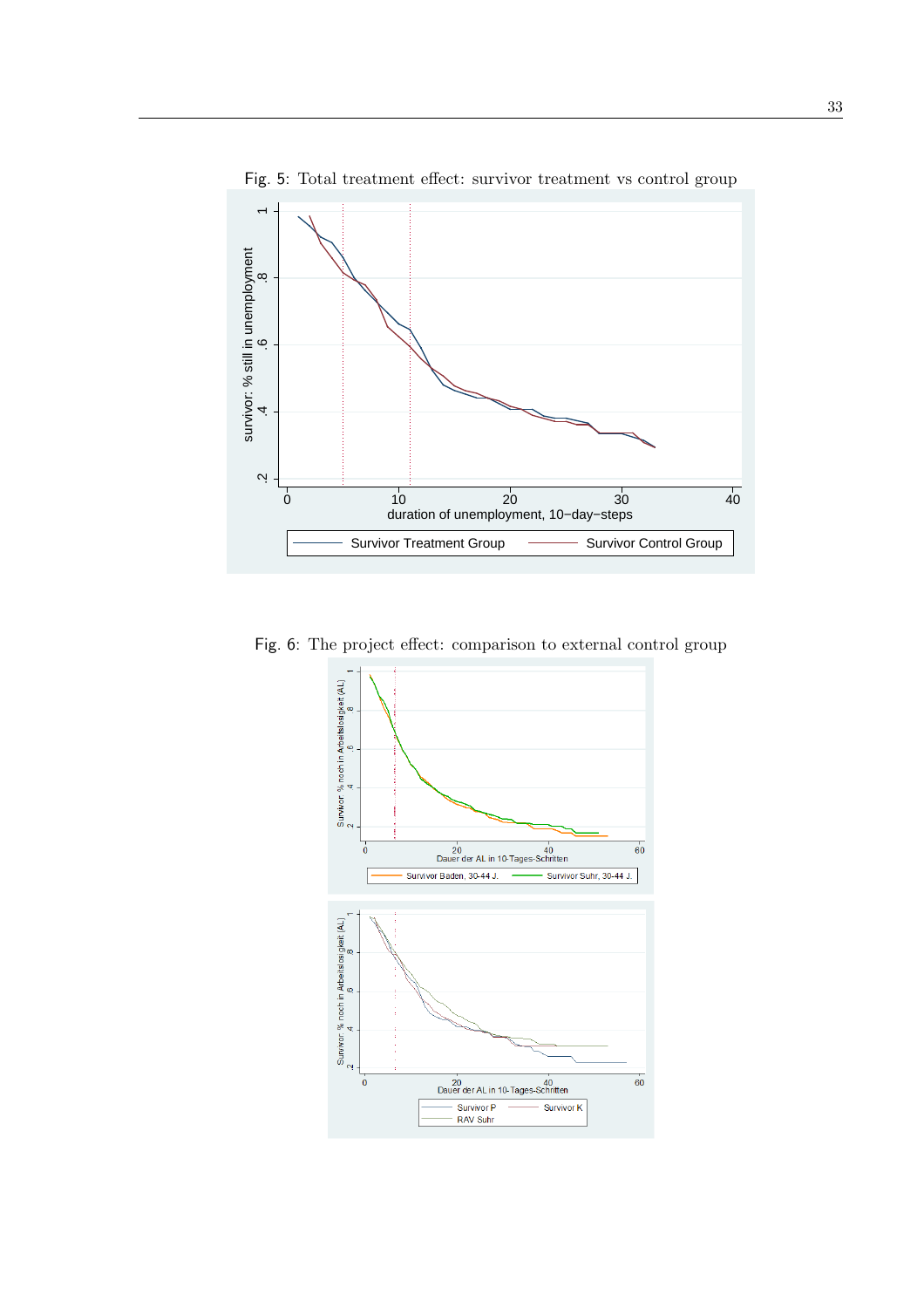

Fig. 5: Total treatment effect: survivor treatment vs control group

Fig. 6: The project effect: comparison to external control group

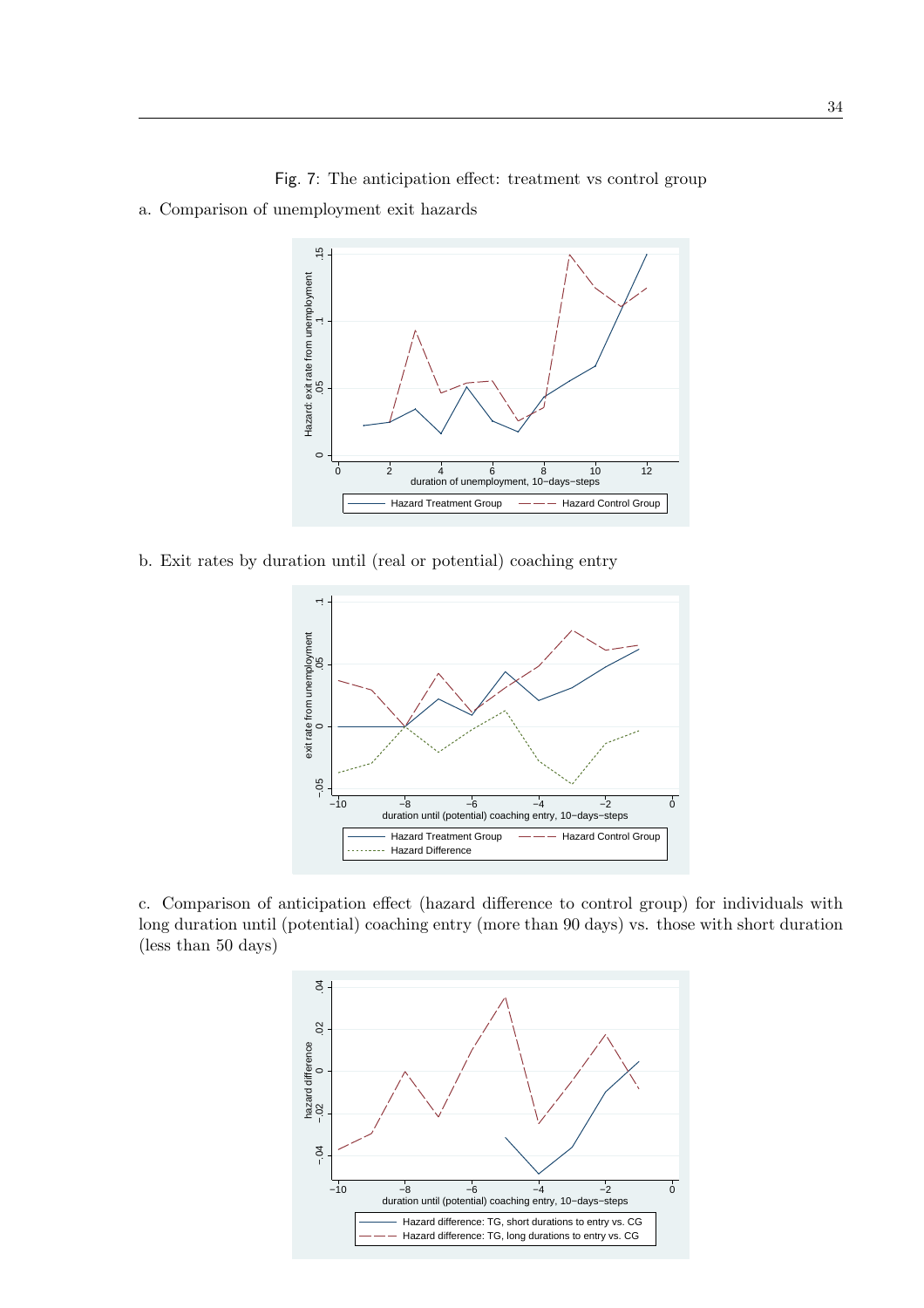

Fig. 7: The anticipation effect: treatment vs control group

a. Comparison of unemployment exit hazards

b. Exit rates by duration until (real or potential) coaching entry



c. Comparison of anticipation effect (hazard difference to control group) for individuals with long duration until (potential) coaching entry (more than 90 days) vs. those with short duration (less than 50 days)

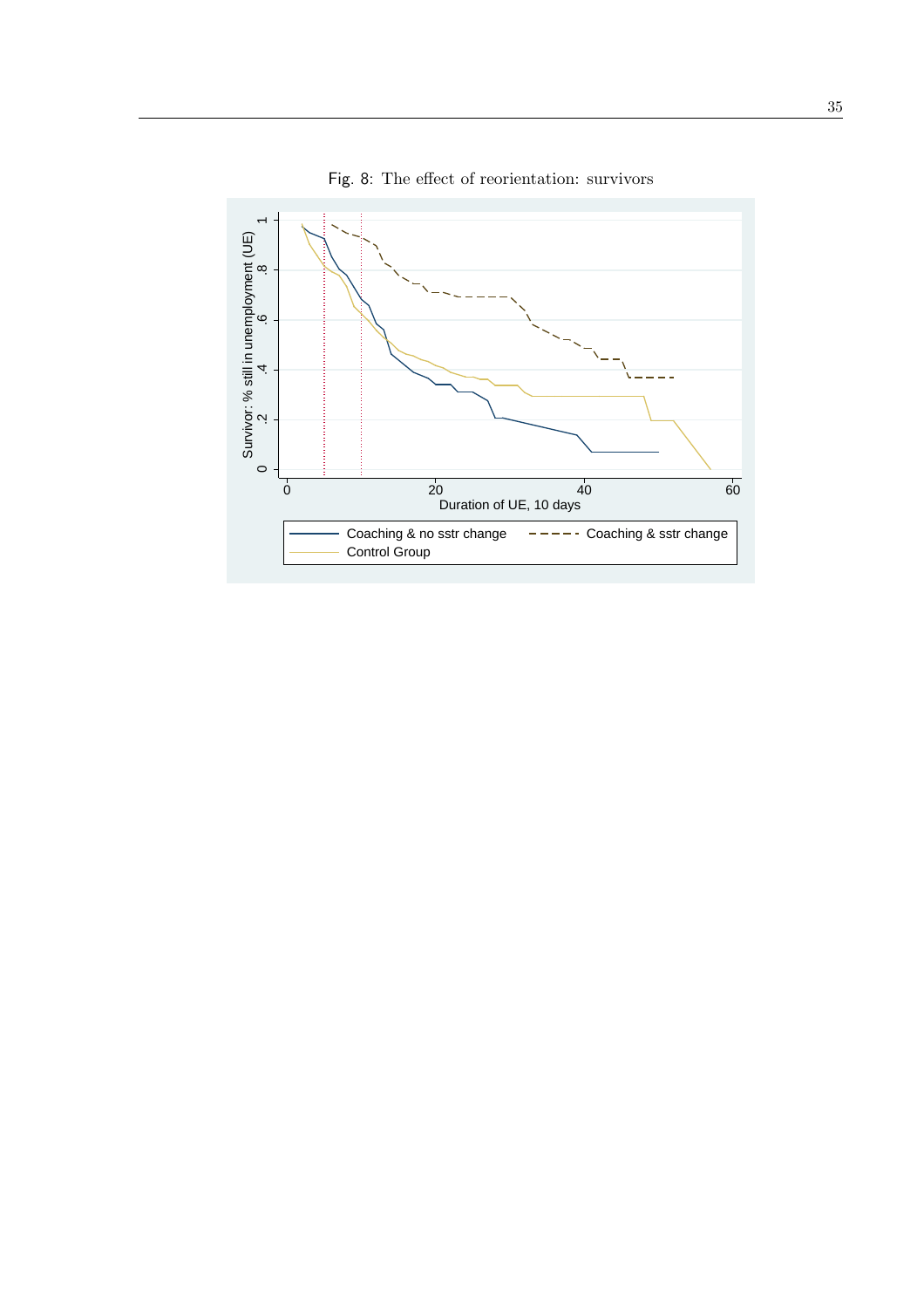

Fig. 8: The effect of reorientation: survivors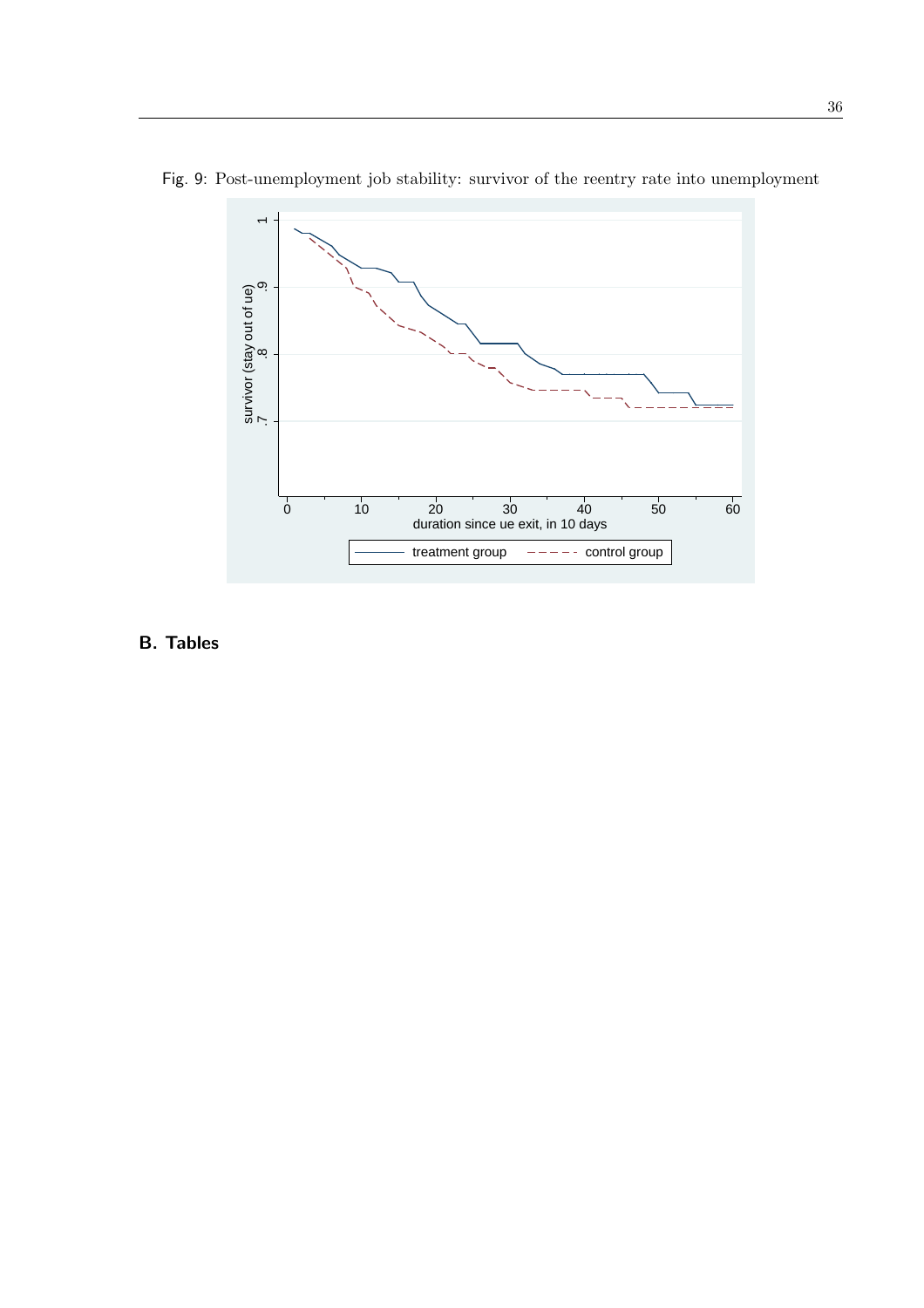



B. Tables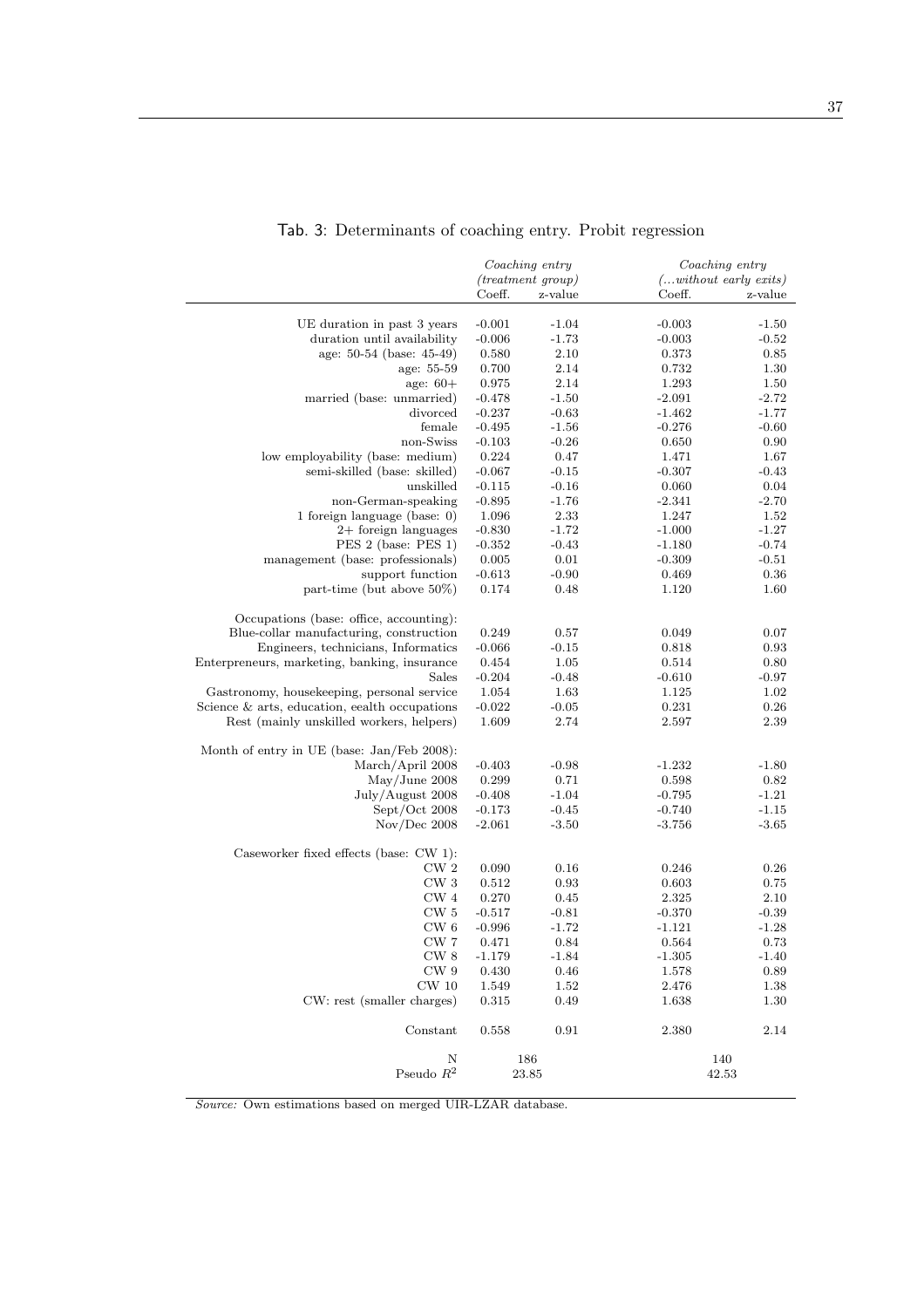|                                                  | Coaching entry                 |            | Coaching entry |                           |  |
|--------------------------------------------------|--------------------------------|------------|----------------|---------------------------|--|
|                                                  | $(treatment\ group)$           |            |                | $(without\ early\ exits)$ |  |
|                                                  | Coeff.                         | z-value    | Coeff.         | z-value                   |  |
| UE duration in past 3 years                      | $-0.001$                       | $-1.04$    | $-0.003$       | $-1.50$                   |  |
| duration until availability                      | $-0.006$                       | $-1.73$    | $-0.003$       | $-0.52$                   |  |
| age: 50-54 (base: 45-49)                         | 0.580                          | 2.10       | 0.373          | 0.85                      |  |
| age: 55-59                                       | 0.700                          | 2.14       | 0.732          | 1.30                      |  |
| age: $60+$                                       | 0.975                          | 2.14       | 1.293          | 1.50                      |  |
| married (base: unmarried)                        | $-0.478$                       | $-1.50$    | $-2.091$       | $-2.72$                   |  |
| divorced                                         | $-0.237$                       | $-0.63$    | $-1.462$       | $-1.77$                   |  |
| female                                           | $-0.495$                       | $-1.56$    | $-0.276$       | $-0.60$                   |  |
| non-Swiss                                        | $-0.103$                       | $-0.26$    | 0.650          | 0.90                      |  |
| low employability (base: medium)                 | 0.224                          | 0.47       | 1.471          | 1.67                      |  |
| semi-skilled (base: skilled)                     | $-0.067$                       | $-0.15$    | $-0.307$       | $-0.43$                   |  |
| unskilled                                        | $-0.115$                       | $-0.16$    | 0.060          | 0.04                      |  |
| non-German-speaking                              | $-0.895$                       | $-1.76$    | $-2.341$       | $-2.70$                   |  |
| 1 foreign language (base: $0$ )                  | 1.096                          | 2.33       | 1.247          | 1.52                      |  |
| $2+$ foreign languages                           | $-0.830$                       | $-1.72$    | $-1.000$       | $-1.27$                   |  |
| PES 2 (base: PES 1)                              | $-0.352$                       | $-0.43$    | $-1.180$       | $-0.74$                   |  |
| management (base: professionals)                 | 0.005                          | 0.01       | $-0.309$       | $-0.51$                   |  |
| support function                                 | $-0.613$                       | $-0.90$    | 0.469          | 0.36                      |  |
| part-time (but above $50\%$ )                    | 0.174                          | 0.48       | 1.120          | 1.60                      |  |
| Occupations (base: office, accounting):          |                                |            |                |                           |  |
| Blue-collar manufacturing, construction          | 0.249                          | 0.57       | 0.049          | 0.07                      |  |
| Engineers, technicians, Informatics              | $-0.066$                       | $-0.15$    | 0.818          | 0.93                      |  |
| Enterpreneurs, marketing, banking, insurance     | 0.454                          | 1.05       | 0.514          | 0.80                      |  |
| Sales                                            | $-0.204$                       | $-0.48$    | $-0.610$       | $-0.97$                   |  |
| Gastronomy, housekeeping, personal service       | 1.054                          | 1.63       | 1.125          | 1.02                      |  |
| Science $\&$ arts, education, eealth occupations | $-0.022$                       | $-0.05$    | 0.231          | 0.26                      |  |
| Rest (mainly unskilled workers, helpers)         | 1.609                          | 2.74       | 2.597          | 2.39                      |  |
| Month of entry in UE (base: Jan/Feb 2008):       |                                |            |                |                           |  |
| March/April 2008                                 | $-0.403$                       | $-0.98$    | $-1.232$       | $-1.80$                   |  |
| May/June 2008                                    | 0.299                          | 0.71       | 0.598          | 0.82                      |  |
| July/August 2008                                 | $-0.408$                       | $-1.04$    | $-0.795$       | $-1.21$                   |  |
| Sept/Oct 2008                                    | $-0.173$                       | $-0.45$    | $-0.740$       | $-1.15$                   |  |
| Nov/Dec 2008                                     | $-2.061$                       | $-3.50$    | $-3.756$       | $-3.65$                   |  |
| Caseworker fixed effects (base: CW 1):           |                                |            |                |                           |  |
| CW <sub>2</sub>                                  | 0.090                          | 0.16       | 0.246          | 0.26                      |  |
| CW <sub>3</sub>                                  | 0.512                          | 0.93       | 0.603          | 0.75                      |  |
| CW 4                                             | 0.270                          | 0.45       | 2.325          | 2.10                      |  |
| CW <sub>5</sub>                                  | $-0.517$                       | $-0.81$    | $-0.370$       | $-0.39$                   |  |
| $\mathrm{CW}$ 6                                  | $-0.996$                       | $-1.72$    | $-1.121$       | $-1.28$                   |  |
| CW 7                                             | 0.471                          | 0.84       | 0.564          | 0.73                      |  |
| CW 8                                             | $-1.179$                       | $-1.84$    | $-1.305$       | $-1.40$                   |  |
| ${\rm CW}$ 9                                     | 0.430                          | 0.46       | 1.578          | 0.89                      |  |
| $CW_10$                                          | 1.549                          | 1.52       | 2.476          | 1.38                      |  |
| CW: rest (smaller charges)                       | 0.315                          | 0.49       | 1.638          | 1.30                      |  |
| Constant                                         | 0.558                          | $\rm 0.91$ | 2.380          | 2.14                      |  |
| Ν                                                |                                | 186        |                | 140                       |  |
|                                                  | Pseudo $\mathbb{R}^2$<br>23.85 |            | 42.53          |                           |  |

# Tab. 3: Determinants of coaching entry. Probit regression

 $\overline{\quad Source:$  Own estimations based on merged UIR-LZAR database.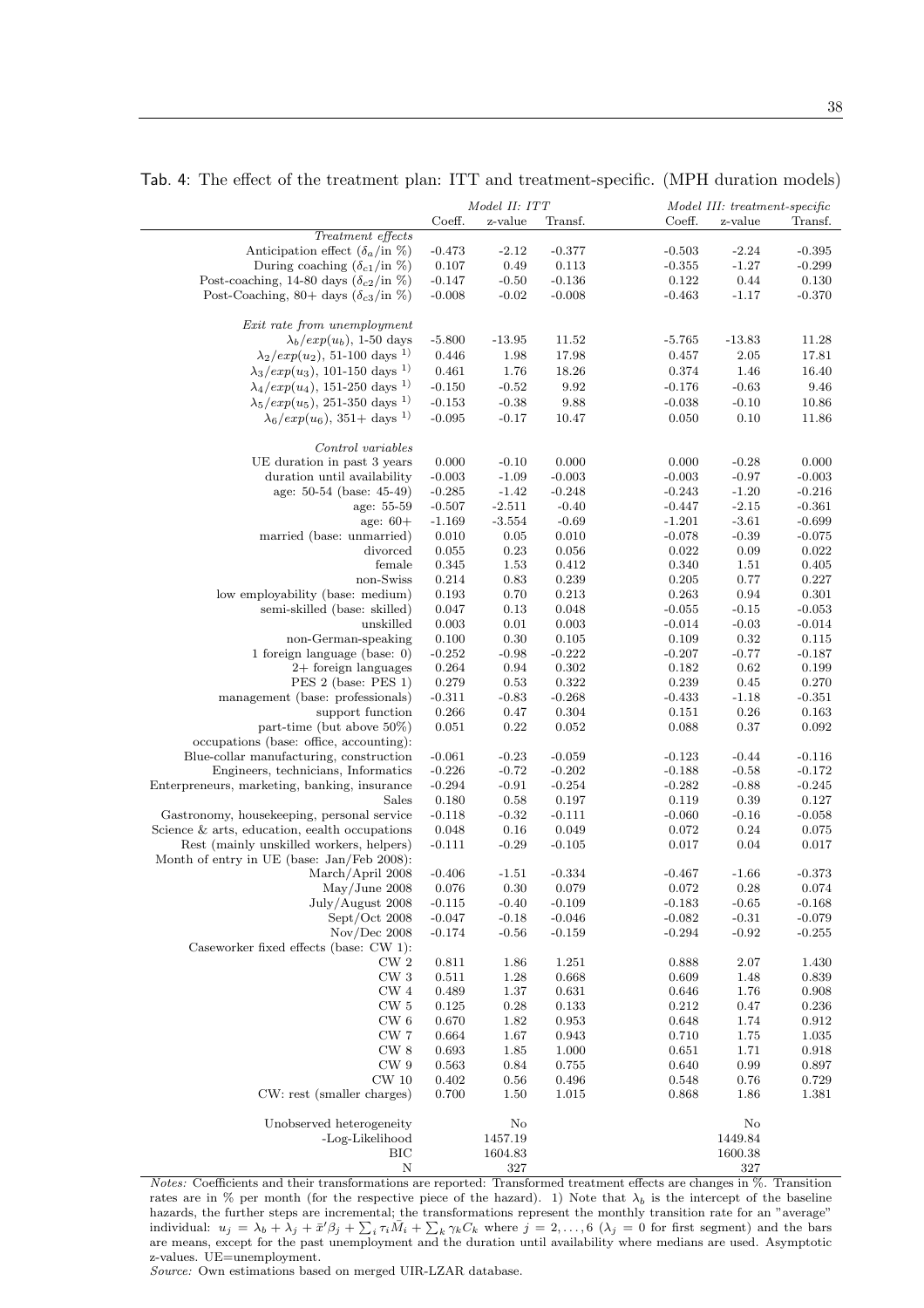#### Tab. 4: The effect of the treatment plan: ITT and treatment-specific. (MPH duration models)

38

|                                                        | Model II: ITT  |              |                | Model III: treatment-specific |              |                   |
|--------------------------------------------------------|----------------|--------------|----------------|-------------------------------|--------------|-------------------|
|                                                        | Coeff.         | z-value      | Transf.        | Coeff.                        | z-value      | Transf.           |
| Treatment effects                                      |                |              |                |                               |              |                   |
| Anticipation effect $(\delta_a$ /in %)                 | $-0.473$       | $-2.12$      | $-0.377$       | $-0.503$                      | $-2.24$      | $-0.395$          |
| During coaching $(\delta_{c1}/\text{in }\%)$           | 0.107          | 0.49         | 0.113          | $-0.355$                      | $-1.27$      | $-0.299$          |
| Post-coaching, 14-80 days $(\delta_{c2}/\text{in }\%)$ | $-0.147$       | $-0.50$      | $-0.136$       | 0.122                         | 0.44         | $0.130\,$         |
| Post-Coaching, 80+ days $(\delta_{c3}/\text{in }\%)$   | $-0.008$       | $-0.02$      | $-0.008$       | $-0.463$                      | $-1.17$      | $-0.370$          |
| Exit rate from unemployment                            |                |              |                |                               |              |                   |
| $\lambda_b/exp(u_b)$ , 1-50 days                       | $-5.800$       | $-13.95$     | 11.52          | $-5.765$                      | $-13.83$     | 11.28             |
| $\lambda_2/exp(u_2), 51-100$ days <sup>1)</sup>        | 0.446          | 1.98         | 17.98          | 0.457                         | 2.05         | 17.81             |
| $\lambda_3/exp(u_3)$ , 101-150 days <sup>1)</sup>      | 0.461          | 1.76         | 18.26          | 0.374                         | 1.46         | 16.40             |
| $\lambda_4/exp(u_4)$ , 151-250 days <sup>1)</sup>      | $-0.150$       | $-0.52$      | 9.92           | $-0.176$                      | $-0.63$      | 9.46              |
| $\lambda_5/exp(u_5)$ , 251-350 days <sup>1)</sup>      | $-0.153$       | $-0.38$      | 9.88           | $-0.038$                      | $-0.10$      | 10.86             |
| $\lambda_6/exp(u_6), 351 + \text{days}^{1})$           | $-0.095$       | $-0.17$      | 10.47          | 0.050                         | 0.10         | 11.86             |
|                                                        |                |              |                |                               |              |                   |
| Control variables                                      |                |              |                |                               |              |                   |
| UE duration in past 3 years                            | 0.000          | $-0.10$      | 0.000          | 0.000                         | $-0.28$      | 0.000             |
| duration until availability                            | $-0.003$       | $-1.09$      | $-0.003$       | $-0.003$                      | $-0.97$      | $-0.003$          |
| age: 50-54 (base: 45-49)                               | $-0.285$       | $-1.42$      | $-0.248$       | $-0.243$                      | $-1.20$      | $-0.216$          |
| age: 55-59                                             | $-0.507$       | $-2.511$     | $-0.40$        | $-0.447$                      | $-2.15$      | $-0.361$          |
| age: $60+$                                             | $-1.169$       | $-3.554$     | $-0.69$        | $-1.201$                      | $-3.61$      | $-0.699$          |
| married (base: unmarried)                              | 0.010          | 0.05         | 0.010<br>0.056 | $-0.078$<br>0.022             | $-0.39$      | $-0.075$<br>0.022 |
| divorced                                               | 0.055          | 0.23         | 0.412          |                               | 0.09         |                   |
| female<br>non-Swiss                                    | 0.345<br>0.214 | 1.53<br>0.83 | 0.239          | 0.340<br>0.205                | 1.51<br>0.77 | 0.405<br>0.227    |
| low employability (base: medium)                       |                | 0.70         | 0.213          | 0.263                         | 0.94         | 0.301             |
| semi-skilled (base: skilled)                           | 0.193<br>0.047 | 0.13         | 0.048          | $-0.055$                      | $-0.15$      | $-0.053$          |
| unskilled                                              | 0.003          | 0.01         | 0.003          | $-0.014$                      | $-0.03$      | $-0.014$          |
| non-German-speaking                                    | 0.100          | 0.30         | 0.105          | 0.109                         | 0.32         | 0.115             |
| 1 foreign language (base: $0$ )                        | $-0.252$       | $-0.98$      | $-0.222$       | $-0.207$                      | $-0.77$      | $-0.187$          |
| $2+$ foreign languages                                 | 0.264          | 0.94         | 0.302          | 0.182                         | 0.62         | 0.199             |
| PES 2 (base: PES 1)                                    | 0.279          | 0.53         | 0.322          | 0.239                         | 0.45         | 0.270             |
| management (base: professionals)                       | $-0.311$       | $-0.83$      | $-0.268$       | $-0.433$                      | $-1.18$      | $-0.351$          |
| support function                                       | 0.266          | 0.47         | 0.304          | 0.151                         | 0.26         | 0.163             |
| part-time (but above $50\%$ )                          | 0.051          | 0.22         | 0.052          | 0.088                         | 0.37         | 0.092             |
| occupations (base: office, accounting):                |                |              |                |                               |              |                   |
| Blue-collar manufacturing, construction                | $-0.061$       | $-0.23$      | $-0.059$       | $-0.123$                      | $-0.44$      | $-0.116$          |
| Engineers, technicians, Informatics                    | $-0.226$       | $-0.72$      | $-0.202$       | $-0.188$                      | $-0.58$      | $-0.172$          |
| Enterpreneurs, marketing, banking, insurance           | $-0.294$       | $-0.91$      | $-0.254$       | $-0.282$                      | $-0.88$      | $-0.245$          |
| Sales                                                  | 0.180          | 0.58         | 0.197          | 0.119                         | 0.39         | 0.127             |
| Gastronomy, housekeeping, personal service             | $-0.118$       | $-0.32$      | $-0.111$       | $-0.060$                      | $-0.16$      | $-0.058$          |
| Science $&$ arts, education, eealth occupations        | 0.048          | 0.16         | 0.049          | 0.072                         | 0.24         | 0.075             |
| Rest (mainly unskilled workers, helpers)               | $-0.111$       | $-0.29$      | $-0.105$       | 0.017                         | 0.04         | 0.017             |
| Month of entry in UE (base: Jan/Feb 2008):             |                |              |                |                               |              |                   |
| March/April 2008                                       | $-0.406$       | $-1.51$      | $-0.334$       | $-0.467$                      | $-1.66$      | $-0.373$          |
| May/June 2008                                          | 0.076          | 0.30         | 0.079          | 0.072                         | 0.28         | 0.074             |
| July/August 2008                                       | $-0.115$       | $-0.40$      | $-0.109$       | $-0.183$                      | $-0.65$      | $-0.168$          |
| Sept/Oct 2008                                          | $-0.047$       | $-0.18$      | $-0.046$       | $-0.082$                      | $-0.31$      | $-0.079$          |
| $Nov/Dec$ 2008                                         | $-0.174$       | $-0.56$      | $-0.159$       | $-0.294$                      | $-0.92$      | $-0.255$          |
| Caseworker fixed effects (base: CW 1):                 |                |              |                |                               |              |                   |
| CW <sub>2</sub>                                        | 0.811          | 1.86         | 1.251          | 0.888                         | 2.07         | 1.430             |
| ${\rm CW}$ 3                                           | 0.511          | 1.28         | 0.668          | 0.609                         | 1.48         | 0.839             |
| ${\rm CW}$ 4                                           | 0.489          | 1.37         | 0.631          | 0.646                         | 1.76         | 0.908             |
| CW 5                                                   | 0.125          | 0.28         | 0.133          | 0.212                         | 0.47         | 0.236             |
| CW 6                                                   | 0.670          | 1.82         | 0.953          | 0.648                         | 1.74         | 0.912             |
| $\mathrm{CW}$ 7                                        | 0.664          | 1.67         | 0.943          | 0.710                         | 1.75         | 1.035             |
| $\mathrm{CW}$ 8                                        | 0.693          | 1.85         | 1.000          | 0.651                         | 1.71         | 0.918             |
| CW <sub>9</sub>                                        | 0.563          | 0.84         | 0.755          | 0.640                         | 0.99         | 0.897             |
| $CW$ 10                                                | 0.402          | 0.56         | 0.496          | 0.548                         | 0.76         | 0.729             |
| CW: rest (smaller charges)                             | 0.700          | 1.50         | 1.015          | 0.868                         | 1.86         | 1.381             |
| Unobserved heterogeneity                               |                | No           |                |                               | No           |                   |
| -Log-Likelihood                                        |                | 1457.19      |                |                               | 1449.84      |                   |
| BIC                                                    |                | 1604.83      |                |                               | 1600.38      |                   |
| $\mathbf N$                                            |                | 327          |                |                               | 327          |                   |

Notes: Coefficients and their transformations are reported: Transformed treatment effects are changes in %. Transition rates are in % per month (for the respective piece of the hazard). 1) Note that  $\lambda_b$  is the intercept of the baseline hazards, the further steps are incremental; the transformations represent the monthly transition rate for an "average" individual:  $u_j = \lambda_b + \lambda_j + \bar{x}'\beta_j + \sum_i \tau_i \overline{M}_i + \sum_k \gamma_k C_k$  where  $j = 2, ..., 6$  ( $\lambda_j = 0$  for first segment) and the bars are means, except for the past unemployment and the duration until availability where medians are used. Asymptotic z-values. UE=unemployment.

Source: Own estimations based on merged UIR-LZAR database.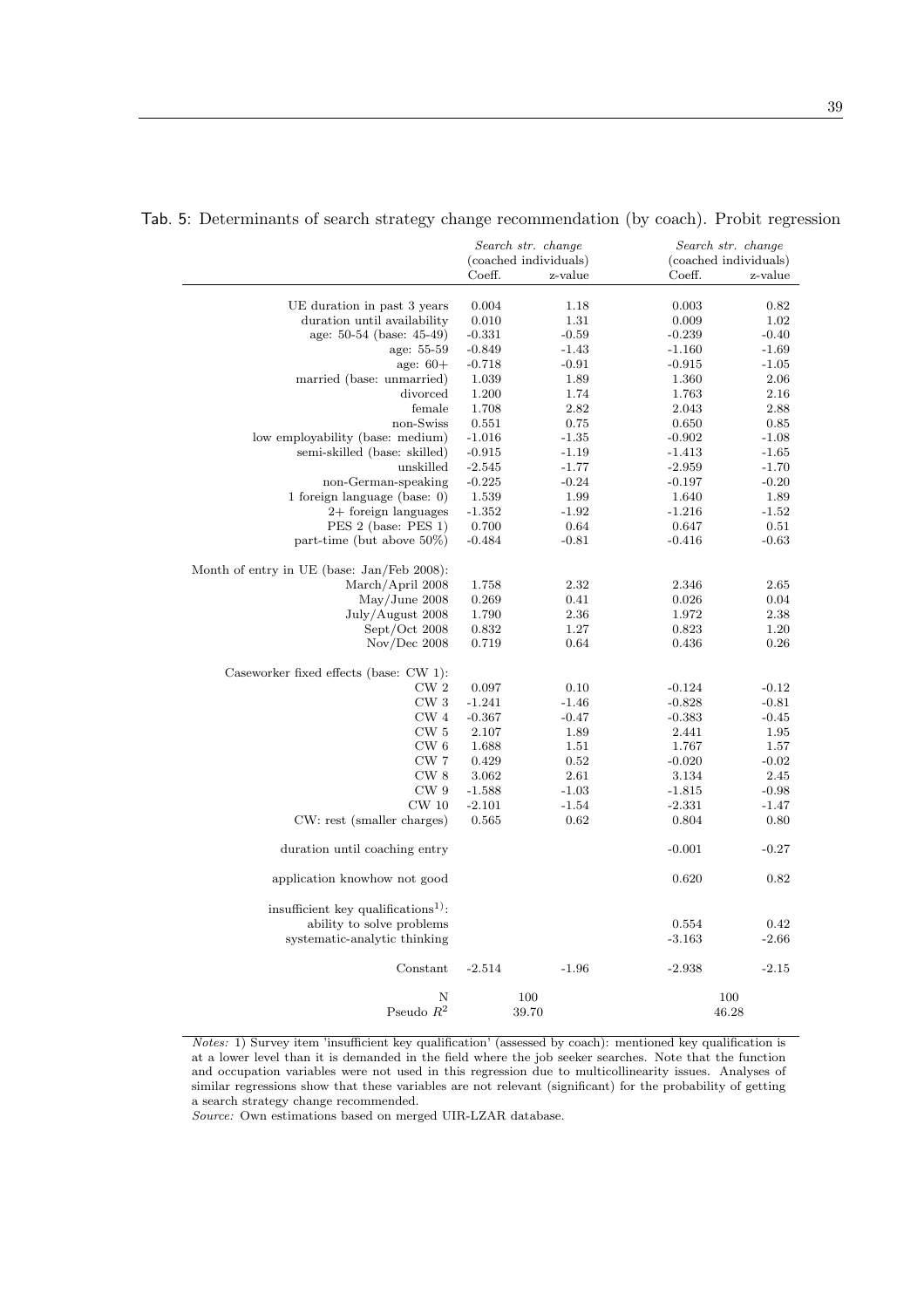|                                                 |                       | Search str. change |                   | Search str. change    |  |  |
|-------------------------------------------------|-----------------------|--------------------|-------------------|-----------------------|--|--|
|                                                 | (coached individuals) |                    |                   | (coached individuals) |  |  |
|                                                 | Coeff.                | z-value            | Coeff.            | z-value               |  |  |
|                                                 |                       |                    |                   |                       |  |  |
| UE duration in past 3 years                     | 0.004                 | 1.18               | 0.003             | 0.82                  |  |  |
| duration until availability                     | 0.010                 | 1.31               | 0.009             | 1.02                  |  |  |
| age: 50-54 (base: 45-49)                        | $-0.331$              | $-0.59$            | $-0.239$          | $-0.40$               |  |  |
| age: 55-59                                      | $-0.849$              | $-1.43$            | $-1.160$          | $-1.69$               |  |  |
| age: $60+$                                      | $-0.718$              | $-0.91$            | $-0.915$          | $-1.05$               |  |  |
| married (base: unmarried)                       | 1.039                 | 1.89               | 1.360             | 2.06                  |  |  |
| divorced                                        | 1.200                 | 1.74               | 1.763             | 2.16                  |  |  |
| female                                          | 1.708                 | 2.82               | 2.043             | 2.88                  |  |  |
| non-Swiss                                       | 0.551                 | 0.75               | 0.650             | 0.85                  |  |  |
| low employability (base: medium)                | $-1.016$              | $-1.35$            | $-0.902$          | $-1.08$               |  |  |
| semi-skilled (base: skilled)                    | $-0.915$              | $-1.19$            | $-1.413$          | $-1.65$               |  |  |
| unskilled                                       | $-2.545$              | $-1.77$            | $-2.959$          | $-1.70$               |  |  |
| non-German-speaking                             | $-0.225$              | $-0.24$            | $-0.197$          | $-0.20$               |  |  |
| 1 foreign language (base: $0$ )                 | 1.539                 | 1.99               | 1.640             | 1.89                  |  |  |
| $2+$ foreign languages                          | $-1.352$              | $-1.92$            | $-1.216$          | $-1.52$               |  |  |
| PES 2 (base: PES 1)                             | 0.700                 | 0.64               | 0.647             | 0.51                  |  |  |
| part-time (but above $50\%$ )                   | $-0.484$              | $-0.81$            | $-0.416$          | $-0.63$               |  |  |
|                                                 |                       |                    |                   |                       |  |  |
| Month of entry in UE (base: Jan/Feb 2008):      |                       |                    |                   |                       |  |  |
| March/April 2008                                | 1.758                 | 2.32               | 2.346             | 2.65                  |  |  |
| May/June 2008                                   | 0.269                 | 0.41               | 0.026             | 0.04                  |  |  |
| July/August 2008                                | 1.790                 | 2.36               | 1.972             | 2.38                  |  |  |
| Sept/Oct 2008                                   | 0.832                 | 1.27               | 0.823             | 1.20                  |  |  |
| Nov/Dec~2008                                    | 0.719                 | 0.64               | 0.436             | 0.26                  |  |  |
| Caseworker fixed effects (base: CW 1):          |                       |                    |                   |                       |  |  |
| CW <sub>2</sub>                                 | 0.097                 | 0.10               | $-0.124$          | $-0.12$               |  |  |
| ${\rm CW}$ 3                                    | $-1.241$              | $-1.46$            | $-0.828$          | $-0.81$               |  |  |
| CW <sub>4</sub>                                 |                       | $-0.47$            |                   |                       |  |  |
| CW <sub>5</sub>                                 | $-0.367$<br>2.107     | 1.89               | $-0.383$<br>2.441 | $-0.45$<br>1.95       |  |  |
| CW 6                                            | 1.688                 |                    |                   | 1.57                  |  |  |
| CW 7                                            |                       | 1.51               | 1.767             |                       |  |  |
|                                                 | 0.429                 | 0.52               | $-0.020$          | $-0.02$               |  |  |
| CW <sub>8</sub>                                 | 3.062                 | 2.61               | 3.134             | 2.45                  |  |  |
| CW <sub>9</sub><br>$CW$ 10                      | $-1.588$<br>$-2.101$  | $-1.03$            | $-1.815$          | $-0.98$               |  |  |
|                                                 |                       | $-1.54$            | $-2.331$          | $-1.47$               |  |  |
| CW: rest (smaller charges)                      | 0.565                 | 0.62               | 0.804             | 0.80                  |  |  |
| duration until coaching entry                   |                       |                    | $-0.001$          | $-0.27$               |  |  |
| application knowhow not good                    |                       |                    | 0.620             | 0.82                  |  |  |
| insufficient key qualifications <sup>1)</sup> : |                       |                    |                   |                       |  |  |
| ability to solve problems                       |                       |                    | 0.554             | 0.42                  |  |  |
| systematic-analytic thinking                    |                       |                    | $-3.163$          | $-2.66$               |  |  |
|                                                 |                       |                    |                   |                       |  |  |
| Constant                                        | $-2.514$              | $-1.96$            | $-2.938$          | $-2.15$               |  |  |
| Ν                                               |                       | 100                |                   | 100                   |  |  |
| Pseudo $R^2$                                    |                       | 39.70              |                   | 46.28                 |  |  |

## Tab. 5: Determinants of search strategy change recommendation (by coach). Probit regression

Notes: 1) Survey item 'insufficient key qualification' (assessed by coach): mentioned key qualification is at a lower level than it is demanded in the field where the job seeker searches. Note that the function and occupation variables were not used in this regression due to multicollinearity issues. Analyses of similar regressions show that these variables are not relevant (significant) for the probability of getting a search strategy change recommended.

Source: Own estimations based on merged UIR-LZAR database.